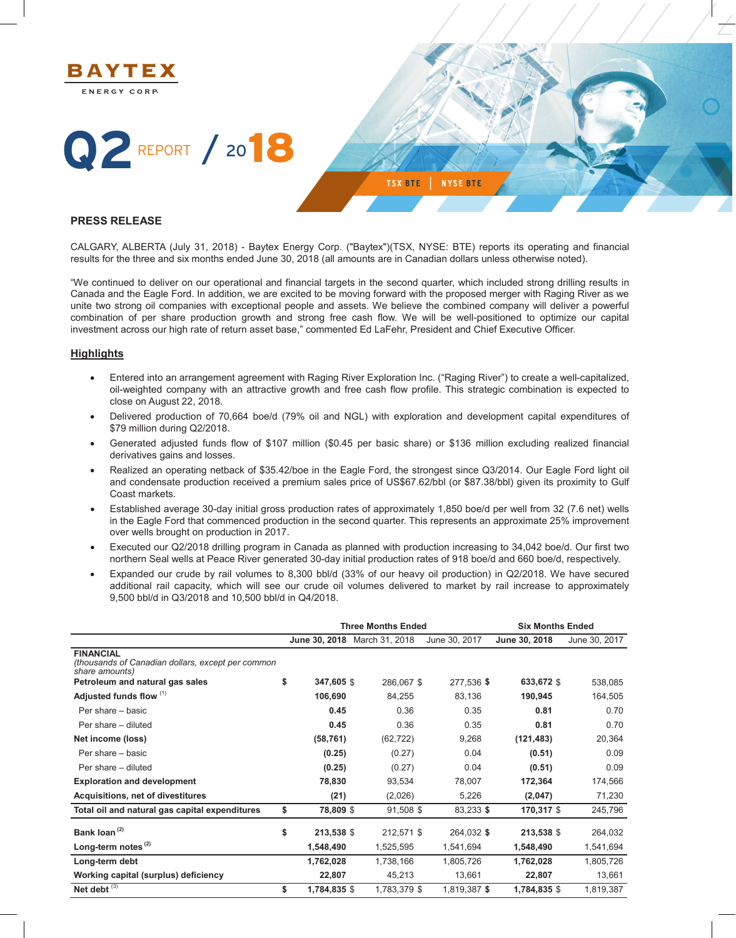

#### **PRESS RELEASE**

CALGARY, ALBERTA (July 31, 2018) - Baytex Energy Corp. ("Baytex")(TSX, NYSE: BTE) reports its operating and financial results for the three and six months ended June 30, 2018 (all amounts are in Canadian dollars unless otherwise noted).

"We continued to deliver on our operational and financial targets in the second quarter, which included strong drilling results in Canada and the Eagle Ford. In addition, we are excited to be moving forward with the proposed merger with Raging River as we unite two strong oil companies with exceptional people and assets. We believe the combined company will deliver a powerful combination of per share production growth and strong free cash flow. We will be well-positioned to optimize our capital investment across our high rate of return asset base," commented Ed LaFehr, President and Chief Executive Officer.

#### **Highlights**

- x Entered into an arrangement agreement with Raging River Exploration Inc. ("Raging River") to create a well-capitalized, oil-weighted company with an attractive growth and free cash flow profile. This strategic combination is expected to close on August 22, 2018.
- Delivered production of 70,664 boe/d (79% oil and NGL) with exploration and development capital expenditures of \$79 million during Q2/2018.
- Generated adjusted funds flow of \$107 million (\$0.45 per basic share) or \$136 million excluding realized financial derivatives gains and losses.
- Realized an operating netback of \$35.42/boe in the Eagle Ford, the strongest since Q3/2014. Our Eagle Ford light oil and condensate production received a premium sales price of US\$67.62/bbl (or \$87.38/bbl) given its proximity to Gulf Coast markets.
- x Established average 30-day initial gross production rates of approximately 1,850 boe/d per well from 32 (7.6 net) wells in the Eagle Ford that commenced production in the second quarter. This represents an approximate 25% improvement over wells brought on production in 2017.
- Executed our Q2/2018 drilling program in Canada as planned with production increasing to 34,042 boe/d. Our first two northern Seal wells at Peace River generated 30-day initial production rates of 918 boe/d and 660 boe/d, respectively.
- Expanded our crude by rail volumes to 8,300 bbl/d (33% of our heavy oil production) in Q2/2018. We have secured additional rail capacity, which will see our crude oil volumes delivered to market by rail increase to approximately 9,500 bbl/d in Q3/2018 and 10,500 bbl/d in Q4/2018.

|                                                                                         |                    | <b>Three Months Ended</b> | <b>Six Months Ended</b> |               |               |  |  |
|-----------------------------------------------------------------------------------------|--------------------|---------------------------|-------------------------|---------------|---------------|--|--|
|                                                                                         | June 30, 2018      | March 31, 2018            | June 30, 2017           | June 30, 2018 | June 30, 2017 |  |  |
| <b>FINANCIAL</b><br>(thousands of Canadian dollars, except per common<br>share amounts) |                    |                           |                         |               |               |  |  |
| Petroleum and natural gas sales                                                         | \$<br>347,605 \$   | 286,067 \$                | 277,536 \$              | 633,672 \$    | 538,085       |  |  |
| Adjusted funds flow (1)                                                                 | 106,690            | 84,255                    | 83,136                  | 190,945       | 164,505       |  |  |
| Per share - basic                                                                       | 0.45               | 0.36                      | 0.35                    | 0.81          | 0.70          |  |  |
| Per share - diluted                                                                     | 0.45               | 0.36                      | 0.35                    | 0.81          | 0.70          |  |  |
| Net income (loss)                                                                       | (58, 761)          | (62, 722)                 | 9,268                   | (121, 483)    | 20,364        |  |  |
| Per share - basic                                                                       | (0.25)             | (0.27)                    | 0.04                    | (0.51)        | 0.09          |  |  |
| Per share - diluted                                                                     | (0.25)             | (0.27)                    | 0.04                    | (0.51)        | 0.09          |  |  |
| <b>Exploration and development</b>                                                      | 78,830             | 93,534                    | 78,007                  | 172,364       | 174,566       |  |  |
| Acquisitions, net of divestitures                                                       | (21)               | (2,026)                   | 5,226                   | (2,047)       | 71,230        |  |  |
| Total oil and natural gas capital expenditures                                          | \$<br>78,809 \$    | 91,508 \$                 | 83,233 \$               | 170,317 \$    | 245,796       |  |  |
| Bank loan <sup>(2)</sup>                                                                | \$<br>213,538 \$   | 212,571 \$                | 264,032 \$              | 213,538 \$    | 264,032       |  |  |
| Long-term notes <sup>(2)</sup>                                                          | 1,548,490          | 1,525,595                 | 1,541,694               | 1,548,490     | 1,541,694     |  |  |
| Long-term debt                                                                          | 1,762,028          | 1,738,166                 | 1,805,726               | 1,762,028     | 1,805,726     |  |  |
| Working capital (surplus) deficiency                                                    | 22,807             | 45,213                    | 13,661                  | 22,807        | 13,661        |  |  |
| Net debt $(3)$                                                                          | \$<br>1,784,835 \$ | 1,783,379 \$              | 1,819,387 \$            | 1,784,835 \$  | 1,819,387     |  |  |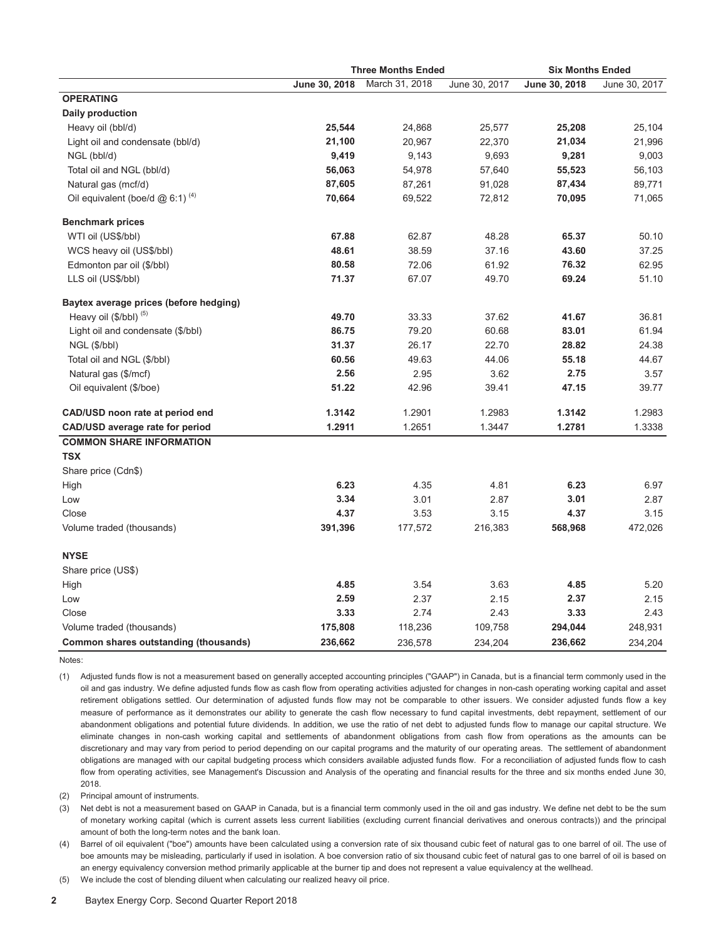|                                               |               | <b>Three Months Ended</b> | <b>Six Months Ended</b> |               |               |  |
|-----------------------------------------------|---------------|---------------------------|-------------------------|---------------|---------------|--|
|                                               | June 30, 2018 | March 31, 2018            | June 30, 2017           | June 30, 2018 | June 30, 2017 |  |
| <b>OPERATING</b>                              |               |                           |                         |               |               |  |
| Daily production                              |               |                           |                         |               |               |  |
| Heavy oil (bbl/d)                             | 25,544        | 24,868                    | 25,577                  | 25,208        | 25,104        |  |
| Light oil and condensate (bbl/d)              | 21,100        | 20,967                    | 22,370                  | 21,034        | 21,996        |  |
| NGL (bbl/d)                                   | 9,419         | 9,143                     | 9,693                   | 9,281         | 9,003         |  |
| Total oil and NGL (bbl/d)                     | 56,063        | 54,978                    | 57,640                  | 55,523        | 56,103        |  |
| Natural gas (mcf/d)                           | 87,605        | 87,261                    | 91,028                  | 87,434        | 89,771        |  |
| Oil equivalent (boe/d $@$ 6:1) <sup>(4)</sup> | 70,664        | 69,522                    | 72,812                  | 70,095        | 71,065        |  |
| <b>Benchmark prices</b>                       |               |                           |                         |               |               |  |
| WTI oil (US\$/bbl)                            | 67.88         | 62.87                     | 48.28                   | 65.37         | 50.10         |  |
| WCS heavy oil (US\$/bbl)                      | 48.61         | 38.59                     | 37.16                   | 43.60         | 37.25         |  |
| Edmonton par oil (\$/bbl)                     | 80.58         | 72.06                     | 61.92                   | 76.32         | 62.95         |  |
| LLS oil (US\$/bbl)                            | 71.37         | 67.07                     | 49.70                   | 69.24         | 51.10         |  |
| Baytex average prices (before hedging)        |               |                           |                         |               |               |  |
| Heavy oil (\$/bbl) (5)                        | 49.70         | 33.33                     | 37.62                   | 41.67         | 36.81         |  |
| Light oil and condensate (\$/bbl)             | 86.75         | 79.20                     | 60.68                   | 83.01         | 61.94         |  |
| NGL (\$/bbl)                                  | 31.37         | 26.17                     | 22.70                   | 28.82         | 24.38         |  |
| Total oil and NGL (\$/bbl)                    | 60.56         | 49.63                     | 44.06                   | 55.18         | 44.67         |  |
| Natural gas (\$/mcf)                          | 2.56          | 2.95                      | 3.62                    | 2.75          | 3.57          |  |
| Oil equivalent (\$/boe)                       | 51.22         | 42.96                     | 39.41                   | 47.15         | 39.77         |  |
| CAD/USD noon rate at period end               | 1.3142        | 1.2901                    | 1.2983                  | 1.3142        | 1.2983        |  |
| CAD/USD average rate for period               | 1.2911        | 1.2651                    | 1.3447                  | 1.2781        | 1.3338        |  |
| <b>COMMON SHARE INFORMATION</b>               |               |                           |                         |               |               |  |
| <b>TSX</b>                                    |               |                           |                         |               |               |  |
| Share price (Cdn\$)                           |               |                           |                         |               |               |  |
| High                                          | 6.23          | 4.35                      | 4.81                    | 6.23          | 6.97          |  |
| Low                                           | 3.34          | 3.01                      | 2.87                    | 3.01          | 2.87          |  |
| Close                                         | 4.37          | 3.53                      | 3.15                    | 4.37          | 3.15          |  |
| Volume traded (thousands)                     | 391,396       | 177,572                   | 216,383                 | 568,968       | 472,026       |  |
| <b>NYSE</b>                                   |               |                           |                         |               |               |  |
| Share price (US\$)                            |               |                           |                         |               |               |  |
| High                                          | 4.85          | 3.54                      | 3.63                    | 4.85          | 5.20          |  |
| Low                                           | 2.59          | 2.37                      | 2.15                    | 2.37          | 2.15          |  |
| Close                                         | 3.33          | 2.74                      | 2.43                    | 3.33          | 2.43          |  |
| Volume traded (thousands)                     | 175,808       | 118,236                   | 109,758                 | 294,044       | 248,931       |  |
| Common shares outstanding (thousands)         | 236,662       | 236,578                   | 234,204                 | 236,662       | 234,204       |  |

Notes:

(1) Adjusted funds flow is not a measurement based on generally accepted accounting principles ("GAAP") in Canada, but is a financial term commonly used in the oil and gas industry. We define adjusted funds flow as cash flow from operating activities adjusted for changes in non-cash operating working capital and asset retirement obligations settled. Our determination of adjusted funds flow may not be comparable to other issuers. We consider adjusted funds flow a key measure of performance as it demonstrates our ability to generate the cash flow necessary to fund capital investments, debt repayment, settlement of our abandonment obligations and potential future dividends. In addition, we use the ratio of net debt to adjusted funds flow to manage our capital structure. We eliminate changes in non-cash working capital and settlements of abandonment obligations from cash flow from operations as the amounts can be discretionary and may vary from period to period depending on our capital programs and the maturity of our operating areas. The settlement of abandonment obligations are managed with our capital budgeting process which considers available adjusted funds flow. For a reconciliation of adjusted funds flow to cash flow from operating activities, see Management's Discussion and Analysis of the operating and financial results for the three and six months ended June 30, 2018.

(2) Principal amount of instruments.

(3) Net debt is not a measurement based on GAAP in Canada, but is a financial term commonly used in the oil and gas industry. We define net debt to be the sum of monetary working capital (which is current assets less current liabilities (excluding current financial derivatives and onerous contracts)) and the principal amount of both the long-term notes and the bank loan.

(4) Barrel of oil equivalent ("boe") amounts have been calculated using a conversion rate of six thousand cubic feet of natural gas to one barrel of oil. The use of boe amounts may be misleading, particularly if used in isolation. A boe conversion ratio of six thousand cubic feet of natural gas to one barrel of oil is based on an energy equivalency conversion method primarily applicable at the burner tip and does not represent a value equivalency at the wellhead.

(5) We include the cost of blending diluent when calculating our realized heavy oil price.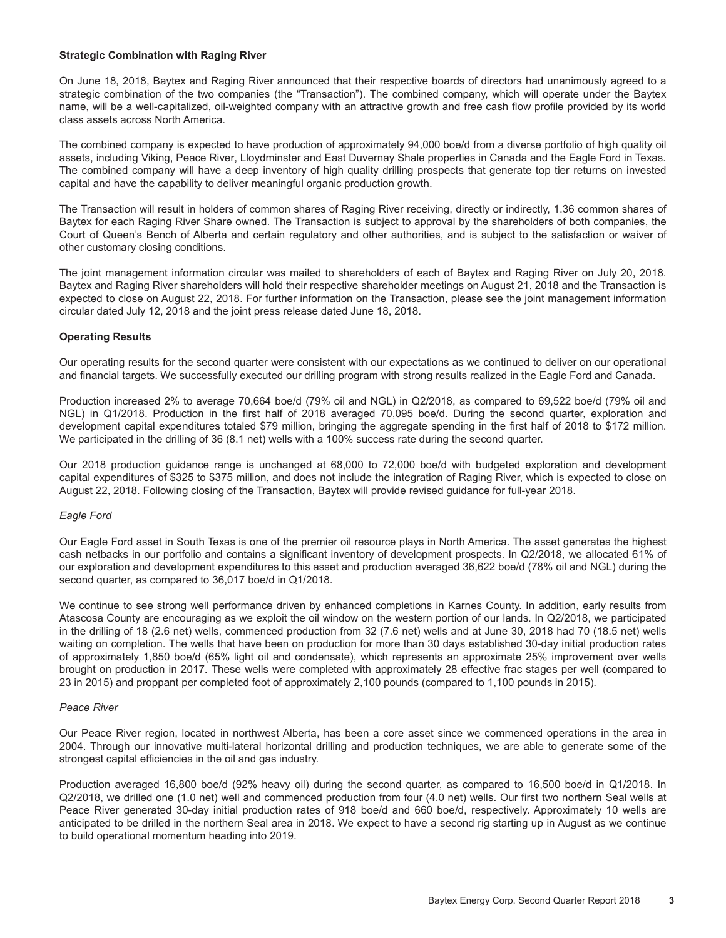#### **Strategic Combination with Raging River**

On June 18, 2018, Baytex and Raging River announced that their respective boards of directors had unanimously agreed to a strategic combination of the two companies (the "Transaction"). The combined company, which will operate under the Baytex name, will be a well-capitalized, oil-weighted company with an attractive growth and free cash flow profile provided by its world class assets across North America.

The combined company is expected to have production of approximately 94,000 boe/d from a diverse portfolio of high quality oil assets, including Viking, Peace River, Lloydminster and East Duvernay Shale properties in Canada and the Eagle Ford in Texas. The combined company will have a deep inventory of high quality drilling prospects that generate top tier returns on invested capital and have the capability to deliver meaningful organic production growth.

The Transaction will result in holders of common shares of Raging River receiving, directly or indirectly, 1.36 common shares of Baytex for each Raging River Share owned. The Transaction is subject to approval by the shareholders of both companies, the Court of Queen's Bench of Alberta and certain regulatory and other authorities, and is subject to the satisfaction or waiver of other customary closing conditions.

The joint management information circular was mailed to shareholders of each of Baytex and Raging River on July 20, 2018. Baytex and Raging River shareholders will hold their respective shareholder meetings on August 21, 2018 and the Transaction is expected to close on August 22, 2018. For further information on the Transaction, please see the joint management information circular dated July 12, 2018 and the joint press release dated June 18, 2018.

#### **Operating Results**

Our operating results for the second quarter were consistent with our expectations as we continued to deliver on our operational and financial targets. We successfully executed our drilling program with strong results realized in the Eagle Ford and Canada.

Production increased 2% to average 70,664 boe/d (79% oil and NGL) in Q2/2018, as compared to 69,522 boe/d (79% oil and NGL) in Q1/2018. Production in the first half of 2018 averaged 70,095 boe/d. During the second quarter, exploration and development capital expenditures totaled \$79 million, bringing the aggregate spending in the first half of 2018 to \$172 million. We participated in the drilling of 36 (8.1 net) wells with a 100% success rate during the second quarter.

Our 2018 production guidance range is unchanged at 68,000 to 72,000 boe/d with budgeted exploration and development capital expenditures of \$325 to \$375 million, and does not include the integration of Raging River, which is expected to close on August 22, 2018. Following closing of the Transaction, Baytex will provide revised guidance for full-year 2018.

#### *Eagle Ford*

Our Eagle Ford asset in South Texas is one of the premier oil resource plays in North America. The asset generates the highest cash netbacks in our portfolio and contains a significant inventory of development prospects. In Q2/2018, we allocated 61% of our exploration and development expenditures to this asset and production averaged 36,622 boe/d (78% oil and NGL) during the second quarter, as compared to 36,017 boe/d in Q1/2018.

We continue to see strong well performance driven by enhanced completions in Karnes County. In addition, early results from Atascosa County are encouraging as we exploit the oil window on the western portion of our lands. In Q2/2018, we participated in the drilling of 18 (2.6 net) wells, commenced production from 32 (7.6 net) wells and at June 30, 2018 had 70 (18.5 net) wells waiting on completion. The wells that have been on production for more than 30 days established 30-day initial production rates of approximately 1,850 boe/d (65% light oil and condensate), which represents an approximate 25% improvement over wells brought on production in 2017. These wells were completed with approximately 28 effective frac stages per well (compared to 23 in 2015) and proppant per completed foot of approximately 2,100 pounds (compared to 1,100 pounds in 2015).

#### *Peace River*

Our Peace River region, located in northwest Alberta, has been a core asset since we commenced operations in the area in 2004. Through our innovative multi-lateral horizontal drilling and production techniques, we are able to generate some of the strongest capital efficiencies in the oil and gas industry.

Production averaged 16,800 boe/d (92% heavy oil) during the second quarter, as compared to 16,500 boe/d in Q1/2018. In Q2/2018, we drilled one (1.0 net) well and commenced production from four (4.0 net) wells. Our first two northern Seal wells at Peace River generated 30-day initial production rates of 918 boe/d and 660 boe/d, respectively. Approximately 10 wells are anticipated to be drilled in the northern Seal area in 2018. We expect to have a second rig starting up in August as we continue to build operational momentum heading into 2019.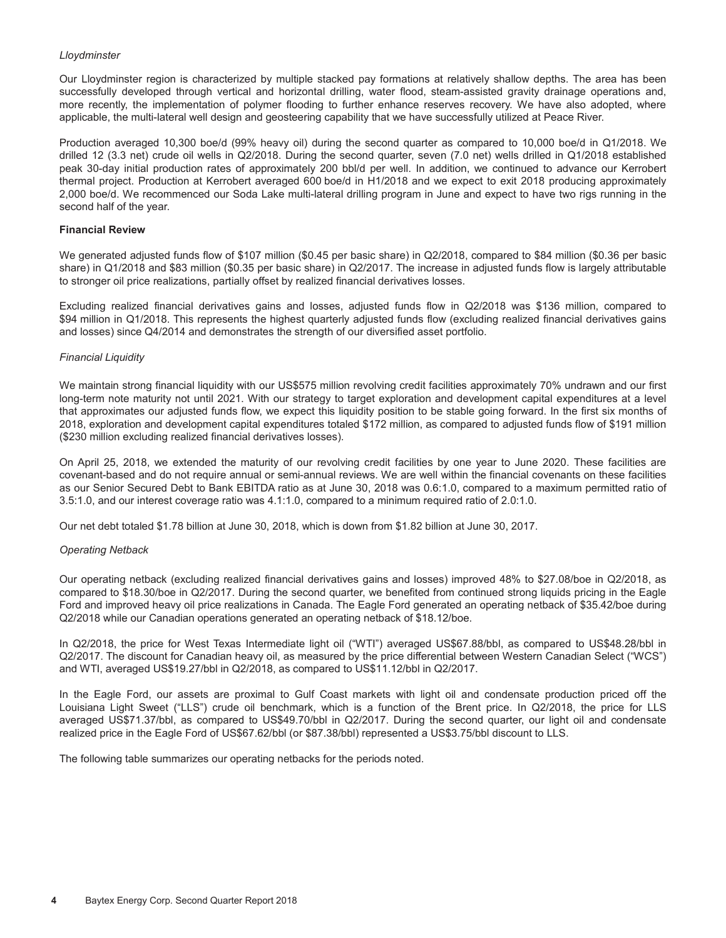#### *Lloydminster*

Our Lloydminster region is characterized by multiple stacked pay formations at relatively shallow depths. The area has been successfully developed through vertical and horizontal drilling, water flood, steam-assisted gravity drainage operations and, more recently, the implementation of polymer flooding to further enhance reserves recovery. We have also adopted, where applicable, the multi-lateral well design and geosteering capability that we have successfully utilized at Peace River.

Production averaged 10,300 boe/d (99% heavy oil) during the second quarter as compared to 10,000 boe/d in Q1/2018. We drilled 12 (3.3 net) crude oil wells in Q2/2018. During the second quarter, seven (7.0 net) wells drilled in Q1/2018 established peak 30-day initial production rates of approximately 200 bbl/d per well. In addition, we continued to advance our Kerrobert thermal project. Production at Kerrobert averaged 600 boe/d in H1/2018 and we expect to exit 2018 producing approximately 2,000 boe/d. We recommenced our Soda Lake multi-lateral drilling program in June and expect to have two rigs running in the second half of the year.

#### **Financial Review**

We generated adjusted funds flow of \$107 million (\$0.45 per basic share) in Q2/2018, compared to \$84 million (\$0.36 per basic share) in Q1/2018 and \$83 million (\$0.35 per basic share) in Q2/2017. The increase in adjusted funds flow is largely attributable to stronger oil price realizations, partially offset by realized financial derivatives losses.

Excluding realized financial derivatives gains and losses, adjusted funds flow in Q2/2018 was \$136 million, compared to \$94 million in Q1/2018. This represents the highest quarterly adjusted funds flow (excluding realized financial derivatives gains and losses) since Q4/2014 and demonstrates the strength of our diversified asset portfolio.

#### *Financial Liquidity*

We maintain strong financial liquidity with our US\$575 million revolving credit facilities approximately 70% undrawn and our first long-term note maturity not until 2021. With our strategy to target exploration and development capital expenditures at a level that approximates our adjusted funds flow, we expect this liquidity position to be stable going forward. In the first six months of 2018, exploration and development capital expenditures totaled \$172 million, as compared to adjusted funds flow of \$191 million (\$230 million excluding realized financial derivatives losses).

On April 25, 2018, we extended the maturity of our revolving credit facilities by one year to June 2020. These facilities are covenant-based and do not require annual or semi-annual reviews. We are well within the financial covenants on these facilities as our Senior Secured Debt to Bank EBITDA ratio as at June 30, 2018 was 0.6:1.0, compared to a maximum permitted ratio of 3.5:1.0, and our interest coverage ratio was 4.1:1.0, compared to a minimum required ratio of 2.0:1.0.

Our net debt totaled \$1.78 billion at June 30, 2018, which is down from \$1.82 billion at June 30, 2017.

#### *Operating Netback*

Our operating netback (excluding realized financial derivatives gains and losses) improved 48% to \$27.08/boe in Q2/2018, as compared to \$18.30/boe in Q2/2017. During the second quarter, we benefited from continued strong liquids pricing in the Eagle Ford and improved heavy oil price realizations in Canada. The Eagle Ford generated an operating netback of \$35.42/boe during Q2/2018 while our Canadian operations generated an operating netback of \$18.12/boe.

In Q2/2018, the price for West Texas Intermediate light oil ("WTI") averaged US\$67.88/bbl, as compared to US\$48.28/bbl in Q2/2017. The discount for Canadian heavy oil, as measured by the price differential between Western Canadian Select ("WCS") and WTI, averaged US\$19.27/bbl in Q2/2018, as compared to US\$11.12/bbl in Q2/2017.

In the Eagle Ford, our assets are proximal to Gulf Coast markets with light oil and condensate production priced off the Louisiana Light Sweet ("LLS") crude oil benchmark, which is a function of the Brent price. In Q2/2018, the price for LLS averaged US\$71.37/bbl, as compared to US\$49.70/bbl in Q2/2017. During the second quarter, our light oil and condensate realized price in the Eagle Ford of US\$67.62/bbl (or \$87.38/bbl) represented a US\$3.75/bbl discount to LLS.

The following table summarizes our operating netbacks for the periods noted.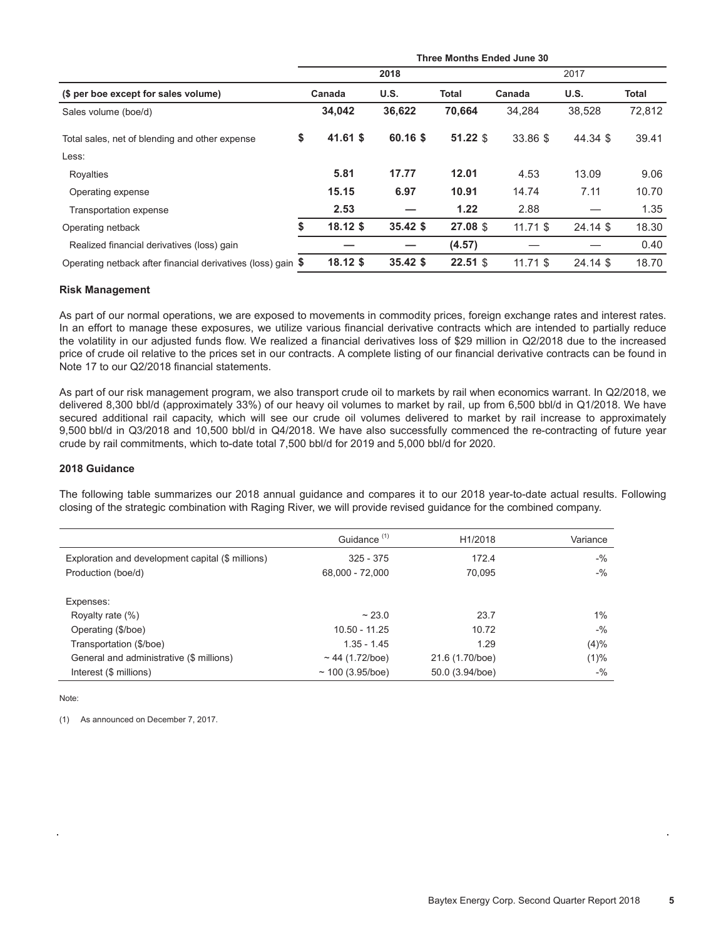|                                                              |                  |            | Three Months Ended June 30 |            |            |                 |  |  |  |
|--------------------------------------------------------------|------------------|------------|----------------------------|------------|------------|-----------------|--|--|--|
|                                                              |                  | 2018       |                            | 2017       |            |                 |  |  |  |
| (\$ per boe except for sales volume)                         | Canada           | U.S.       | Total                      | Canada     | U.S.       | Total<br>72,812 |  |  |  |
| Sales volume (boe/d)                                         | 34,042           | 36,622     | 70.664                     | 34.284     | 38,528     |                 |  |  |  |
| Total sales, net of blending and other expense               | \$<br>$41.61$ \$ | 60.16 \$   | $51.22$ \$                 | 33.86 \$   | 44.34 \$   | 39.41           |  |  |  |
| Less:                                                        |                  |            |                            |            |            |                 |  |  |  |
| Royalties                                                    | 5.81             | 17.77      | 12.01                      | 4.53       | 13.09      | 9.06            |  |  |  |
| Operating expense                                            | 15.15            | 6.97       | 10.91                      | 14.74      | 7.11       | 10.70           |  |  |  |
| Transportation expense                                       | 2.53             |            | 1.22                       | 2.88       |            | 1.35            |  |  |  |
| Operating netback                                            | $18.12$ \$       | $35.42$ \$ | 27.08 \$                   | $11.71$ \$ | $24.14$ \$ | 18.30           |  |  |  |
| Realized financial derivatives (loss) gain                   |                  |            | (4.57)                     |            |            | 0.40            |  |  |  |
| Operating netback after financial derivatives (loss) gain \$ | $18.12$ \$       | $35.42$ \$ | $22.51$ \$                 | $11.71$ \$ | 24.14 \$   | 18.70           |  |  |  |

#### **Risk Management**

As part of our normal operations, we are exposed to movements in commodity prices, foreign exchange rates and interest rates. In an effort to manage these exposures, we utilize various financial derivative contracts which are intended to partially reduce the volatility in our adjusted funds flow. We realized a financial derivatives loss of \$29 million in Q2/2018 due to the increased price of crude oil relative to the prices set in our contracts. A complete listing of our financial derivative contracts can be found in Note 17 to our Q2/2018 financial statements.

As part of our risk management program, we also transport crude oil to markets by rail when economics warrant. In Q2/2018, we delivered 8,300 bbl/d (approximately 33%) of our heavy oil volumes to market by rail, up from 6,500 bbl/d in Q1/2018. We have secured additional rail capacity, which will see our crude oil volumes delivered to market by rail increase to approximately 9,500 bbl/d in Q3/2018 and 10,500 bbl/d in Q4/2018. We have also successfully commenced the re-contracting of future year crude by rail commitments, which to-date total 7,500 bbl/d for 2019 and 5,000 bbl/d for 2020.

#### **2018 Guidance**

The following table summarizes our 2018 annual guidance and compares it to our 2018 year-to-date actual results. Following closing of the strategic combination with Raging River, we will provide revised guidance for the combined company.

|                                                   | Guidance <sup>(1)</sup> | H1/2018         | Variance |
|---------------------------------------------------|-------------------------|-----------------|----------|
| Exploration and development capital (\$ millions) | $325 - 375$             | 172.4           | $-$ %    |
| Production (boe/d)                                | 68,000 - 72,000         | 70.095          | $-$ %    |
|                                                   |                         |                 |          |
| Expenses:                                         |                         |                 |          |
| Royalty rate (%)                                  | ~23.0                   | 23.7            | 1%       |
| Operating (\$/boe)                                | $10.50 - 11.25$         | 10.72           | $-9/6$   |
| Transportation (\$/boe)                           | $1.35 - 1.45$           | 1.29            | (4)%     |
| General and administrative (\$ millions)          | $~\sim$ 44 (1.72/boe)   | 21.6 (1.70/boe) | (1)%     |
| Interest (\$ millions)                            | $\sim$ 100 (3.95/boe)   | 50.0 (3.94/boe) | $-$ %    |

Note:

(1) As announced on December 7, 2017.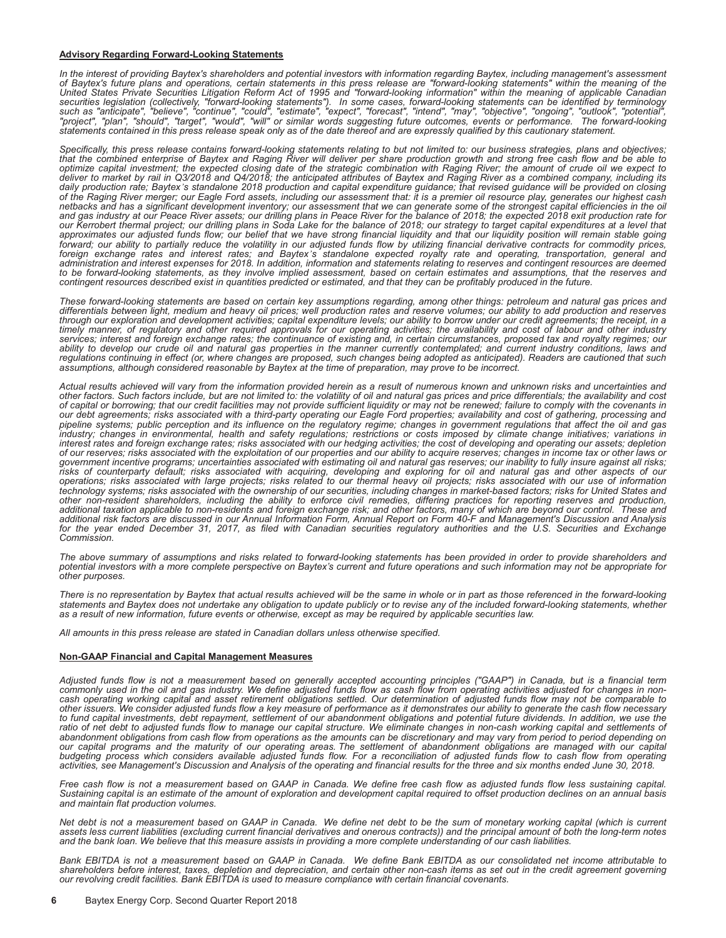#### **Advisory Regarding Forward-Looking Statements**

In the interest of providing Baytex's shareholders and potential investors with information regarding Baytex, including management's assessment<br>of Baytex's future plans and operations, certain statements in this press rele *United States Private Securities Litigation Reform Act of 1995 and "forward-looking information" within the meaning of applicable Canadian*  securities legislation (collectively, "forward-looking statements"). In some cases, forward-looking statements can be identified by terminology<br>such as "anticipate", "believe", "continue", "could", "estimate", "expect", "f *"project", "plan", "should", "target", "would", "will" or similar words suggesting future outcomes, events or performance. The forward-looking statements contained in this press release speak only as of the date thereof and are expressly qualified by this cautionary statement.*

*Specifically, this press release contains forward-looking statements relating to but not limited to: our business strategies, plans and objectives;*  that the combined enterprise of Baytex and Raging River will deliver per share production growth and strong free cash flow and be able to<br>optimize capital investment; the expected closing date of the strategic combination *deliver to market by rail in Q3/2018 and Q4/2018; the anticipated attributes of Baytex and Raging River as a combined company, including its daily production rate; Baytex's standalone 2018 production and capital expenditure guidance; that revised guidance will be provided on closing*  of the Raging River merger; our Eagle Ford assets, including our assessment that: it is a premier oil resource play, generates our highest cash<br>netbacks and has a significant development inventory; our assessment that we c *and gas industry at our Peace River assets; our drilling plans in Peace River for the balance of 2018; the expected 2018 exit production rate for*  our Kerrobert thermal project; our drilling plans in Soda Lake for the balance of 2018; our strategy to target capital expenditures at a level that<br>approximates our adjusted funds flow; our belief that we have strong finan forward; our ability to partially reduce the volatility in our adjusted funds flow by utilizing financial derivative contracts for commodity prices,<br>foreign exchange rates and interest rates; and Baytex's standalone expect *administration and interest expenses for 2018. In addition, information and statements relating to reserves and contingent resources are deemed to be forward-looking statements, as they involve implied assessment, based on certain estimates and assumptions, that the reserves and contingent resources described exist in quantities predicted or estimated, and that they can be profitably produced in the future.*

*These forward-looking statements are based on certain key assumptions regarding, among other things: petroleum and natural gas prices and differentials between light, medium and heavy oil prices; well production rates and reserve volumes; our ability to add production and reserves*  through our exploration and development activities; capital expenditure levels; our ability to borrow under our credit agreements; the receipt, in a<br>timely manner, of regulatory and other required approvals for our operati *services; interest and foreign exchange rates; the continuance of existing and, in certain circumstances, proposed tax and royalty regimes; our ability to develop our crude oil and natural gas properties in the manner currently contemplated; and current industry conditions, laws and regulations continuing in effect (or, where changes are proposed, such changes being adopted as anticipated). Readers are cautioned that such assumptions, although considered reasonable by Baytex at the time of preparation, may prove to be incorrect.*

*Actual results achieved will vary from the information provided herein as a result of numerous known and unknown risks and uncertainties and other factors. Such factors include, but are not limited to: the volatility of oil and natural gas prices and price differentials; the availability and cost of capital or borrowing; that our credit facilities may not provide sufficient liquidity or may not be renewed; failure to comply with the covenants in our debt agreements; risks associated with a third-party operating our Eagle Ford properties; availability and cost of gathering, processing and pipeline systems; public perception and its influence on the regulatory regime; changes in government regulations that affect the oil and gas*  industry; changes in environmental, health and safety regulations; restrictions or costs imposed by climate change initiatives; variations in *interest rates and foreign exchange rates; risks associated with our hedging activities; the cost of developing and operating our assets; depletion of our reserves; risks associated with the exploitation of our properties and our ability to acquire reserves; changes in income tax or other laws or government incentive programs; uncertainties associated with estimating oil and natural gas reserves; our inability to fully insure against all risks; risks of counterparty default; risks associated with acquiring, developing and exploring for oil and natural gas and other aspects of our operations; risks associated with large projects; risks related to our thermal heavy oil projects; risks associated with our use of information technology systems; risks associated with the ownership of our securities, including changes in market-based factors; risks for United States and other non-resident shareholders, including the ability to enforce civil remedies, differing practices for reporting reserves and production, additional taxation applicable to non-residents and foreign exchange risk; and other factors, many of which are beyond our control. These and additional risk factors are discussed in our Annual Information Form, Annual Report on Form 40-F and Management's Discussion and Analysis*  for the year ended December 31, 2017, as filed with Canadian securities regulatory authorities and the U.S. Securities and Exchange *Commission.* 

*The above summary of assumptions and risks related to forward-looking statements has been provided in order to provide shareholders and potential investors with a more complete perspective on Baytex's current and future operations and such information may not be appropriate for other purposes.*

*There is no representation by Baytex that actual results achieved will be the same in whole or in part as those referenced in the forward-looking statements and Baytex does not undertake any obligation to update publicly or to revise any of the included forward-looking statements, whether as a result of new information, future events or otherwise, except as may be required by applicable securities law.*

*All amounts in this press release are stated in Canadian dollars unless otherwise specified.*

#### **Non-GAAP Financial and Capital Management Measures**

*Adjusted funds flow is not a measurement based on generally accepted accounting principles ("GAAP") in Canada, but is a financial term commonly used in the oil and gas industry. We define adjusted funds flow as cash flow from operating activities adjusted for changes in noncash operating working capital and asset retirement obligations settled. Our determination of adjusted funds flow may not be comparable to other issuers. We consider adjusted funds flow a key measure of performance as it demonstrates our ability to generate the cash flow necessary to fund capital investments, debt repayment, settlement of our abandonment obligations and potential future dividends. In addition, we use the*  ratio of net debt to adjusted funds flow to manage our capital structure. We eliminate changes in non-cash working capital and settlements of abandonment obligations from cash flow from operations as the amounts can be discretionary and may vary from period to period depending on<br>our capital programs and the maturity of our operating areas. The settlement of aba *budgeting process which considers available adjusted funds flow. For a reconciliation of adjusted funds flow to cash flow from operating activities, see Management's Discussion and Analysis of the operating and financial results for the three and six months ended June 30, 2018.*

*Free cash flow is not a measurement based on GAAP in Canada. We define free cash flow as adjusted funds flow less sustaining capital. Sustaining capital is an estimate of the amount of exploration and development capital required to offset production declines on an annual basis and maintain flat production volumes.*

*Net debt is not a measurement based on GAAP in Canada. We define net debt to be the sum of monetary working capital (which is current* assets less current liabilities (excluding current financial derivatives and onerous contracts)) and the principal amount of both the long-term notes *and the bank loan. We believe that this measure assists in providing a more complete understanding of our cash liabilities.*

*Bank EBITDA is not a measurement based on GAAP in Canada. We define Bank EBITDA as our consolidated net income attributable to shareholders before interest, taxes, depletion and depreciation, and certain other non-cash items as set out in the credit agreement governing our revolving credit facilities. Bank EBITDA is used to measure compliance with certain financial covenants.*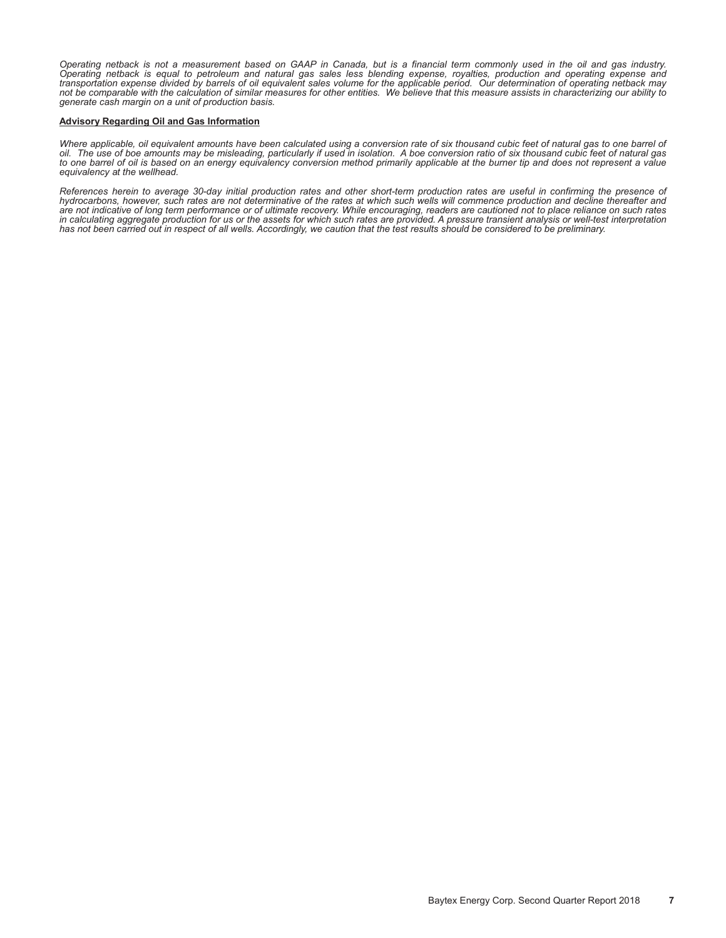*Operating netback is not a measurement based on GAAP in Canada, but is a financial term commonly used in the oil and gas industry.*  Operating netback is equal to petroleum and natural gas sales less blending expense, royalties, production and operating expense and<br>transportation expense divided by barrels of oil equivalent sales volume for the applicab *not be comparable with the calculation of similar measures for other entities. We believe that this measure assists in characterizing our ability to generate cash margin on a unit of production basis.*

#### **Advisory Regarding Oil and Gas Information**

*Where applicable, oil equivalent amounts have been calculated using a conversion rate of six thousand cubic feet of natural gas to one barrel of oil. The use of boe amounts may be misleading, particularly if used in isolation. A boe conversion ratio of six thousand cubic feet of natural gas to one barrel of oil is based on an energy equivalency conversion method primarily applicable at the burner tip and does not represent a value equivalency at the wellhead.*

*References herein to average 30-day initial production rates and other short-term production rates are useful in confirming the presence of hydrocarbons, however, such rates are not determinative of the rates at which such wells will commence production and decline thereafter and*  are not indicative of long term performance or of ultimate recovery. While encouraging, readers are cautioned not to place reliance on such rates<br>in calculating aggregate production for us or the assets for which such rate *has not been carried out in respect of all wells. Accordingly, we caution that the test results should be considered to be preliminary.*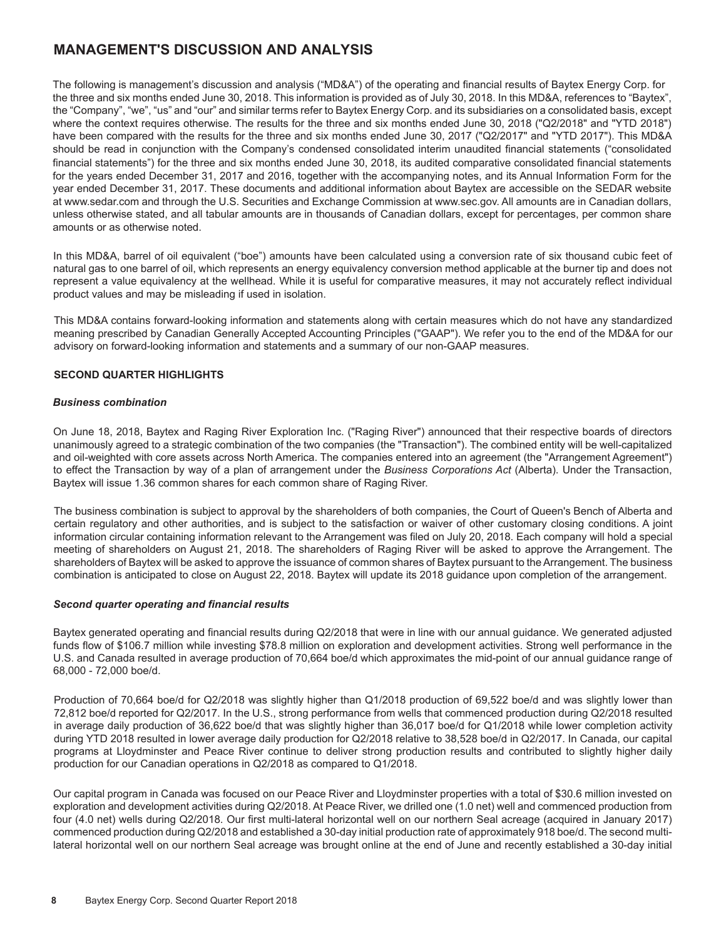## **MANAGEMENT'S DISCUSSION AND ANALYSIS**

The following is management's discussion and analysis ("MD&A") of the operating and financial results of Baytex Energy Corp. for the three and six months ended June 30, 2018. This information is provided as of July 30, 2018. In this MD&A, references to "Baytex", the "Company", "we", "us" and "our" and similar terms refer to Baytex Energy Corp. and its subsidiaries on a consolidated basis, except where the context requires otherwise. The results for the three and six months ended June 30, 2018 ("Q2/2018" and "YTD 2018") have been compared with the results for the three and six months ended June 30, 2017 ("Q2/2017" and "YTD 2017"). This MD&A should be read in conjunction with the Company's condensed consolidated interim unaudited financial statements ("consolidated financial statements") for the three and six months ended June 30, 2018, its audited comparative consolidated financial statements for the years ended December 31, 2017 and 2016, together with the accompanying notes, and its Annual Information Form for the year ended December 31, 2017. These documents and additional information about Baytex are accessible on the SEDAR website at www.sedar.com and through the U.S. Securities and Exchange Commission at www.sec.gov. All amounts are in Canadian dollars, unless otherwise stated, and all tabular amounts are in thousands of Canadian dollars, except for percentages, per common share amounts or as otherwise noted.

In this MD&A, barrel of oil equivalent ("boe") amounts have been calculated using a conversion rate of six thousand cubic feet of natural gas to one barrel of oil, which represents an energy equivalency conversion method applicable at the burner tip and does not represent a value equivalency at the wellhead. While it is useful for comparative measures, it may not accurately reflect individual product values and may be misleading if used in isolation.

This MD&A contains forward-looking information and statements along with certain measures which do not have any standardized meaning prescribed by Canadian Generally Accepted Accounting Principles ("GAAP"). We refer you to the end of the MD&A for our advisory on forward-looking information and statements and a summary of our non-GAAP measures.

#### **SECOND QUARTER HIGHLIGHTS**

#### *Business combination*

On June 18, 2018, Baytex and Raging River Exploration Inc. ("Raging River") announced that their respective boards of directors unanimously agreed to a strategic combination of the two companies (the "Transaction"). The combined entity will be well-capitalized and oil-weighted with core assets across North America. The companies entered into an agreement (the "Arrangement Agreement") to effect the Transaction by way of a plan of arrangement under the *Business Corporations Act* (Alberta). Under the Transaction, Baytex will issue 1.36 common shares for each common share of Raging River.

The business combination is subject to approval by the shareholders of both companies, the Court of Queen's Bench of Alberta and certain regulatory and other authorities, and is subject to the satisfaction or waiver of other customary closing conditions. A joint information circular containing information relevant to the Arrangement was filed on July 20, 2018. Each company will hold a special meeting of shareholders on August 21, 2018. The shareholders of Raging River will be asked to approve the Arrangement. The shareholders of Baytex will be asked to approve the issuance of common shares of Baytex pursuant to the Arrangement. The business combination is anticipated to close on August 22, 2018. Baytex will update its 2018 guidance upon completion of the arrangement.

#### *Second quarter operating and financial results*

Baytex generated operating and financial results during Q2/2018 that were in line with our annual guidance. We generated adjusted funds flow of \$106.7 million while investing \$78.8 million on exploration and development activities. Strong well performance in the U.S. and Canada resulted in average production of 70,664 boe/d which approximates the mid-point of our annual guidance range of 68,000 - 72,000 boe/d.

Production of 70,664 boe/d for Q2/2018 was slightly higher than Q1/2018 production of 69,522 boe/d and was slightly lower than 72,812 boe/d reported for Q2/2017. In the U.S., strong performance from wells that commenced production during Q2/2018 resulted in average daily production of 36,622 boe/d that was slightly higher than 36,017 boe/d for Q1/2018 while lower completion activity during YTD 2018 resulted in lower average daily production for Q2/2018 relative to 38,528 boe/d in Q2/2017. In Canada, our capital programs at Lloydminster and Peace River continue to deliver strong production results and contributed to slightly higher daily production for our Canadian operations in Q2/2018 as compared to Q1/2018.

Our capital program in Canada was focused on our Peace River and Lloydminster properties with a total of \$30.6 million invested on exploration and development activities during Q2/2018. At Peace River, we drilled one (1.0 net) well and commenced production from four (4.0 net) wells during Q2/2018. Our first multi-lateral horizontal well on our northern Seal acreage (acquired in January 2017) commenced production during Q2/2018 and established a 30-day initial production rate of approximately 918 boe/d. The second multilateral horizontal well on our northern Seal acreage was brought online at the end of June and recently established a 30-day initial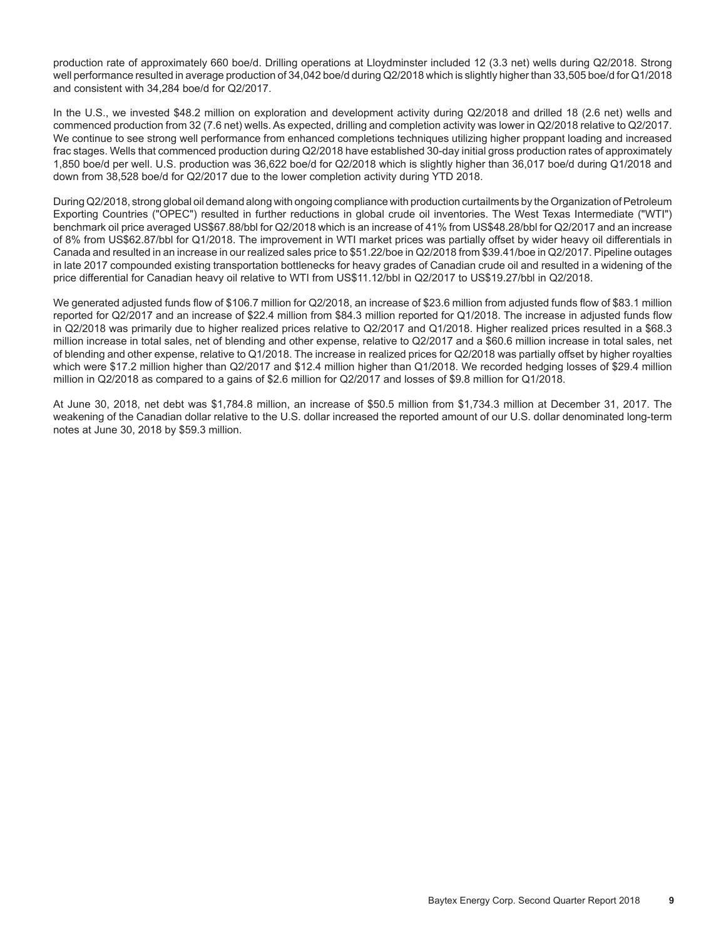production rate of approximately 660 boe/d. Drilling operations at Lloydminster included 12 (3.3 net) wells during Q2/2018. Strong well performance resulted in average production of 34,042 boe/d during Q2/2018 which is slightly higher than 33,505 boe/d for Q1/2018 and consistent with 34,284 boe/d for Q2/2017.

In the U.S., we invested \$48.2 million on exploration and development activity during Q2/2018 and drilled 18 (2.6 net) wells and commenced production from 32 (7.6 net) wells. As expected, drilling and completion activity was lower in Q2/2018 relative to Q2/2017. We continue to see strong well performance from enhanced completions techniques utilizing higher proppant loading and increased frac stages. Wells that commenced production during Q2/2018 have established 30-day initial gross production rates of approximately 1,850 boe/d per well. U.S. production was 36,622 boe/d for Q2/2018 which is slightly higher than 36,017 boe/d during Q1/2018 and down from 38,528 boe/d for Q2/2017 due to the lower completion activity during YTD 2018.

During Q2/2018, strong global oil demand along with ongoing compliance with production curtailments by the Organization of Petroleum Exporting Countries ("OPEC") resulted in further reductions in global crude oil inventories. The West Texas Intermediate ("WTI") benchmark oil price averaged US\$67.88/bbl for Q2/2018 which is an increase of 41% from US\$48.28/bbl for Q2/2017 and an increase of 8% from US\$62.87/bbl for Q1/2018. The improvement in WTI market prices was partially offset by wider heavy oil differentials in Canada and resulted in an increase in our realized sales price to \$51.22/boe in Q2/2018 from \$39.41/boe in Q2/2017. Pipeline outages in late 2017 compounded existing transportation bottlenecks for heavy grades of Canadian crude oil and resulted in a widening of the price differential for Canadian heavy oil relative to WTI from US\$11.12/bbl in Q2/2017 to US\$19.27/bbl in Q2/2018.

We generated adjusted funds flow of \$106.7 million for Q2/2018, an increase of \$23.6 million from adjusted funds flow of \$83.1 million reported for Q2/2017 and an increase of \$22.4 million from \$84.3 million reported for Q1/2018. The increase in adjusted funds flow in Q2/2018 was primarily due to higher realized prices relative to Q2/2017 and Q1/2018. Higher realized prices resulted in a \$68.3 million increase in total sales, net of blending and other expense, relative to Q2/2017 and a \$60.6 million increase in total sales, net of blending and other expense, relative to Q1/2018. The increase in realized prices for Q2/2018 was partially offset by higher royalties which were \$17.2 million higher than Q2/2017 and \$12.4 million higher than Q1/2018. We recorded hedging losses of \$29.4 million million in Q2/2018 as compared to a gains of \$2.6 million for Q2/2017 and losses of \$9.8 million for Q1/2018.

At June 30, 2018, net debt was \$1,784.8 million, an increase of \$50.5 million from \$1,734.3 million at December 31, 2017. The weakening of the Canadian dollar relative to the U.S. dollar increased the reported amount of our U.S. dollar denominated long-term notes at June 30, 2018 by \$59.3 million.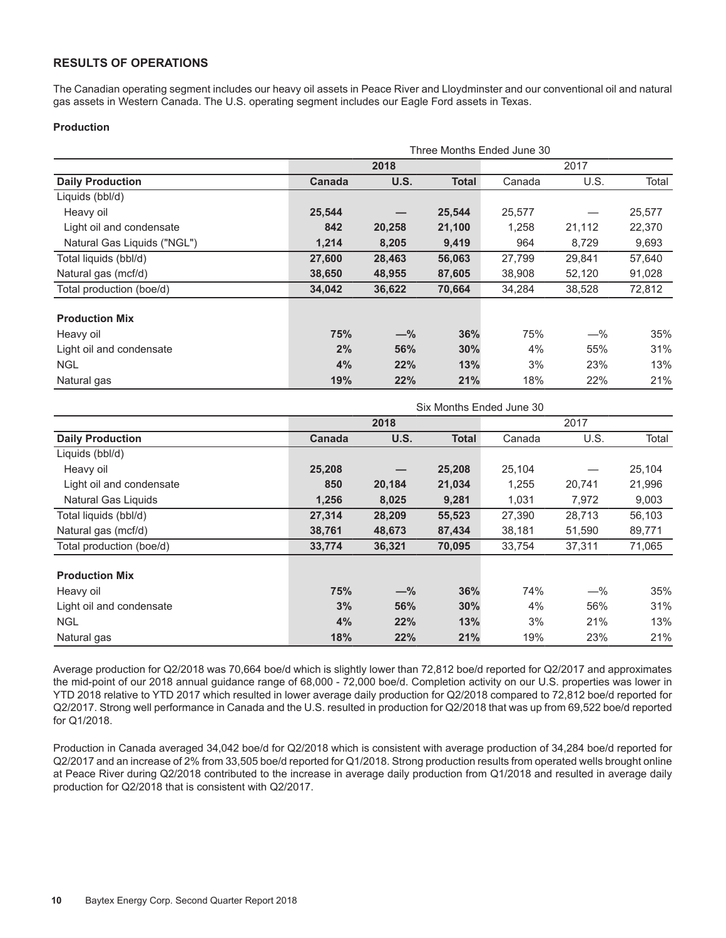### **RESULTS OF OPERATIONS**

The Canadian operating segment includes our heavy oil assets in Peace River and Lloydminster and our conventional oil and natural gas assets in Western Canada. The U.S. operating segment includes our Eagle Ford assets in Texas.

#### **Production**

| Three Months Ended June 30  |        |        |              |        |        |        |  |  |  |  |  |
|-----------------------------|--------|--------|--------------|--------|--------|--------|--|--|--|--|--|
|                             |        | 2018   |              |        |        |        |  |  |  |  |  |
| <b>Daily Production</b>     | Canada | U.S.   | <b>Total</b> | Canada | U.S.   | Total  |  |  |  |  |  |
| Liquids (bbl/d)             |        |        |              |        |        |        |  |  |  |  |  |
| Heavy oil                   | 25,544 |        | 25,544       | 25,577 |        | 25,577 |  |  |  |  |  |
| Light oil and condensate    | 842    | 20,258 | 21,100       | 1,258  | 21,112 | 22,370 |  |  |  |  |  |
| Natural Gas Liquids ("NGL") | 1,214  | 8,205  | 9,419        | 964    | 8,729  | 9,693  |  |  |  |  |  |
| Total liquids (bbl/d)       | 27,600 | 28,463 | 56,063       | 27,799 | 29,841 | 57,640 |  |  |  |  |  |
| Natural gas (mcf/d)         | 38,650 | 48,955 | 87,605       | 38,908 | 52,120 | 91,028 |  |  |  |  |  |
| Total production (boe/d)    | 34,042 | 36,622 | 70,664       | 34,284 | 38,528 | 72,812 |  |  |  |  |  |
| <b>Production Mix</b>       |        |        |              |        |        |        |  |  |  |  |  |
| Heavy oil                   | 75%    | $-\%$  | 36%          | 75%    | $-\%$  | 35%    |  |  |  |  |  |
| Light oil and condensate    | 2%     | 56%    | 30%          | 4%     | 55%    | 31%    |  |  |  |  |  |
| <b>NGL</b>                  | 4%     | 22%    | 13%          | 3%     | 23%    | 13%    |  |  |  |  |  |
| Natural gas                 | 19%    | 22%    | 21%          | 18%    | 22%    | 21%    |  |  |  |  |  |

|                          | Six Months Ended June 30 |        |        |        |        |        |  |  |  |  |  |
|--------------------------|--------------------------|--------|--------|--------|--------|--------|--|--|--|--|--|
|                          |                          | 2018   |        |        |        |        |  |  |  |  |  |
| <b>Daily Production</b>  | Canada                   | U.S.   | Total  | Canada | U.S.   | Total  |  |  |  |  |  |
| Liquids (bbl/d)          |                          |        |        |        |        |        |  |  |  |  |  |
| Heavy oil                | 25,208                   |        | 25,208 | 25,104 |        | 25,104 |  |  |  |  |  |
| Light oil and condensate | 850                      | 20,184 | 21,034 | 1,255  | 20,741 | 21,996 |  |  |  |  |  |
| Natural Gas Liquids      | 1,256                    | 8,025  | 9,281  | 1,031  | 7,972  | 9,003  |  |  |  |  |  |
| Total liquids (bbl/d)    | 27,314                   | 28,209 | 55,523 | 27,390 | 28,713 | 56,103 |  |  |  |  |  |
| Natural gas (mcf/d)      | 38,761                   | 48,673 | 87,434 | 38,181 | 51,590 | 89,771 |  |  |  |  |  |
| Total production (boe/d) | 33,774                   | 36,321 | 70,095 | 33,754 | 37,311 | 71,065 |  |  |  |  |  |
| <b>Production Mix</b>    |                          |        |        |        |        |        |  |  |  |  |  |
| Heavy oil                | 75%                      | $-\%$  | 36%    | 74%    | $-$ %  | 35%    |  |  |  |  |  |
| Light oil and condensate | 3%                       | 56%    | 30%    | 4%     | 56%    | 31%    |  |  |  |  |  |
| <b>NGL</b>               | 4%                       | 22%    | 13%    | 3%     | 21%    | 13%    |  |  |  |  |  |
| Natural gas              | 18%                      | 22%    | 21%    | 19%    | 23%    | 21%    |  |  |  |  |  |

Average production for Q2/2018 was 70,664 boe/d which is slightly lower than 72,812 boe/d reported for Q2/2017 and approximates the mid-point of our 2018 annual guidance range of 68,000 - 72,000 boe/d. Completion activity on our U.S. properties was lower in YTD 2018 relative to YTD 2017 which resulted in lower average daily production for Q2/2018 compared to 72,812 boe/d reported for Q2/2017. Strong well performance in Canada and the U.S. resulted in production for Q2/2018 that was up from 69,522 boe/d reported for Q1/2018.

Production in Canada averaged 34,042 boe/d for Q2/2018 which is consistent with average production of 34,284 boe/d reported for Q2/2017 and an increase of 2% from 33,505 boe/d reported for Q1/2018. Strong production results from operated wells brought online at Peace River during Q2/2018 contributed to the increase in average daily production from Q1/2018 and resulted in average daily production for Q2/2018 that is consistent with Q2/2017.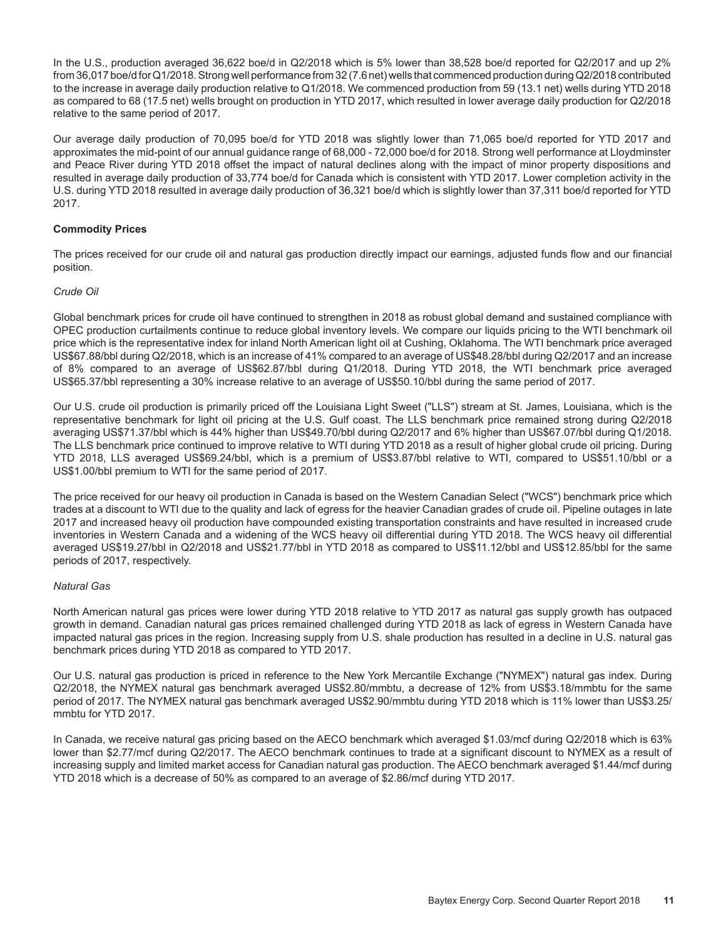In the U.S., production averaged 36,622 boe/d in Q2/2018 which is 5% lower than 38,528 boe/d reported for Q2/2017 and up 2% from 36,017 boe/d for Q1/2018. Strong well performance from 32 (7.6 net) wells that commenced production during Q2/2018 contributed to the increase in average daily production relative to Q1/2018. We commenced production from 59 (13.1 net) wells during YTD 2018 as compared to 68 (17.5 net) wells brought on production in YTD 2017, which resulted in lower average daily production for Q2/2018 relative to the same period of 2017.

Our average daily production of 70,095 boe/d for YTD 2018 was slightly lower than 71,065 boe/d reported for YTD 2017 and approximates the mid-point of our annual guidance range of 68,000 - 72,000 boe/d for 2018. Strong well performance at Lloydminster and Peace River during YTD 2018 offset the impact of natural declines along with the impact of minor property dispositions and resulted in average daily production of 33,774 boe/d for Canada which is consistent with YTD 2017. Lower completion activity in the U.S. during YTD 2018 resulted in average daily production of 36,321 boe/d which is slightly lower than 37,311 boe/d reported for YTD 2017.

#### **Commodity Prices**

The prices received for our crude oil and natural gas production directly impact our earnings, adjusted funds flow and our financial position.

#### *Crude Oil*

Global benchmark prices for crude oil have continued to strengthen in 2018 as robust global demand and sustained compliance with OPEC production curtailments continue to reduce global inventory levels. We compare our liquids pricing to the WTI benchmark oil price which is the representative index for inland North American light oil at Cushing, Oklahoma. The WTI benchmark price averaged US\$67.88/bbl during Q2/2018, which is an increase of 41% compared to an average of US\$48.28/bbl during Q2/2017 and an increase of 8% compared to an average of US\$62.87/bbl during Q1/2018. During YTD 2018, the WTI benchmark price averaged US\$65.37/bbl representing a 30% increase relative to an average of US\$50.10/bbl during the same period of 2017.

Our U.S. crude oil production is primarily priced off the Louisiana Light Sweet ("LLS") stream at St. James, Louisiana, which is the representative benchmark for light oil pricing at the U.S. Gulf coast. The LLS benchmark price remained strong during Q2/2018 averaging US\$71.37/bbl which is 44% higher than US\$49.70/bbl during Q2/2017 and 6% higher than US\$67.07/bbl during Q1/2018. The LLS benchmark price continued to improve relative to WTI during YTD 2018 as a result of higher global crude oil pricing. During YTD 2018, LLS averaged US\$69.24/bbl, which is a premium of US\$3.87/bbl relative to WTI, compared to US\$51.10/bbl or a US\$1.00/bbl premium to WTI for the same period of 2017.

The price received for our heavy oil production in Canada is based on the Western Canadian Select ("WCS") benchmark price which trades at a discount to WTI due to the quality and lack of egress for the heavier Canadian grades of crude oil. Pipeline outages in late 2017 and increased heavy oil production have compounded existing transportation constraints and have resulted in increased crude inventories in Western Canada and a widening of the WCS heavy oil differential during YTD 2018. The WCS heavy oil differential averaged US\$19.27/bbl in Q2/2018 and US\$21.77/bbl in YTD 2018 as compared to US\$11.12/bbl and US\$12.85/bbl for the same periods of 2017, respectively.

#### *Natural Gas*

North American natural gas prices were lower during YTD 2018 relative to YTD 2017 as natural gas supply growth has outpaced growth in demand. Canadian natural gas prices remained challenged during YTD 2018 as lack of egress in Western Canada have impacted natural gas prices in the region. Increasing supply from U.S. shale production has resulted in a decline in U.S. natural gas benchmark prices during YTD 2018 as compared to YTD 2017.

Our U.S. natural gas production is priced in reference to the New York Mercantile Exchange ("NYMEX") natural gas index. During Q2/2018, the NYMEX natural gas benchmark averaged US\$2.80/mmbtu, a decrease of 12% from US\$3.18/mmbtu for the same period of 2017. The NYMEX natural gas benchmark averaged US\$2.90/mmbtu during YTD 2018 which is 11% lower than US\$3.25/ mmbtu for YTD 2017.

In Canada, we receive natural gas pricing based on the AECO benchmark which averaged \$1.03/mcf during Q2/2018 which is 63% lower than \$2.77/mcf during Q2/2017. The AECO benchmark continues to trade at a significant discount to NYMEX as a result of increasing supply and limited market access for Canadian natural gas production. The AECO benchmark averaged \$1.44/mcf during YTD 2018 which is a decrease of 50% as compared to an average of \$2.86/mcf during YTD 2017.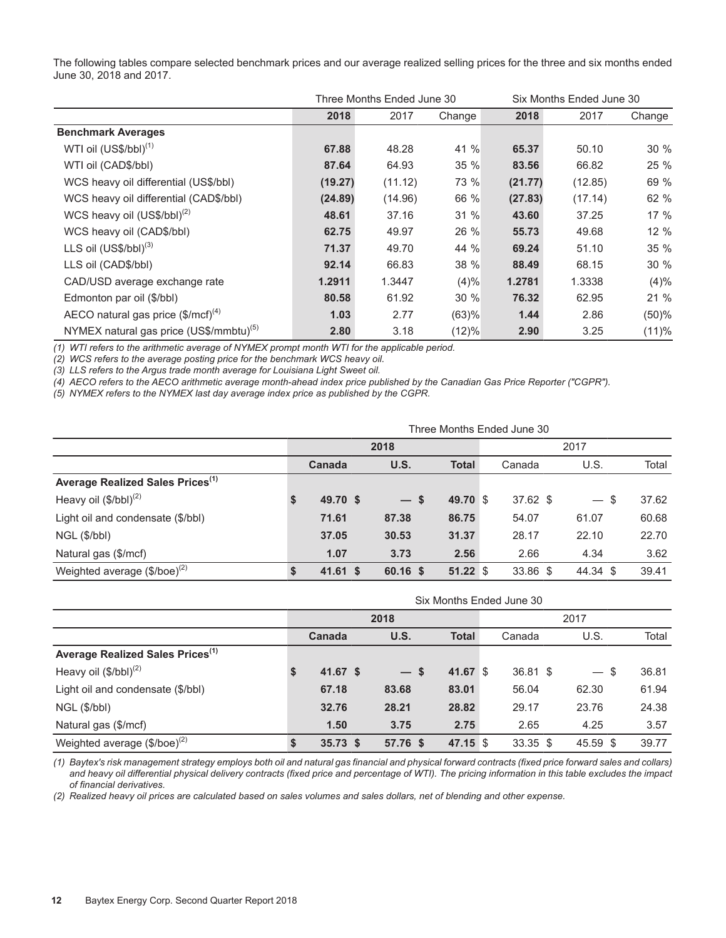|                                                     |         | Three Months Ended June 30 |        | Six Months Ended June 30 |         |        |  |
|-----------------------------------------------------|---------|----------------------------|--------|--------------------------|---------|--------|--|
|                                                     | 2018    | 2017                       | Change | 2018                     | 2017    | Change |  |
| <b>Benchmark Averages</b>                           |         |                            |        |                          |         |        |  |
| WTI oil (US\$/bbl) <sup>(1)</sup>                   | 67.88   | 48.28                      | 41 %   | 65.37                    | 50.10   | 30%    |  |
| WTI oil (CAD\$/bbl)                                 | 87.64   | 64.93                      | 35 %   | 83.56                    | 66.82   | 25 %   |  |
| WCS heavy oil differential (US\$/bbl)               | (19.27) | (11.12)                    | 73 %   | (21.77)                  | (12.85) | 69 %   |  |
| WCS heavy oil differential (CAD\$/bbl)              | (24.89) | (14.96)                    | 66 %   | (27.83)                  | (17.14) | 62 %   |  |
| WCS heavy oil $(US$/bbI)^{(2)}$                     | 48.61   | 37.16                      | 31 %   | 43.60                    | 37.25   | 17 %   |  |
| WCS heavy oil (CAD\$/bbl)                           | 62.75   | 49.97                      | 26 %   | 55.73                    | 49.68   | 12%    |  |
| LLS oil $(US$/bbI)^{(3)}$                           | 71.37   | 49.70                      | 44 %   | 69.24                    | 51.10   | 35 %   |  |
| LLS oil (CAD\$/bbl)                                 | 92.14   | 66.83                      | 38 %   | 88.49                    | 68.15   | 30 %   |  |
| CAD/USD average exchange rate                       | 1.2911  | 1.3447                     | (4)%   | 1.2781                   | 1.3338  | (4)%   |  |
| Edmonton par oil (\$/bbl)                           | 80.58   | 61.92                      | 30 %   | 76.32                    | 62.95   | 21%    |  |
| AECO natural gas price $(\$/mcf)^{(4)}$             | 1.03    | 2.77                       | (63)%  | 1.44                     | 2.86    | (50)%  |  |
| NYMEX natural gas price (US\$/mmbtu) <sup>(5)</sup> | 2.80    | 3.18                       | (12)%  | 2.90                     | 3.25    | (11)%  |  |

The following tables compare selected benchmark prices and our average realized selling prices for the three and six months ended June 30, 2018 and 2017.

*(1) WTI refers to the arithmetic average of NYMEX prompt month WTI for the applicable period.* 

*(2) WCS refers to the average posting price for the benchmark WCS heavy oil.* 

*(3) LLS refers to the Argus trade month average for Louisiana Light Sweet oil.*

*(4) AECO refers to the AECO arithmetic average month-ahead index price published by the Canadian Gas Price Reporter ("CGPR").*

*(5) NYMEX refers to the NYMEX last day average index price as published by the CGPR.*

|                                                 | Three Months Ended June 30 |            |       |          |              |      |          |  |          |  |       |  |
|-------------------------------------------------|----------------------------|------------|-------|----------|--------------|------|----------|--|----------|--|-------|--|
|                                                 |                            |            | 2018  |          |              | 2017 |          |  |          |  |       |  |
|                                                 |                            | Canada     |       | U.S.     | <b>Total</b> |      | Canada   |  | U.S.     |  | Total |  |
| Average Realized Sales Prices <sup>(1)</sup>    |                            |            |       |          |              |      |          |  |          |  |       |  |
| Heavy oil $(\$/bbl)^{(2)}$                      | S                          | 49.70 \$   |       | $-$ \$   | 49.70 \$     |      | 37.62 \$ |  | $-$ \$   |  | 37.62 |  |
| Light oil and condensate (\$/bbl)               |                            | 71.61      | 87.38 |          | 86.75        |      | 54.07    |  | 61.07    |  | 60.68 |  |
| NGL (\$/bbl)                                    |                            | 37.05      | 30.53 |          | 31.37        |      | 28.17    |  | 22.10    |  | 22.70 |  |
| Natural gas (\$/mcf)                            |                            | 1.07       |       | 3.73     | 2.56         |      | 2.66     |  | 4.34     |  | 3.62  |  |
| Weighted average $(\frac{6}{\b}$ /boe $)^{(2)}$ |                            | $41.61$ \$ |       | 60.16 \$ | 51.22S       |      | 33.86 \$ |  | 44.34 \$ |  | 39.41 |  |

|                                              | Six Months Ended June 30 |            |  |          |              |  |            |  |          |       |  |
|----------------------------------------------|--------------------------|------------|--|----------|--------------|--|------------|--|----------|-------|--|
|                                              |                          |            |  | 2018     |              |  | 2017       |  |          |       |  |
|                                              |                          | Canada     |  | U.S.     | <b>Total</b> |  | Canada     |  | U.S.     | Total |  |
| Average Realized Sales Prices <sup>(1)</sup> |                          |            |  |          |              |  |            |  |          |       |  |
| Heavy oil $(\$/bbl)^{(2)}$                   | S                        | $41.67$ \$ |  | $-s$     | 41.67 \$     |  | 36.81 \$   |  | - \$     | 36.81 |  |
| Light oil and condensate (\$/bbl)            |                          | 67.18      |  | 83.68    | 83.01        |  | 56.04      |  | 62.30    | 61.94 |  |
| $NGL$ (\$/bbl)                               |                          | 32.76      |  | 28.21    | 28.82        |  | 29.17      |  | 23.76    | 24.38 |  |
| Natural gas (\$/mcf)                         |                          | 1.50       |  | 3.75     | 2.75         |  | 2.65       |  | 4.25     | 3.57  |  |
| Weighted average $(\$/boe)^{(2)}$            | <b>S</b>                 | $35.73$ \$ |  | 57.76 \$ | 47.15 \$     |  | $33.35$ \$ |  | 45.59 \$ | 39.77 |  |

*(1) Baytex's risk management strategy employs both oil and natural gas financial and physical forward contracts (fixed price forward sales and collars) and heavy oil differential physical delivery contracts (fixed price and percentage of WTI). The pricing information in this table excludes the impact of financial derivatives.* 

*(2) Realized heavy oil prices are calculated based on sales volumes and sales dollars, net of blending and other expense.*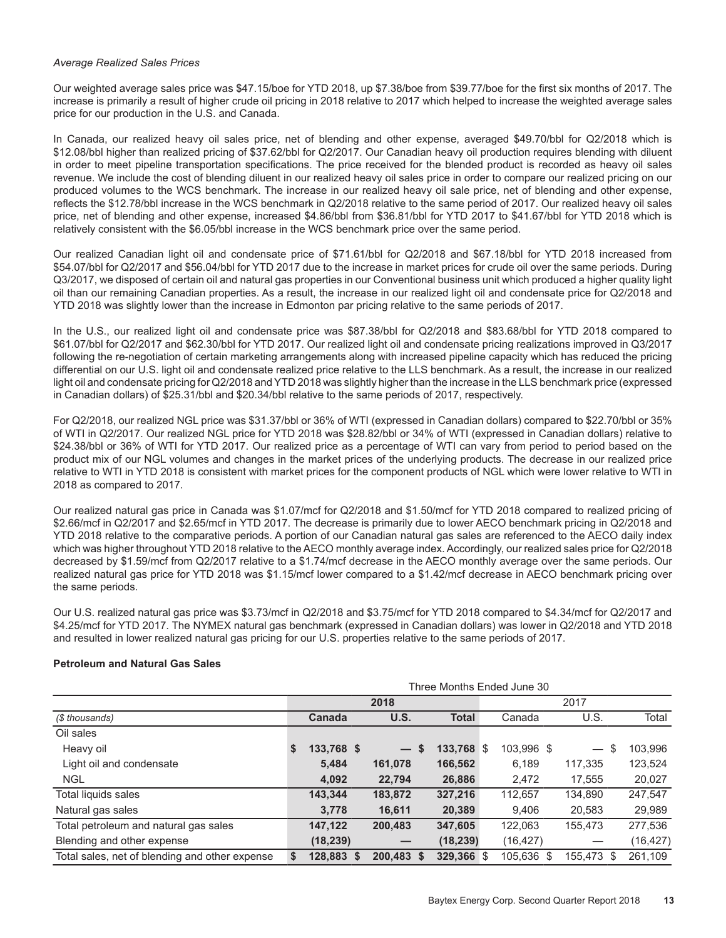#### *Average Realized Sales Prices*

Our weighted average sales price was \$47.15/boe for YTD 2018, up \$7.38/boe from \$39.77/boe for the first six months of 2017. The increase is primarily a result of higher crude oil pricing in 2018 relative to 2017 which helped to increase the weighted average sales price for our production in the U.S. and Canada.

In Canada, our realized heavy oil sales price, net of blending and other expense, averaged \$49.70/bbl for Q2/2018 which is \$12.08/bbl higher than realized pricing of \$37.62/bbl for Q2/2017. Our Canadian heavy oil production requires blending with diluent in order to meet pipeline transportation specifications. The price received for the blended product is recorded as heavy oil sales revenue. We include the cost of blending diluent in our realized heavy oil sales price in order to compare our realized pricing on our produced volumes to the WCS benchmark. The increase in our realized heavy oil sale price, net of blending and other expense, reflects the \$12.78/bbl increase in the WCS benchmark in Q2/2018 relative to the same period of 2017. Our realized heavy oil sales price, net of blending and other expense, increased \$4.86/bbl from \$36.81/bbl for YTD 2017 to \$41.67/bbl for YTD 2018 which is relatively consistent with the \$6.05/bbl increase in the WCS benchmark price over the same period.

Our realized Canadian light oil and condensate price of \$71.61/bbl for Q2/2018 and \$67.18/bbl for YTD 2018 increased from \$54.07/bbl for Q2/2017 and \$56.04/bbl for YTD 2017 due to the increase in market prices for crude oil over the same periods. During Q3/2017, we disposed of certain oil and natural gas properties in our Conventional business unit which produced a higher quality light oil than our remaining Canadian properties. As a result, the increase in our realized light oil and condensate price for Q2/2018 and YTD 2018 was slightly lower than the increase in Edmonton par pricing relative to the same periods of 2017.

In the U.S., our realized light oil and condensate price was \$87.38/bbl for Q2/2018 and \$83.68/bbl for YTD 2018 compared to \$61.07/bbl for Q2/2017 and \$62.30/bbl for YTD 2017. Our realized light oil and condensate pricing realizations improved in Q3/2017 following the re-negotiation of certain marketing arrangements along with increased pipeline capacity which has reduced the pricing differential on our U.S. light oil and condensate realized price relative to the LLS benchmark. As a result, the increase in our realized light oil and condensate pricing for Q2/2018 and YTD 2018 was slightly higher than the increase in the LLS benchmark price (expressed in Canadian dollars) of \$25.31/bbl and \$20.34/bbl relative to the same periods of 2017, respectively.

For Q2/2018, our realized NGL price was \$31.37/bbl or 36% of WTI (expressed in Canadian dollars) compared to \$22.70/bbl or 35% of WTI in Q2/2017. Our realized NGL price for YTD 2018 was \$28.82/bbl or 34% of WTI (expressed in Canadian dollars) relative to \$24.38/bbl or 36% of WTI for YTD 2017. Our realized price as a percentage of WTI can vary from period to period based on the product mix of our NGL volumes and changes in the market prices of the underlying products. The decrease in our realized price relative to WTI in YTD 2018 is consistent with market prices for the component products of NGL which were lower relative to WTI in 2018 as compared to 2017.

Our realized natural gas price in Canada was \$1.07/mcf for Q2/2018 and \$1.50/mcf for YTD 2018 compared to realized pricing of \$2.66/mcf in Q2/2017 and \$2.65/mcf in YTD 2017. The decrease is primarily due to lower AECO benchmark pricing in Q2/2018 and YTD 2018 relative to the comparative periods. A portion of our Canadian natural gas sales are referenced to the AECO daily index which was higher throughout YTD 2018 relative to the AECO monthly average index. Accordingly, our realized sales price for Q2/2018 decreased by \$1.59/mcf from Q2/2017 relative to a \$1.74/mcf decrease in the AECO monthly average over the same periods. Our realized natural gas price for YTD 2018 was \$1.15/mcf lower compared to a \$1.42/mcf decrease in AECO benchmark pricing over the same periods.

Our U.S. realized natural gas price was \$3.73/mcf in Q2/2018 and \$3.75/mcf for YTD 2018 compared to \$4.34/mcf for Q2/2017 and \$4.25/mcf for YTD 2017. The NYMEX natural gas benchmark (expressed in Canadian dollars) was lower in Q2/2018 and YTD 2018 and resulted in lower realized natural gas pricing for our U.S. properties relative to the same periods of 2017.

#### **Petroleum and Natural Gas Sales**

|                                                |    |            |                                |              |  | Three Months Ended June 30 |            |           |
|------------------------------------------------|----|------------|--------------------------------|--------------|--|----------------------------|------------|-----------|
|                                                |    |            | 2018                           | 2017         |  |                            |            |           |
| (\$ thousands)                                 |    | Canada     | <b>U.S.</b>                    | <b>Total</b> |  | Canada                     | U.S.       | Total     |
| Oil sales                                      |    |            |                                |              |  |                            |            |           |
| Heavy oil                                      | \$ | 133,768 \$ | \$<br>$\overline{\phantom{0}}$ | $133,768$ \$ |  | 103,996 \$                 | \$         | 103,996   |
| Light oil and condensate                       |    | 5.484      | 161,078                        | 166,562      |  | 6.189                      | 117,335    | 123,524   |
| <b>NGL</b>                                     |    | 4,092      | 22,794                         | 26,886       |  | 2,472                      | 17,555     | 20,027    |
| Total liquids sales                            |    | 143,344    | 183,872                        | 327,216      |  | 112,657                    | 134,890    | 247,547   |
| Natural gas sales                              |    | 3.778      | 16,611                         | 20,389       |  | 9,406                      | 20,583     | 29,989    |
| Total petroleum and natural gas sales          |    | 147,122    | 200,483                        | 347,605      |  | 122,063                    | 155,473    | 277,536   |
| Blending and other expense                     |    | (18, 239)  |                                | (18, 239)    |  | (16, 427)                  |            | (16, 427) |
| Total sales, net of blending and other expense | S. | 128,883 \$ | 200.483 \$                     | 329,366 \$   |  | 105.636 \$                 | 155.473 \$ | 261.109   |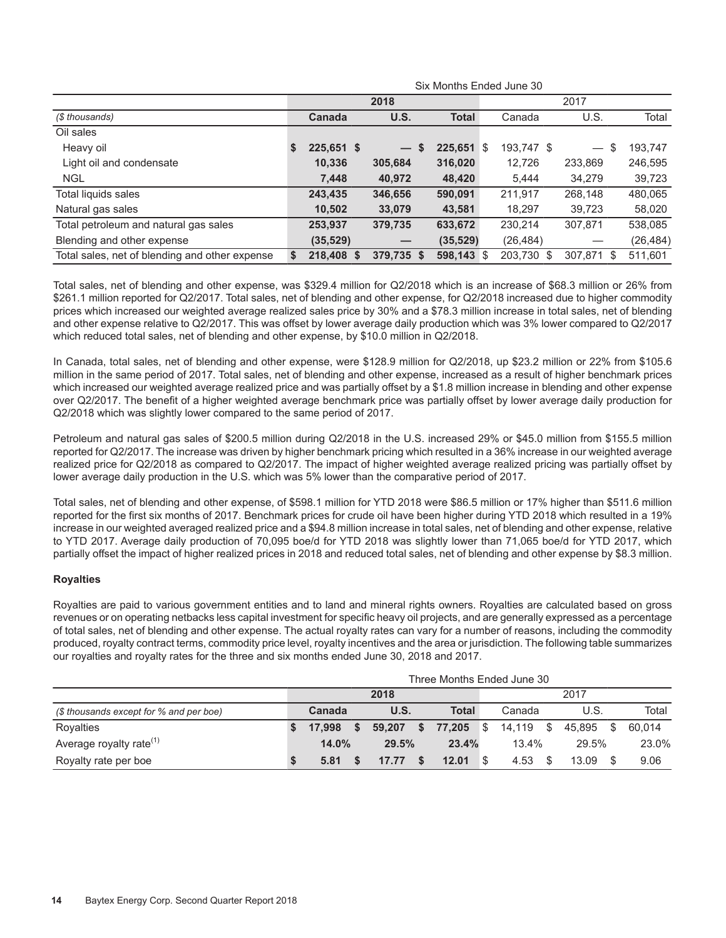|                                                | SIX MONTHS ENGED JUNE 30 |               |  |                      |              |    |            |                                        |           |  |  |  |
|------------------------------------------------|--------------------------|---------------|--|----------------------|--------------|----|------------|----------------------------------------|-----------|--|--|--|
|                                                |                          |               |  | 2018                 | 2017         |    |            |                                        |           |  |  |  |
| (\$ thousands)                                 |                          | <b>Canada</b> |  | U.S.                 | <b>Total</b> |    | Canada     | U.S.                                   | Total     |  |  |  |
| Oil sales                                      |                          |               |  |                      |              |    |            |                                        |           |  |  |  |
| Heavy oil                                      | -S                       | 225,651 \$    |  | S<br>$\qquad \qquad$ | 225,651      | -S | 193,747 \$ | \$<br>$\overbrace{\phantom{12322111}}$ | 193,747   |  |  |  |
| Light oil and condensate                       |                          | 10,336        |  | 305,684              | 316,020      |    | 12,726     | 233,869                                | 246,595   |  |  |  |
| <b>NGL</b>                                     |                          | 7,448         |  | 40,972               | 48,420       |    | 5.444      | 34,279                                 | 39,723    |  |  |  |
| Total liquids sales                            |                          | 243,435       |  | 346,656              | 590,091      |    | 211,917    | 268,148                                | 480,065   |  |  |  |
| Natural gas sales                              |                          | 10,502        |  | 33,079               | 43,581       |    | 18,297     | 39,723                                 | 58,020    |  |  |  |
| Total petroleum and natural gas sales          |                          | 253,937       |  | 379,735              | 633,672      |    | 230,214    | 307,871                                | 538,085   |  |  |  |
| Blending and other expense                     |                          | (35, 529)     |  |                      | (35, 529)    |    | (26, 484)  |                                        | (26, 484) |  |  |  |
| Total sales, net of blending and other expense | S                        | 218,408 \$    |  | 379,735 \$           | $598,143$ \$ |    | 203,730 \$ | 307.871 \$                             | 511,601   |  |  |  |

Six Months Ended June 30

Total sales, net of blending and other expense, was \$329.4 million for Q2/2018 which is an increase of \$68.3 million or 26% from \$261.1 million reported for Q2/2017. Total sales, net of blending and other expense, for Q2/2018 increased due to higher commodity prices which increased our weighted average realized sales price by 30% and a \$78.3 million increase in total sales, net of blending and other expense relative to Q2/2017. This was offset by lower average daily production which was 3% lower compared to Q2/2017 which reduced total sales, net of blending and other expense, by \$10.0 million in Q2/2018.

In Canada, total sales, net of blending and other expense, were \$128.9 million for Q2/2018, up \$23.2 million or 22% from \$105.6 million in the same period of 2017. Total sales, net of blending and other expense, increased as a result of higher benchmark prices which increased our weighted average realized price and was partially offset by a \$1.8 million increase in blending and other expense over Q2/2017. The benefit of a higher weighted average benchmark price was partially offset by lower average daily production for Q2/2018 which was slightly lower compared to the same period of 2017.

Petroleum and natural gas sales of \$200.5 million during Q2/2018 in the U.S. increased 29% or \$45.0 million from \$155.5 million reported for Q2/2017. The increase was driven by higher benchmark pricing which resulted in a 36% increase in our weighted average realized price for Q2/2018 as compared to Q2/2017. The impact of higher weighted average realized pricing was partially offset by lower average daily production in the U.S. which was 5% lower than the comparative period of 2017.

Total sales, net of blending and other expense, of \$598.1 million for YTD 2018 were \$86.5 million or 17% higher than \$511.6 million reported for the first six months of 2017. Benchmark prices for crude oil have been higher during YTD 2018 which resulted in a 19% increase in our weighted averaged realized price and a \$94.8 million increase in total sales, net of blending and other expense, relative to YTD 2017. Average daily production of 70,095 boe/d for YTD 2018 was slightly lower than 71,065 boe/d for YTD 2017, which partially offset the impact of higher realized prices in 2018 and reduced total sales, net of blending and other expense by \$8.3 million.

#### **Royalties**

Royalties are paid to various government entities and to land and mineral rights owners. Royalties are calculated based on gross revenues or on operating netbacks less capital investment for specific heavy oil projects, and are generally expressed as a percentage of total sales, net of blending and other expense. The actual royalty rates can vary for a number of reasons, including the commodity produced, royalty contract terms, commodity price level, royalty incentives and the area or jurisdiction. The following table summarizes our royalties and royalty rates for the three and six months ended June 30, 2018 and 2017.

|                                         |        |        | Three Months Ended June 30 |          |          |      |        |      |        |
|-----------------------------------------|--------|--------|----------------------------|----------|----------|------|--------|------|--------|
|                                         |        | 2018   |                            |          |          |      | 2017   |      |        |
| (\$ thousands except for % and per boe) | Canada | U.S.   | <b>Total</b>               |          | Canada   |      | U.S.   |      | Total  |
| Rovalties                               | 17.998 | 59.207 | \$<br>77.205               | \$       | 14.119   | - \$ | 45.895 | - \$ | 60.014 |
| Average royalty rate <sup>(1)</sup>     | 14.0%  | 29.5%  | 23.4%                      |          | $13.4\%$ |      | 29.5%  |      | 23.0%  |
| Royalty rate per boe                    | 5.81   | 17.77  | 12.01                      | <b>S</b> | 4.53     |      | 13.09  |      | 9.06   |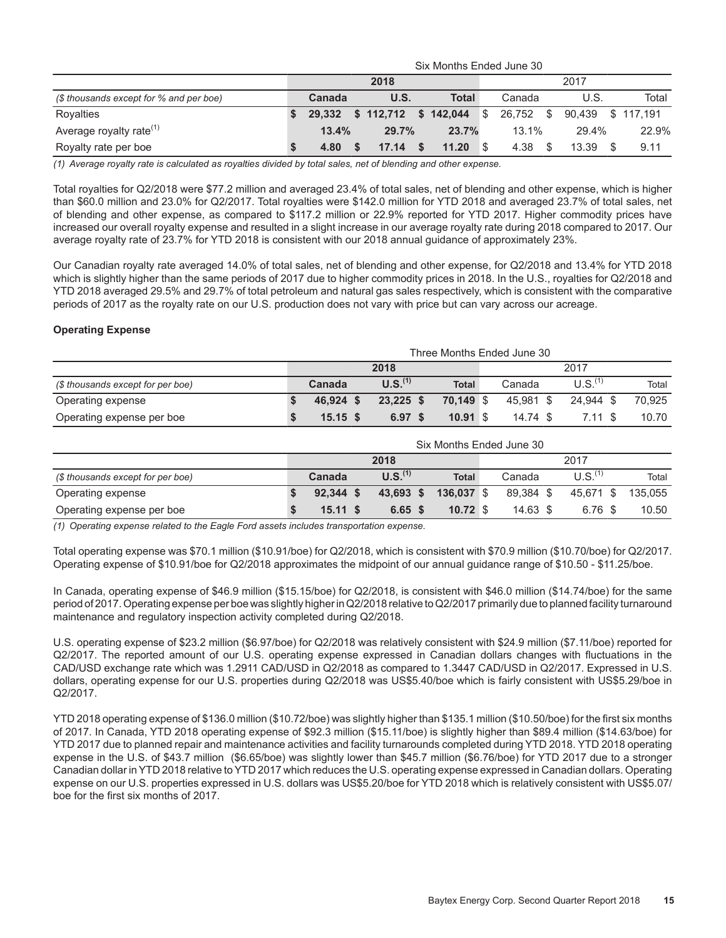|                                         | Six Months Ended June 30 |        |  |                          |   |       |          |           |  |                  |  |       |  |
|-----------------------------------------|--------------------------|--------|--|--------------------------|---|-------|----------|-----------|--|------------------|--|-------|--|
|                                         |                          |        |  | 2018                     |   |       |          |           |  | 2017             |  |       |  |
| (\$ thousands except for % and per boe) |                          | Canada |  | <b>U.S.</b>              |   | Total |          | Canada    |  | U.S.             |  | Total |  |
| Rovalties                               |                          | 29.332 |  | \$ 112,712 \$ 142,044 \$ |   |       |          | 26.752 \$ |  | 90.439 \$117.191 |  |       |  |
| Average royalty rate <sup>(1)</sup>     |                          | 13.4%  |  | 29.7%                    |   | 23.7% |          | $13.1\%$  |  | 29.4%            |  | 22.9% |  |
| Royalty rate per boe                    |                          | 4.80   |  | 17.14                    | S | 11.20 | <b>S</b> | 4.38      |  | 13.39            |  | 9.11  |  |

*(1) Average royalty rate is calculated as royalties divided by total sales, net of blending and other expense.* 

Total royalties for Q2/2018 were \$77.2 million and averaged 23.4% of total sales, net of blending and other expense, which is higher than \$60.0 million and 23.0% for Q2/2017. Total royalties were \$142.0 million for YTD 2018 and averaged 23.7% of total sales, net of blending and other expense, as compared to \$117.2 million or 22.9% reported for YTD 2017. Higher commodity prices have increased our overall royalty expense and resulted in a slight increase in our average royalty rate during 2018 compared to 2017. Our average royalty rate of 23.7% for YTD 2018 is consistent with our 2018 annual guidance of approximately 23%.

Our Canadian royalty rate averaged 14.0% of total sales, net of blending and other expense, for Q2/2018 and 13.4% for YTD 2018 which is slightly higher than the same periods of 2017 due to higher commodity prices in 2018. In the U.S., royalties for Q2/2018 and YTD 2018 averaged 29.5% and 29.7% of total petroleum and natural gas sales respectively, which is consistent with the comparative periods of 2017 as the royalty rate on our U.S. production does not vary with price but can vary across our acreage.

#### **Operating Expense**

|                                   | Three Months Ended June 30 |            |  |                     |  |              |  |           |  |                       |  |        |  |
|-----------------------------------|----------------------------|------------|--|---------------------|--|--------------|--|-----------|--|-----------------------|--|--------|--|
|                                   |                            |            |  | 2018                |  |              |  |           |  | 2017                  |  |        |  |
| (\$ thousands except for per boe) |                            | Canada     |  | U.S. <sup>(1)</sup> |  | <b>Total</b> |  | Canada    |  | $U.S.$ <sup>(1)</sup> |  | Total  |  |
| Operating expense                 |                            | 46.924 \$  |  | $23.225$ \$         |  | 70.149 \$    |  | 45.981 \$ |  | 24.944 \$             |  | 70.925 |  |
| Operating expense per boe         |                            | $15.15$ \$ |  | 6.97 <sup>5</sup>   |  | 10.91 S      |  | 14.74 \$  |  | $7.11$ \$             |  | 10.70  |  |

|                                   | Six Months Ended June 30 |             |                     |  |              |  |            |  |                       |         |  |  |
|-----------------------------------|--------------------------|-------------|---------------------|--|--------------|--|------------|--|-----------------------|---------|--|--|
|                                   |                          |             | 2018                |  |              |  |            |  | 2017                  |         |  |  |
| (\$ thousands except for per boe) |                          | Canada      | U.S. <sup>(1)</sup> |  | <b>Total</b> |  | Canada     |  | $U.S.$ <sup>(1)</sup> | Total   |  |  |
| Operating expense                 |                          | $92.344$ \$ | 43,693 \$           |  | 136.037 \$   |  | 89.384 \$  |  | 45.671 \$             | 135.055 |  |  |
| Operating expense per boe         |                          | $15.11$ \$  | $6.65$ \$           |  | $10.72$ \$   |  | $14.63$ \$ |  | 6.76 \$               | 10.50   |  |  |

*(1) Operating expense related to the Eagle Ford assets includes transportation expense.* 

Total operating expense was \$70.1 million (\$10.91/boe) for Q2/2018, which is consistent with \$70.9 million (\$10.70/boe) for Q2/2017. Operating expense of \$10.91/boe for Q2/2018 approximates the midpoint of our annual guidance range of \$10.50 - \$11.25/boe.

In Canada, operating expense of \$46.9 million (\$15.15/boe) for Q2/2018, is consistent with \$46.0 million (\$14.74/boe) for the same period of 2017. Operating expense per boe was slightly higher in Q2/2018 relative to Q2/2017 primarily due to planned facility turnaround maintenance and regulatory inspection activity completed during Q2/2018.

U.S. operating expense of \$23.2 million (\$6.97/boe) for Q2/2018 was relatively consistent with \$24.9 million (\$7.11/boe) reported for Q2/2017. The reported amount of our U.S. operating expense expressed in Canadian dollars changes with fluctuations in the CAD/USD exchange rate which was 1.2911 CAD/USD in Q2/2018 as compared to 1.3447 CAD/USD in Q2/2017. Expressed in U.S. dollars, operating expense for our U.S. properties during Q2/2018 was US\$5.40/boe which is fairly consistent with US\$5.29/boe in Q2/2017.

YTD 2018 operating expense of \$136.0 million (\$10.72/boe) was slightly higher than \$135.1 million (\$10.50/boe) for the first six months of 2017. In Canada, YTD 2018 operating expense of \$92.3 million (\$15.11/boe) is slightly higher than \$89.4 million (\$14.63/boe) for YTD 2017 due to planned repair and maintenance activities and facility turnarounds completed during YTD 2018. YTD 2018 operating expense in the U.S. of \$43.7 million (\$6.65/boe) was slightly lower than \$45.7 million (\$6.76/boe) for YTD 2017 due to a stronger Canadian dollar in YTD 2018 relative to YTD 2017 which reduces the U.S. operating expense expressed in Canadian dollars. Operating expense on our U.S. properties expressed in U.S. dollars was US\$5.20/boe for YTD 2018 which is relatively consistent with US\$5.07/ boe for the first six months of 2017.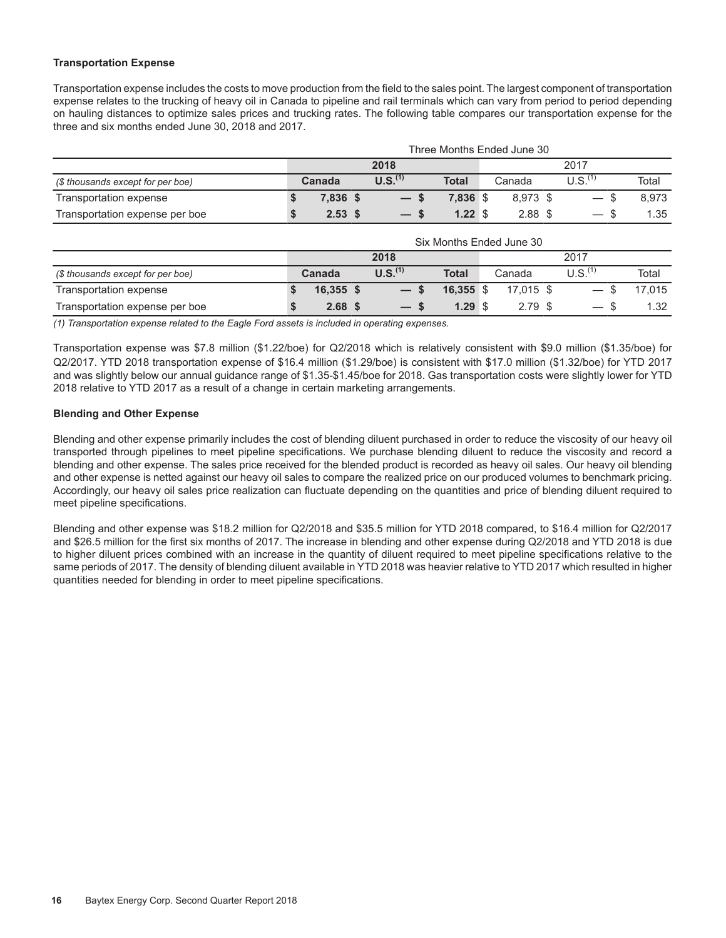#### **Transportation Expense**

Transportation expense includes the costs to move production from the field to the sales point. The largest component of transportation expense relates to the trucking of heavy oil in Canada to pipeline and rail terminals which can vary from period to period depending on hauling distances to optimize sales prices and trucking rates. The following table compares our transportation expense for the three and six months ended June 30, 2018 and 2017.

|                                   |                   |                     |              | Three Months Ended June 30 |                                       |       |
|-----------------------------------|-------------------|---------------------|--------------|----------------------------|---------------------------------------|-------|
|                                   |                   | 2018                |              |                            | 2017                                  |       |
| (\$ thousands except for per boe) | Canada            | U.S. <sup>(1)</sup> | <b>Total</b> | Canada                     | U.S. <sup>(1)</sup>                   | Total |
| Transportation expense            | 7.836 \$          | $-s$                | 7.836 \$     | 8.973 \$                   | - \$<br>$\overbrace{\phantom{12333}}$ | 8.973 |
| Transportation expense per boe    | 2.53 <sup>5</sup> | $-$ s               | 1.22S        | $2.88$ \$                  | $\hspace{0.05cm}$                     | 1.35  |

|                                   |                   |                     |              | Six Months Ended June 30 |                     |        |
|-----------------------------------|-------------------|---------------------|--------------|--------------------------|---------------------|--------|
|                                   |                   | 2018                |              |                          | 2017                |        |
| (\$ thousands except for per boe) | Canada            | U.S. <sup>(1)</sup> | <b>Total</b> | Canada                   | U.S. <sup>(1)</sup> | Total  |
| Transportation expense            | $16,355$ \$       | $-s$                | $16,355$ \$  | 17.015 \$                | $-$ \$              | 17.015 |
| Transportation expense per boe    | 2.68 <sup>5</sup> | $-$ s               | 1.29S        | $2.79$ \$                | $-$ \$              | 1.32   |

*(1) Transportation expense related to the Eagle Ford assets is included in operating expenses.* 

Transportation expense was \$7.8 million (\$1.22/boe) for Q2/2018 which is relatively consistent with \$9.0 million (\$1.35/boe) for Q2/2017. YTD 2018 transportation expense of \$16.4 million (\$1.29/boe) is consistent with \$17.0 million (\$1.32/boe) for YTD 2017 and was slightly below our annual guidance range of \$1.35-\$1.45/boe for 2018. Gas transportation costs were slightly lower for YTD 2018 relative to YTD 2017 as a result of a change in certain marketing arrangements.

#### **Blending and Other Expense**

Blending and other expense primarily includes the cost of blending diluent purchased in order to reduce the viscosity of our heavy oil transported through pipelines to meet pipeline specifications. We purchase blending diluent to reduce the viscosity and record a blending and other expense. The sales price received for the blended product is recorded as heavy oil sales. Our heavy oil blending and other expense is netted against our heavy oil sales to compare the realized price on our produced volumes to benchmark pricing. Accordingly, our heavy oil sales price realization can fluctuate depending on the quantities and price of blending diluent required to meet pipeline specifications.

Blending and other expense was \$18.2 million for Q2/2018 and \$35.5 million for YTD 2018 compared, to \$16.4 million for Q2/2017 and \$26.5 million for the first six months of 2017. The increase in blending and other expense during Q2/2018 and YTD 2018 is due to higher diluent prices combined with an increase in the quantity of diluent required to meet pipeline specifications relative to the same periods of 2017. The density of blending diluent available in YTD 2018 was heavier relative to YTD 2017 which resulted in higher quantities needed for blending in order to meet pipeline specifications.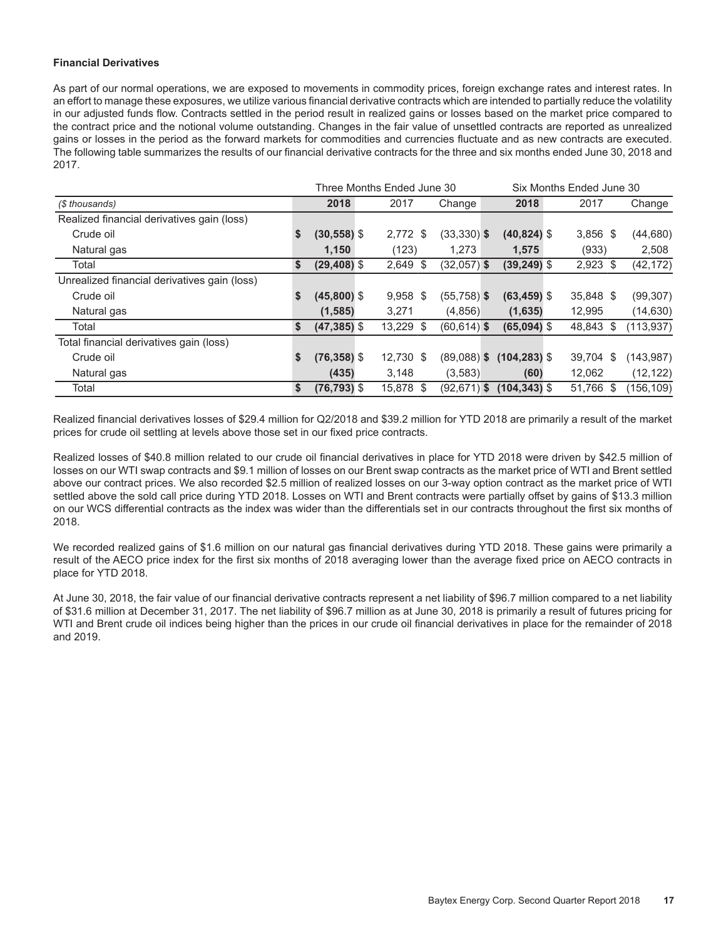#### **Financial Derivatives**

As part of our normal operations, we are exposed to movements in commodity prices, foreign exchange rates and interest rates. In an effort to manage these exposures, we utilize various financial derivative contracts which are intended to partially reduce the volatility in our adjusted funds flow. Contracts settled in the period result in realized gains or losses based on the market price compared to the contract price and the notional volume outstanding. Changes in the fair value of unsettled contracts are reported as unrealized gains or losses in the period as the forward markets for commodities and currencies fluctuate and as new contracts are executed. The following table summarizes the results of our financial derivative contracts for the three and six months ended June 30, 2018 and 2017.

|                                              |                      | Three Months Ended June 30 |                |                 | Six Months Ended June 30 |     |            |
|----------------------------------------------|----------------------|----------------------------|----------------|-----------------|--------------------------|-----|------------|
| (\$ thousands)                               | 2018                 | 2017                       | Change         | 2018            | 2017                     |     | Change     |
| Realized financial derivatives gain (loss)   |                      |                            |                |                 |                          |     |            |
| Crude oil                                    | \$<br>$(30, 558)$ \$ | 2,772 \$                   | $(33,330)$ \$  | $(40, 824)$ \$  | $3,856$ \$               |     | (44, 680)  |
| Natural gas                                  | 1,150                | (123)                      | 1,273          | 1,575           | (933)                    |     | 2,508      |
| Total                                        | \$<br>$(29, 408)$ \$ | $2,649$ \$                 | $(32,057)$ \$  | $(39, 249)$ \$  | $2,923$ \$               |     | (42, 172)  |
| Unrealized financial derivatives gain (loss) |                      |                            |                |                 |                          |     |            |
| Crude oil                                    | \$<br>$(45,800)$ \$  | $9,958$ \$                 | $(55,758)$ \$  | $(63, 459)$ \$  | 35,848 \$                |     | (99, 307)  |
| Natural gas                                  | (1,585)              | 3,271                      | (4,856)        | (1,635)         | 12,995                   |     | (14, 630)  |
| Total                                        | \$<br>$(47, 385)$ \$ | 13,229 \$                  | $(60, 614)$ \$ | $(65,094)$ \$   | 48,843                   | \$  | (113, 937) |
| Total financial derivatives gain (loss)      |                      |                            |                |                 |                          |     |            |
| Crude oil                                    | \$<br>$(76, 358)$ \$ | 12,730 \$                  | $(89,088)$ \$  | $(104, 283)$ \$ | 39,704                   | \$  | (143.987)  |
| Natural gas                                  | (435)                | 3.148                      | (3,583)        | (60)            | 12.062                   |     | (12, 122)  |
| Total                                        | \$<br>$(76, 793)$ \$ | 15,878 \$                  | $(92,671)$ \$  | $(104, 343)$ \$ | 51,766                   | -\$ | (156,109)  |

Realized financial derivatives losses of \$29.4 million for Q2/2018 and \$39.2 million for YTD 2018 are primarily a result of the market prices for crude oil settling at levels above those set in our fixed price contracts.

Realized losses of \$40.8 million related to our crude oil financial derivatives in place for YTD 2018 were driven by \$42.5 million of losses on our WTI swap contracts and \$9.1 million of losses on our Brent swap contracts as the market price of WTI and Brent settled above our contract prices. We also recorded \$2.5 million of realized losses on our 3-way option contract as the market price of WTI settled above the sold call price during YTD 2018. Losses on WTI and Brent contracts were partially offset by gains of \$13.3 million on our WCS differential contracts as the index was wider than the differentials set in our contracts throughout the first six months of 2018.

We recorded realized gains of \$1.6 million on our natural gas financial derivatives during YTD 2018. These gains were primarily a result of the AECO price index for the first six months of 2018 averaging lower than the average fixed price on AECO contracts in place for YTD 2018.

At June 30, 2018, the fair value of our financial derivative contracts represent a net liability of \$96.7 million compared to a net liability of \$31.6 million at December 31, 2017. The net liability of \$96.7 million as at June 30, 2018 is primarily a result of futures pricing for WTI and Brent crude oil indices being higher than the prices in our crude oil financial derivatives in place for the remainder of 2018 and 2019.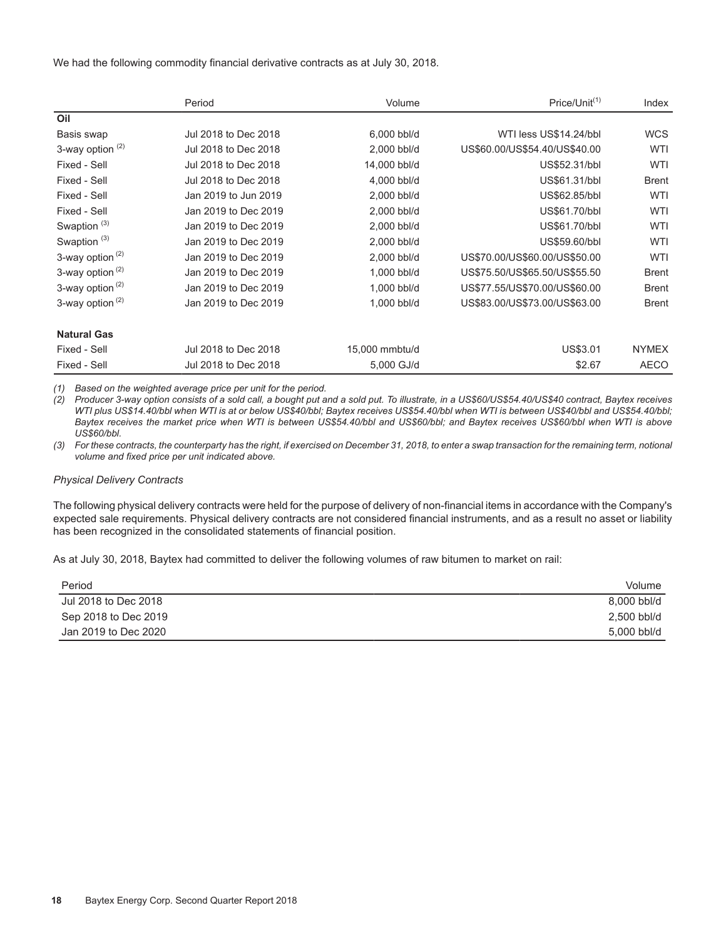We had the following commodity financial derivative contracts as at July 30, 2018.

|                             | Period               | Volume         | $Price/Unit^{(1)}$            | Index        |
|-----------------------------|----------------------|----------------|-------------------------------|--------------|
| Oil                         |                      |                |                               |              |
| Basis swap                  | Jul 2018 to Dec 2018 | 6,000 bbl/d    | WTI less US\$14.24/bbl        | <b>WCS</b>   |
| 3-way option <sup>(2)</sup> | Jul 2018 to Dec 2018 | 2,000 bbl/d    | US\$60.00/US\$54.40/US\$40.00 | WTI          |
| Fixed - Sell                | Jul 2018 to Dec 2018 | 14,000 bbl/d   | US\$52.31/bbl                 | WTI          |
| Fixed - Sell                | Jul 2018 to Dec 2018 | 4,000 bbl/d    | US\$61.31/bbl                 | <b>Brent</b> |
| Fixed - Sell                | Jan 2019 to Jun 2019 | 2,000 bbl/d    | US\$62.85/bbl                 | WTI          |
| Fixed - Sell                | Jan 2019 to Dec 2019 | 2,000 bbl/d    | US\$61.70/bbl                 | WTI          |
| Swaption <sup>(3)</sup>     | Jan 2019 to Dec 2019 | 2,000 bbl/d    | US\$61.70/bbl                 | <b>WTI</b>   |
| Swaption <sup>(3)</sup>     | Jan 2019 to Dec 2019 | 2,000 bbl/d    | US\$59,60/bbl                 | <b>WTI</b>   |
| 3-way option <sup>(2)</sup> | Jan 2019 to Dec 2019 | 2,000 bbl/d    | US\$70.00/US\$60.00/US\$50.00 | <b>WTI</b>   |
| 3-way option <sup>(2)</sup> | Jan 2019 to Dec 2019 | 1,000 bbl/d    | US\$75.50/US\$65.50/US\$55.50 | <b>Brent</b> |
| 3-way option $(2)$          | Jan 2019 to Dec 2019 | 1,000 bbl/d    | US\$77.55/US\$70.00/US\$60.00 | <b>Brent</b> |
| 3-way option <sup>(2)</sup> | Jan 2019 to Dec 2019 | 1,000 bbl/d    | US\$83.00/US\$73.00/US\$63.00 | <b>Brent</b> |
| <b>Natural Gas</b>          |                      |                |                               |              |
| Fixed - Sell                | Jul 2018 to Dec 2018 | 15,000 mmbtu/d | US\$3.01                      | <b>NYMEX</b> |
| Fixed - Sell                | Jul 2018 to Dec 2018 | 5,000 GJ/d     | \$2.67                        | <b>AECO</b>  |

*(1) Based on the weighted average price per unit for the period.* 

*(2) Producer 3-way option consists of a sold call, a bought put and a sold put. To illustrate, in a US\$60/US\$54.40/US\$40 contract, Baytex receives WTI plus US\$14.40/bbl when WTI is at or below US\$40/bbl; Baytex receives US\$54.40/bbl when WTI is between US\$40/bbl and US\$54.40/bbl; Baytex receives the market price when WTI is between US\$54.40/bbl and US\$60/bbl; and Baytex receives US\$60/bbl when WTI is above US\$60/bbl.*

*(3) For these contracts, the counterparty has the right, if exercised on December 31, 2018, to enter a swap transaction for the remaining term, notional volume and fixed price per unit indicated above.*

#### *Physical Delivery Contracts*

The following physical delivery contracts were held for the purpose of delivery of non-financial items in accordance with the Company's expected sale requirements. Physical delivery contracts are not considered financial instruments, and as a result no asset or liability has been recognized in the consolidated statements of financial position.

As at July 30, 2018, Baytex had committed to deliver the following volumes of raw bitumen to market on rail:

| Period               | Volume      |
|----------------------|-------------|
| Jul 2018 to Dec 2018 | 8,000 bbl/d |
| Sep 2018 to Dec 2019 | 2,500 bbl/d |
| Jan 2019 to Dec 2020 | 5,000 bbl/d |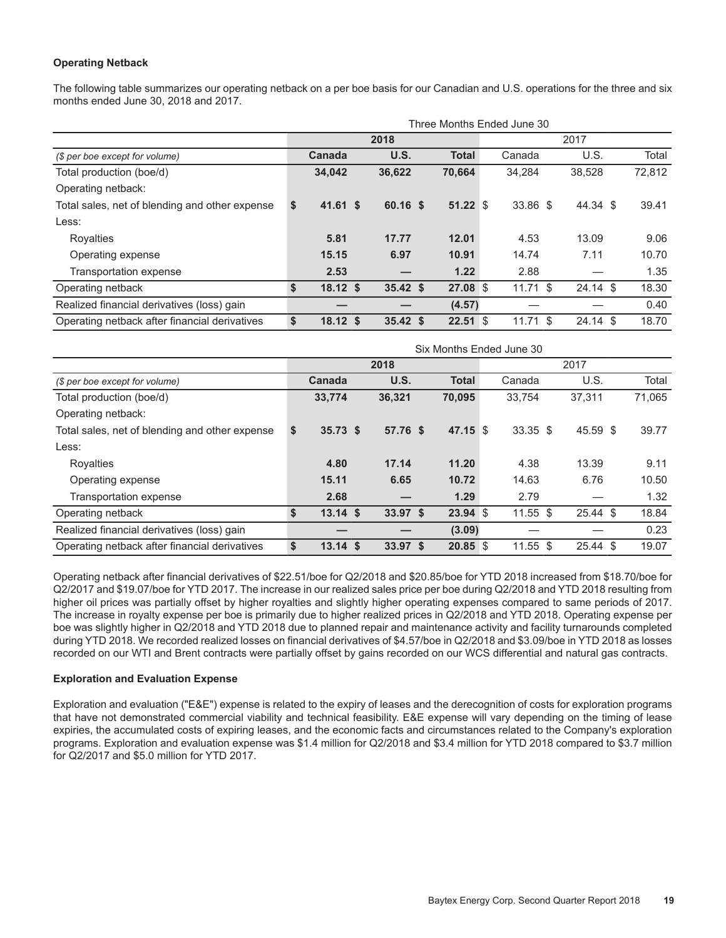#### **Operating Netback**

The following table summarizes our operating netback on a per boe basis for our Canadian and U.S. operations for the three and six months ended June 30, 2018 and 2017.

|                                                | Three Months Ended June 30<br>2017 |               |  |          |  |              |  |          |  |            |  |        |  |  |
|------------------------------------------------|------------------------------------|---------------|--|----------|--|--------------|--|----------|--|------------|--|--------|--|--|
|                                                |                                    |               |  | 2018     |  |              |  |          |  |            |  |        |  |  |
| (\$ per boe except for volume)                 |                                    | <b>Canada</b> |  | U.S.     |  | <b>Total</b> |  | Canada   |  | U.S.       |  | Total  |  |  |
| Total production (boe/d)                       |                                    | 34,042        |  | 36,622   |  | 70,664       |  | 34,284   |  | 38,528     |  | 72,812 |  |  |
| Operating netback:                             |                                    |               |  |          |  |              |  |          |  |            |  |        |  |  |
| Total sales, net of blending and other expense | \$                                 | $41.61$ \$    |  | 60.16 \$ |  | 51.22S       |  | 33.86 \$ |  | 44.34 \$   |  | 39.41  |  |  |
| Less:                                          |                                    |               |  |          |  |              |  |          |  |            |  |        |  |  |
| Royalties                                      |                                    | 5.81          |  | 17.77    |  | 12.01        |  | 4.53     |  | 13.09      |  | 9.06   |  |  |
| Operating expense                              |                                    | 15.15         |  | 6.97     |  | 10.91        |  | 14.74    |  | 7.11       |  | 10.70  |  |  |
| Transportation expense                         |                                    | 2.53          |  |          |  | 1.22         |  | 2.88     |  |            |  | 1.35   |  |  |
| Operating netback                              | S                                  | $18.12$ \$    |  | 35.42 S  |  | 27.08 \$     |  | 11.71S   |  | $24.14$ \$ |  | 18.30  |  |  |
| Realized financial derivatives (loss) gain     |                                    |               |  |          |  | (4.57)       |  |          |  |            |  | 0.40   |  |  |
| Operating netback after financial derivatives  | \$                                 | $18.12$ \$    |  | 35.42 S  |  | $22.51$ \$   |  | 11.71S   |  | $24.14$ \$ |  | 18.70  |  |  |

|                                                |    |            |          |              |      | Six Months Ended June 30 |  |            |  |        |  |
|------------------------------------------------|----|------------|----------|--------------|------|--------------------------|--|------------|--|--------|--|
|                                                |    |            | 2018     |              | 2017 |                          |  |            |  |        |  |
| (\$ per boe except for volume)                 |    | Canada     | U.S.     | <b>Total</b> |      | Canada                   |  | U.S.       |  | Total  |  |
| Total production (boe/d)                       |    | 33,774     | 36,321   | 70,095       |      | 33.754                   |  | 37.311     |  | 71,065 |  |
| Operating netback:                             |    |            |          |              |      |                          |  |            |  |        |  |
| Total sales, net of blending and other expense | \$ | $35.73$ \$ | 57.76 \$ | 47.15 \$     |      | $33.35$ \$               |  | 45.59 \$   |  | 39.77  |  |
| Less:                                          |    |            |          |              |      |                          |  |            |  |        |  |
| Royalties                                      |    | 4.80       | 17.14    | 11.20        |      | 4.38                     |  | 13.39      |  | 9.11   |  |
| Operating expense                              |    | 15.11      | 6.65     | 10.72        |      | 14.63                    |  | 6.76       |  | 10.50  |  |
| Transportation expense                         |    | 2.68       |          | 1.29         |      | 2.79                     |  |            |  | 1.32   |  |
| Operating netback                              | \$ | $13.14$ \$ | 33.97 S  | 23.94 \$     |      | $11.55$ \$               |  | $25.44$ \$ |  | 18.84  |  |
| Realized financial derivatives (loss) gain     |    |            |          | (3.09)       |      |                          |  |            |  | 0.23   |  |
| Operating netback after financial derivatives  | S  | $13.14$ \$ | 33.97 \$ | $20.85$ \$   |      | $11.55$ \$               |  | $25.44$ \$ |  | 19.07  |  |

Operating netback after financial derivatives of \$22.51/boe for Q2/2018 and \$20.85/boe for YTD 2018 increased from \$18.70/boe for Q2/2017 and \$19.07/boe for YTD 2017. The increase in our realized sales price per boe during Q2/2018 and YTD 2018 resulting from higher oil prices was partially offset by higher royalties and slightly higher operating expenses compared to same periods of 2017. The increase in royalty expense per boe is primarily due to higher realized prices in Q2/2018 and YTD 2018. Operating expense per boe was slightly higher in Q2/2018 and YTD 2018 due to planned repair and maintenance activity and facility turnarounds completed during YTD 2018. We recorded realized losses on financial derivatives of \$4.57/boe in Q2/2018 and \$3.09/boe in YTD 2018 as losses recorded on our WTI and Brent contracts were partially offset by gains recorded on our WCS differential and natural gas contracts.

#### **Exploration and Evaluation Expense**

Exploration and evaluation ("E&E") expense is related to the expiry of leases and the derecognition of costs for exploration programs that have not demonstrated commercial viability and technical feasibility. E&E expense will vary depending on the timing of lease expiries, the accumulated costs of expiring leases, and the economic facts and circumstances related to the Company's exploration programs. Exploration and evaluation expense was \$1.4 million for Q2/2018 and \$3.4 million for YTD 2018 compared to \$3.7 million for Q2/2017 and \$5.0 million for YTD 2017.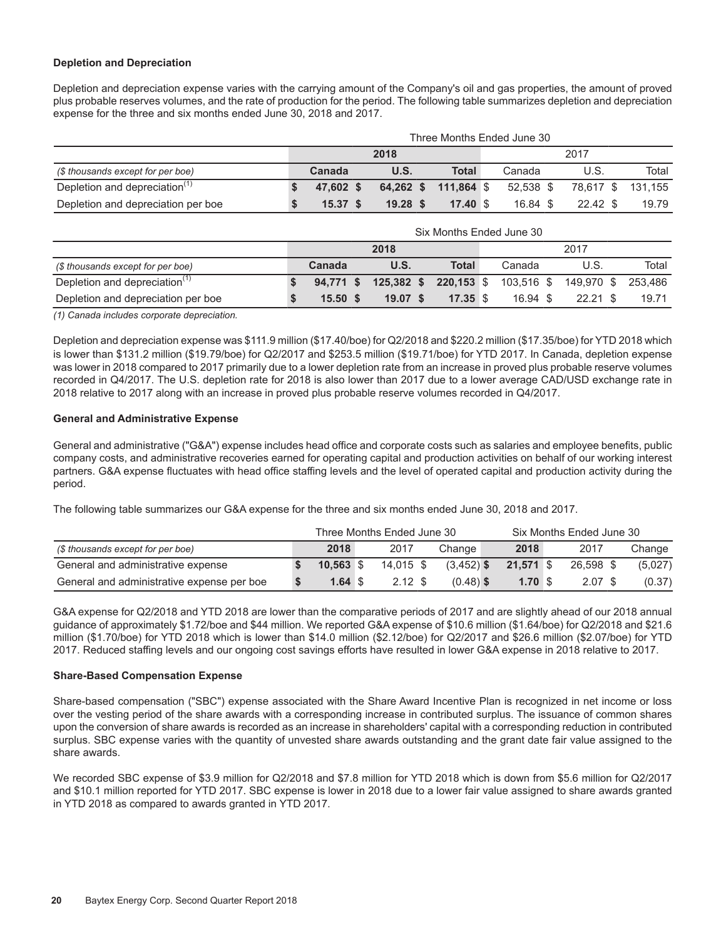#### **Depletion and Depreciation**

Depletion and depreciation expense varies with the carrying amount of the Company's oil and gas properties, the amount of proved plus probable reserves volumes, and the rate of production for the period. The following table summarizes depletion and depreciation expense for the three and six months ended June 30, 2018 and 2017.

|                                           | Three Months Ended June 30 |           |  |             |  |                      |  |            |  |            |                   |  |  |
|-------------------------------------------|----------------------------|-----------|--|-------------|--|----------------------|--|------------|--|------------|-------------------|--|--|
|                                           |                            |           |  | 2018        |  |                      |  |            |  | 2017       |                   |  |  |
| (\$ thousands except for per boe)         |                            | Canada    |  | <b>U.S.</b> |  | <b>Total</b>         |  | Canada     |  | U.S.       | Total             |  |  |
| Depletion and depreciation <sup>(1)</sup> |                            | 47.602 \$ |  |             |  | 64,262 \$ 111,864 \$ |  | 52.538 \$  |  |            | 78,617 \$ 131,155 |  |  |
| Depletion and depreciation per boe        |                            | 15.37 S   |  | 19.28 S     |  | $17.40 \text{ }$     |  | $16.84$ \$ |  | $22.42$ \$ | 19.79             |  |  |

|                                           | Six Months Ended June 30 |            |  |            |  |              |  |            |  |            |         |  |  |
|-------------------------------------------|--------------------------|------------|--|------------|--|--------------|--|------------|--|------------|---------|--|--|
|                                           |                          |            |  | 2018       |  |              |  |            |  | 2017       |         |  |  |
| (\$ thousands except for per boe)         |                          | Canada     |  | U.S.       |  | <b>Total</b> |  | Canada     |  | U.S.       | Total   |  |  |
| Depletion and depreciation <sup>(1)</sup> |                          | 94.771 \$  |  | 125,382 \$ |  | 220,153 \$   |  | 103,516 \$ |  | 149.970 \$ | 253.486 |  |  |
| Depletion and depreciation per boe        |                          | $15.50$ \$ |  | 19.07 S    |  | $17.35$ \$   |  | $16.94$ \$ |  | $22.21$ \$ | 19.71   |  |  |

*(1) Canada includes corporate depreciation.*

Depletion and depreciation expense was \$111.9 million (\$17.40/boe) for Q2/2018 and \$220.2 million (\$17.35/boe) for YTD 2018 which is lower than \$131.2 million (\$19.79/boe) for Q2/2017 and \$253.5 million (\$19.71/boe) for YTD 2017. In Canada, depletion expense was lower in 2018 compared to 2017 primarily due to a lower depletion rate from an increase in proved plus probable reserve volumes recorded in Q4/2017. The U.S. depletion rate for 2018 is also lower than 2017 due to a lower average CAD/USD exchange rate in 2018 relative to 2017 along with an increase in proved plus probable reserve volumes recorded in Q4/2017.

#### **General and Administrative Expense**

General and administrative ("G&A") expense includes head office and corporate costs such as salaries and employee benefits, public company costs, and administrative recoveries earned for operating capital and production activities on behalf of our working interest partners. G&A expense fluctuates with head office staffing levels and the level of operated capital and production activity during the period.

The following table summarizes our G&A expense for the three and six months ended June 30, 2018 and 2017.

|                                            | Three Months Ended June 30 |                    |  |                    |  |              |  | Six Months Ended June 30 |  |           |  |         |
|--------------------------------------------|----------------------------|--------------------|--|--------------------|--|--------------|--|--------------------------|--|-----------|--|---------|
| (\$ thousands except for per boe)          |                            | 2018               |  | 2017               |  | Change       |  | 2018                     |  | 2017      |  | Change  |
| General and administrative expense         |                            | $10.563$ \$        |  | 14.015 \$          |  | $(3,452)$ \$ |  | <b>21.571 \$</b>         |  | 26.598 \$ |  | (5,027) |
| General and administrative expense per boe |                            | $1.64 \text{ }$ \$ |  | $2.12 \text{ }$ \$ |  | $(0.48)$ \$  |  | 1.70S                    |  | 2.07S     |  | (0.37)  |

G&A expense for Q2/2018 and YTD 2018 are lower than the comparative periods of 2017 and are slightly ahead of our 2018 annual guidance of approximately \$1.72/boe and \$44 million. We reported G&A expense of \$10.6 million (\$1.64/boe) for Q2/2018 and \$21.6 million (\$1.70/boe) for YTD 2018 which is lower than \$14.0 million (\$2.12/boe) for Q2/2017 and \$26.6 million (\$2.07/boe) for YTD 2017. Reduced staffing levels and our ongoing cost savings efforts have resulted in lower G&A expense in 2018 relative to 2017.

#### **Share-Based Compensation Expense**

Share-based compensation ("SBC") expense associated with the Share Award Incentive Plan is recognized in net income or loss over the vesting period of the share awards with a corresponding increase in contributed surplus. The issuance of common shares upon the conversion of share awards is recorded as an increase in shareholders' capital with a corresponding reduction in contributed surplus. SBC expense varies with the quantity of unvested share awards outstanding and the grant date fair value assigned to the share awards.

We recorded SBC expense of \$3.9 million for Q2/2018 and \$7.8 million for YTD 2018 which is down from \$5.6 million for Q2/2017 and \$10.1 million reported for YTD 2017. SBC expense is lower in 2018 due to a lower fair value assigned to share awards granted in YTD 2018 as compared to awards granted in YTD 2017.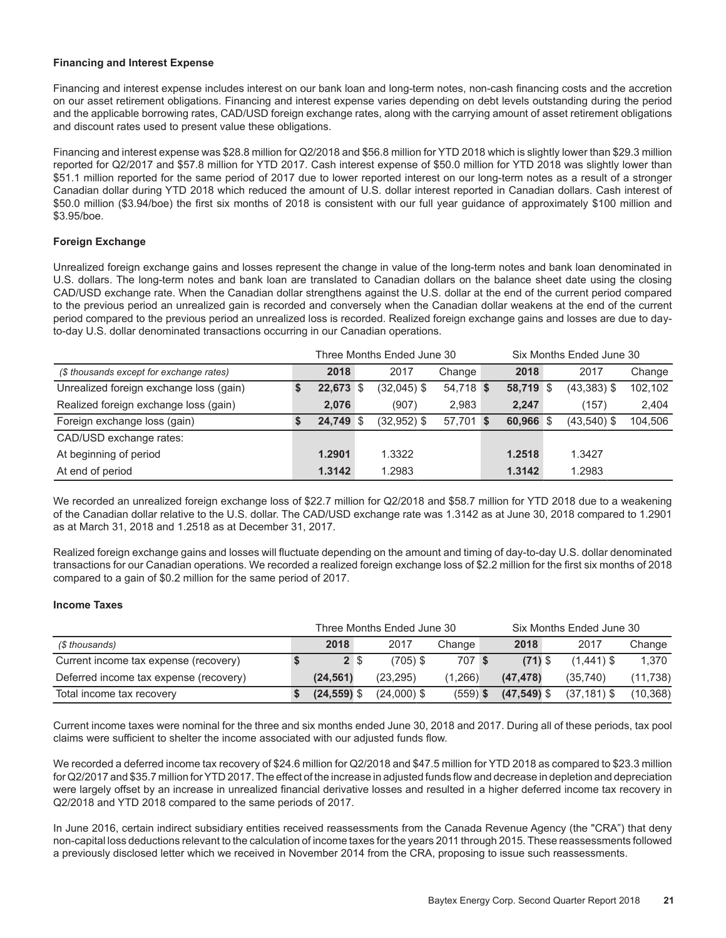#### **Financing and Interest Expense**

Financing and interest expense includes interest on our bank loan and long-term notes, non-cash financing costs and the accretion on our asset retirement obligations. Financing and interest expense varies depending on debt levels outstanding during the period and the applicable borrowing rates, CAD/USD foreign exchange rates, along with the carrying amount of asset retirement obligations and discount rates used to present value these obligations.

Financing and interest expense was \$28.8 million for Q2/2018 and \$56.8 million for YTD 2018 which is slightly lower than \$29.3 million reported for Q2/2017 and \$57.8 million for YTD 2017. Cash interest expense of \$50.0 million for YTD 2018 was slightly lower than \$51.1 million reported for the same period of 2017 due to lower reported interest on our long-term notes as a result of a stronger Canadian dollar during YTD 2018 which reduced the amount of U.S. dollar interest reported in Canadian dollars. Cash interest of \$50.0 million (\$3.94/boe) the first six months of 2018 is consistent with our full year guidance of approximately \$100 million and \$3.95/boe.

#### **Foreign Exchange**

Unrealized foreign exchange gains and losses represent the change in value of the long-term notes and bank loan denominated in U.S. dollars. The long-term notes and bank loan are translated to Canadian dollars on the balance sheet date using the closing CAD/USD exchange rate. When the Canadian dollar strengthens against the U.S. dollar at the end of the current period compared to the previous period an unrealized gain is recorded and conversely when the Canadian dollar weakens at the end of the current period compared to the previous period an unrealized loss is recorded. Realized foreign exchange gains and losses are due to dayto-day U.S. dollar denominated transactions occurring in our Canadian operations.

|                                          | Three Months Ended June 30 |  |               |           |  |           | Six Months Ended June 30 |                |         |  |  |
|------------------------------------------|----------------------------|--|---------------|-----------|--|-----------|--------------------------|----------------|---------|--|--|
| (\$ thousands except for exchange rates) | 2018                       |  | 2017          | Change    |  | 2018      |                          | 2017           | Change  |  |  |
| Unrealized foreign exchange loss (gain)  | 22,673 \$                  |  | $(32,045)$ \$ | 54,718 \$ |  | 58,719 \$ |                          | $(43, 383)$ \$ | 102,102 |  |  |
| Realized foreign exchange loss (gain)    | 2,076                      |  | (907)         | 2,983     |  | 2,247     |                          | (157)          | 2,404   |  |  |
| Foreign exchange loss (gain)             | 24.749 \$                  |  | $(32,952)$ \$ | 57,701 \$ |  | 60.966 \$ |                          | $(43,540)$ \$  | 104,506 |  |  |
| CAD/USD exchange rates:                  |                            |  |               |           |  |           |                          |                |         |  |  |
| At beginning of period                   | 1.2901                     |  | 1.3322        |           |  | 1.2518    |                          | 1.3427         |         |  |  |
| At end of period                         | 1.3142                     |  | 1.2983        |           |  | 1.3142    |                          | 1.2983         |         |  |  |

We recorded an unrealized foreign exchange loss of \$22.7 million for Q2/2018 and \$58.7 million for YTD 2018 due to a weakening of the Canadian dollar relative to the U.S. dollar. The CAD/USD exchange rate was 1.3142 as at June 30, 2018 compared to 1.2901 as at March 31, 2018 and 1.2518 as at December 31, 2017.

Realized foreign exchange gains and losses will fluctuate depending on the amount and timing of day-to-day U.S. dollar denominated transactions for our Canadian operations. We recorded a realized foreign exchange loss of \$2.2 million for the first six months of 2018 compared to a gain of \$0.2 million for the same period of 2017.

#### **Income Taxes**

|                                        | Three Months Ended June 30<br>Six Months Ended June 30 |                |  |               |            |  |               |                |           |
|----------------------------------------|--------------------------------------------------------|----------------|--|---------------|------------|--|---------------|----------------|-----------|
| (\$ thousands)                         |                                                        | 2018           |  | 2017          | Change     |  | 2018          | 2017           | Change    |
| Current income tax expense (recovery)  |                                                        | 2 <sup>5</sup> |  | $(705)$ \$    | 707 \$     |  | $(71)$ \$     | $(1.441)$ \$   | 1.370     |
| Deferred income tax expense (recovery) |                                                        | (24.561)       |  | (23.295)      | (1.266)    |  | (47.478)      | (35.740)       | (11, 738) |
| Total income tax recovery              |                                                        | $(24, 559)$ \$ |  | $(24,000)$ \$ | $(559)$ \$ |  | $(47,549)$ \$ | $(37, 181)$ \$ | (10, 368) |

Current income taxes were nominal for the three and six months ended June 30, 2018 and 2017. During all of these periods, tax pool claims were sufficient to shelter the income associated with our adjusted funds flow.

We recorded a deferred income tax recovery of \$24.6 million for Q2/2018 and \$47.5 million for YTD 2018 as compared to \$23.3 million for Q2/2017 and \$35.7 million for YTD 2017. The effect of the increase in adjusted funds flow and decrease in depletion and depreciation were largely offset by an increase in unrealized financial derivative losses and resulted in a higher deferred income tax recovery in Q2/2018 and YTD 2018 compared to the same periods of 2017.

In June 2016, certain indirect subsidiary entities received reassessments from the Canada Revenue Agency (the "CRA") that deny non-capital loss deductions relevant to the calculation of income taxes for the years 2011 through 2015. These reassessments followed a previously disclosed letter which we received in November 2014 from the CRA, proposing to issue such reassessments.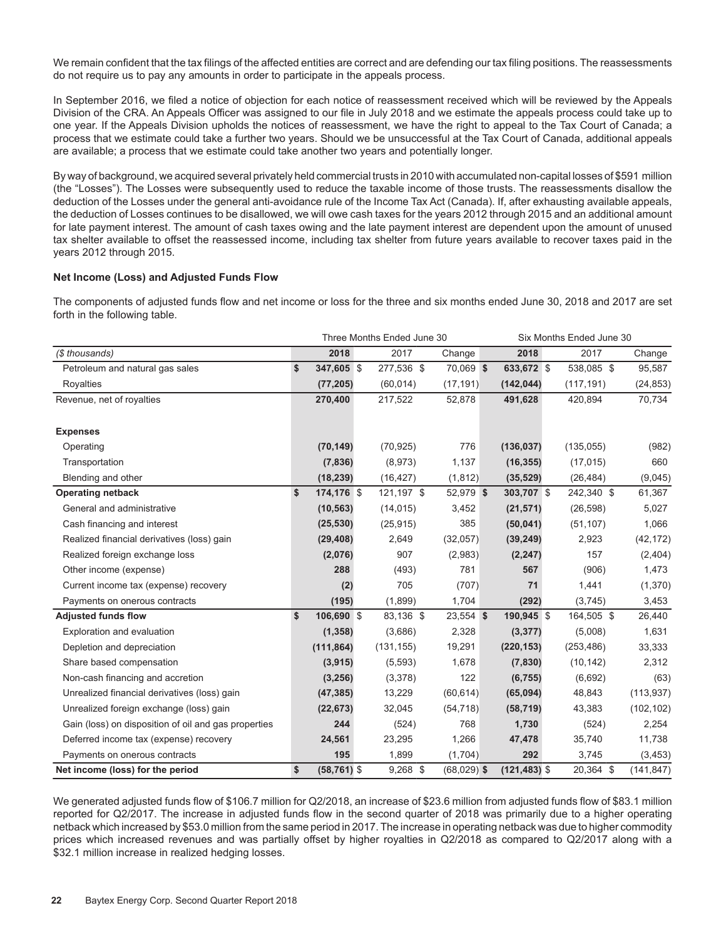We remain confident that the tax filings of the affected entities are correct and are defending our tax filing positions. The reassessments do not require us to pay any amounts in order to participate in the appeals process.

In September 2016, we filed a notice of objection for each notice of reassessment received which will be reviewed by the Appeals Division of the CRA. An Appeals Officer was assigned to our file in July 2018 and we estimate the appeals process could take up to one year. If the Appeals Division upholds the notices of reassessment, we have the right to appeal to the Tax Court of Canada; a process that we estimate could take a further two years. Should we be unsuccessful at the Tax Court of Canada, additional appeals are available; a process that we estimate could take another two years and potentially longer.

By way of background, we acquired several privately held commercial trusts in 2010 with accumulated non-capital losses of \$591 million (the "Losses"). The Losses were subsequently used to reduce the taxable income of those trusts. The reassessments disallow the deduction of the Losses under the general anti-avoidance rule of the Income Tax Act (Canada). If, after exhausting available appeals, the deduction of Losses continues to be disallowed, we will owe cash taxes for the years 2012 through 2015 and an additional amount for late payment interest. The amount of cash taxes owing and the late payment interest are dependent upon the amount of unused tax shelter available to offset the reassessed income, including tax shelter from future years available to recover taxes paid in the years 2012 through 2015.

#### **Net Income (Loss) and Adjusted Funds Flow**

The components of adjusted funds flow and net income or loss for the three and six months ended June 30, 2018 and 2017 are set forth in the following table.

|                                                      |                      | Three Months Ended June 30 | Six Months Ended June 30 |                 |  |            |            |  |  |
|------------------------------------------------------|----------------------|----------------------------|--------------------------|-----------------|--|------------|------------|--|--|
| (\$ thousands)                                       | 2018                 | 2017                       | Change                   | 2018            |  | 2017       | Change     |  |  |
| Petroleum and natural gas sales                      | \$<br>347,605 \$     | 277,536 \$                 | 70,069 \$                | 633,672 \$      |  | 538,085 \$ | 95,587     |  |  |
| Royalties                                            | (77, 205)            | (60, 014)                  | (17, 191)                | (142, 044)      |  | (117, 191) | (24, 853)  |  |  |
| Revenue, net of royalties                            | 270,400              | 217,522                    | 52,878                   | 491,628         |  | 420,894    | 70,734     |  |  |
| <b>Expenses</b>                                      |                      |                            |                          |                 |  |            |            |  |  |
| Operating                                            | (70, 149)            | (70, 925)                  | 776                      | (136, 037)      |  | (135, 055) | (982)      |  |  |
| Transportation                                       | (7, 836)             | (8,973)                    | 1,137                    | (16, 355)       |  | (17, 015)  | 660        |  |  |
| Blending and other                                   | (18, 239)            | (16, 427)                  | (1, 812)                 | (35, 529)       |  | (26, 484)  | (9,045)    |  |  |
| <b>Operating netback</b>                             | \$<br>174,176 \$     | 121,197 \$                 | 52,979 \$                | 303,707 \$      |  | 242,340 \$ | 61,367     |  |  |
| General and administrative                           | (10, 563)            | (14, 015)                  | 3,452                    | (21, 571)       |  | (26, 598)  | 5,027      |  |  |
| Cash financing and interest                          | (25, 530)            | (25, 915)                  | 385                      | (50, 041)       |  | (51, 107)  | 1,066      |  |  |
| Realized financial derivatives (loss) gain           | (29, 408)            | 2,649                      | (32,057)                 | (39, 249)       |  | 2,923      | (42, 172)  |  |  |
| Realized foreign exchange loss                       | (2,076)              | 907                        | (2,983)                  | (2, 247)        |  | 157        | (2, 404)   |  |  |
| Other income (expense)                               | 288                  | (493)                      | 781                      | 567             |  | (906)      | 1,473      |  |  |
| Current income tax (expense) recovery                | (2)                  | 705                        | (707)                    | 71              |  | 1,441      | (1,370)    |  |  |
| Payments on onerous contracts                        | (195)                | (1,899)                    | 1,704                    | (292)           |  | (3,745)    | 3,453      |  |  |
| <b>Adjusted funds flow</b>                           | \$<br>106,690 \$     | 83,136 \$                  | 23,554 \$                | 190,945 \$      |  | 164,505 \$ | 26,440     |  |  |
| Exploration and evaluation                           | (1, 358)             | (3,686)                    | 2,328                    | (3, 377)        |  | (5,008)    | 1,631      |  |  |
| Depletion and depreciation                           | (111, 864)           | (131, 155)                 | 19,291                   | (220, 153)      |  | (253, 486) | 33,333     |  |  |
| Share based compensation                             | (3, 915)             | (5,593)                    | 1,678                    | (7, 830)        |  | (10, 142)  | 2,312      |  |  |
| Non-cash financing and accretion                     | (3,256)              | (3,378)                    | 122                      | (6, 755)        |  | (6,692)    | (63)       |  |  |
| Unrealized financial derivatives (loss) gain         | (47, 385)            | 13,229                     | (60, 614)                | (65,094)        |  | 48,843     | (113, 937) |  |  |
| Unrealized foreign exchange (loss) gain              | (22, 673)            | 32,045                     | (54, 718)                | (58, 719)       |  | 43,383     | (102, 102) |  |  |
| Gain (loss) on disposition of oil and gas properties | 244                  | (524)                      | 768                      | 1,730           |  | (524)      | 2,254      |  |  |
| Deferred income tax (expense) recovery               | 24,561               | 23,295                     | 1,266                    | 47,478          |  | 35,740     | 11,738     |  |  |
| Payments on onerous contracts                        | 195                  | 1,899                      | (1,704)                  | 292             |  | 3,745      | (3, 453)   |  |  |
| Net income (loss) for the period                     | \$<br>$(58, 761)$ \$ | $9,268$ \$                 | $(68,029)$ \$            | $(121, 483)$ \$ |  | 20,364 \$  | (141, 847) |  |  |

We generated adjusted funds flow of \$106.7 million for Q2/2018, an increase of \$23.6 million from adjusted funds flow of \$83.1 million reported for Q2/2017. The increase in adjusted funds flow in the second quarter of 2018 was primarily due to a higher operating netback which increased by \$53.0 million from the same period in 2017. The increase in operating netback was due to higher commodity prices which increased revenues and was partially offset by higher royalties in Q2/2018 as compared to Q2/2017 along with a \$32.1 million increase in realized hedging losses.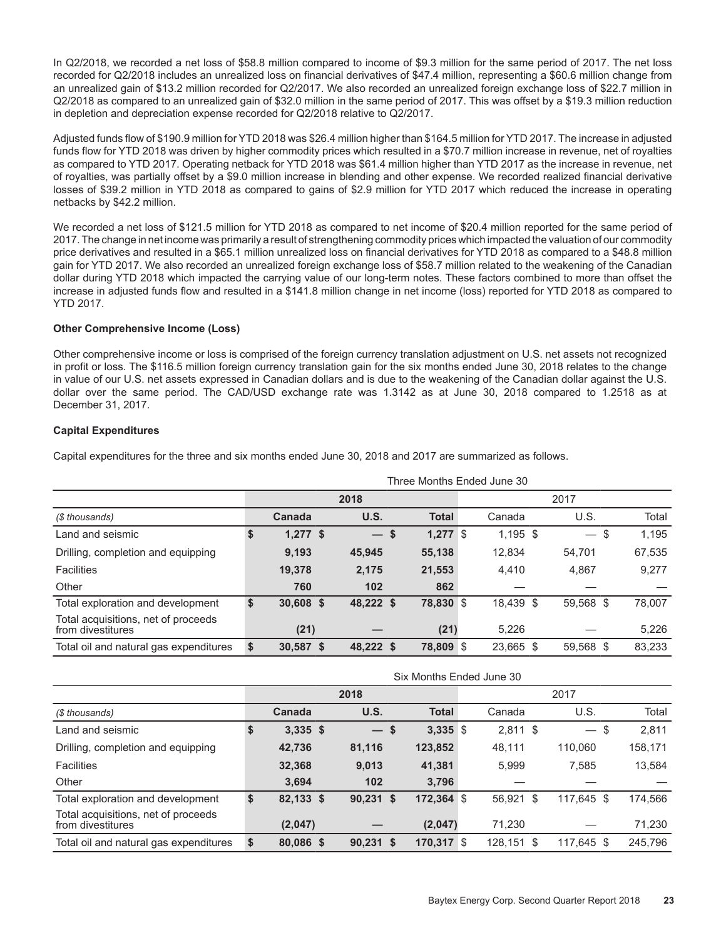In Q2/2018, we recorded a net loss of \$58.8 million compared to income of \$9.3 million for the same period of 2017. The net loss recorded for Q2/2018 includes an unrealized loss on financial derivatives of \$47.4 million, representing a \$60.6 million change from an unrealized gain of \$13.2 million recorded for Q2/2017. We also recorded an unrealized foreign exchange loss of \$22.7 million in Q2/2018 as compared to an unrealized gain of \$32.0 million in the same period of 2017. This was offset by a \$19.3 million reduction in depletion and depreciation expense recorded for Q2/2018 relative to Q2/2017.

Adjusted funds flow of \$190.9 million for YTD 2018 was \$26.4 million higher than \$164.5 million for YTD 2017. The increase in adjusted funds flow for YTD 2018 was driven by higher commodity prices which resulted in a \$70.7 million increase in revenue, net of royalties as compared to YTD 2017. Operating netback for YTD 2018 was \$61.4 million higher than YTD 2017 as the increase in revenue, net of royalties, was partially offset by a \$9.0 million increase in blending and other expense. We recorded realized financial derivative losses of \$39.2 million in YTD 2018 as compared to gains of \$2.9 million for YTD 2017 which reduced the increase in operating netbacks by \$42.2 million.

We recorded a net loss of \$121.5 million for YTD 2018 as compared to net income of \$20.4 million reported for the same period of 2017. The change in net income was primarily a result of strengthening commodity prices which impacted the valuation of our commodity price derivatives and resulted in a \$65.1 million unrealized loss on financial derivatives for YTD 2018 as compared to a \$48.8 million gain for YTD 2017. We also recorded an unrealized foreign exchange loss of \$58.7 million related to the weakening of the Canadian dollar during YTD 2018 which impacted the carrying value of our long-term notes. These factors combined to more than offset the increase in adjusted funds flow and resulted in a \$141.8 million change in net income (loss) reported for YTD 2018 as compared to YTD 2017.

#### **Other Comprehensive Income (Loss)**

Other comprehensive income or loss is comprised of the foreign currency translation adjustment on U.S. net assets not recognized in profit or loss. The \$116.5 million foreign currency translation gain for the six months ended June 30, 2018 relates to the change in value of our U.S. net assets expressed in Canadian dollars and is due to the weakening of the Canadian dollar against the U.S. dollar over the same period. The CAD/USD exchange rate was 1.3142 as at June 30, 2018 compared to 1.2518 as at December 31, 2017.

#### **Capital Expenditures**

Capital expenditures for the three and six months ended June 30, 2018 and 2017 are summarized as follows.

|                                                          | Three Months Ended June 30 |             |              |  |              |  |            |  |           |  |        |  |  |  |
|----------------------------------------------------------|----------------------------|-------------|--------------|--|--------------|--|------------|--|-----------|--|--------|--|--|--|
|                                                          |                            |             | 2018<br>2017 |  |              |  |            |  |           |  |        |  |  |  |
| (\$ thousands)                                           |                            | Canada      | U.S.         |  | <b>Total</b> |  | Canada     |  | U.S.      |  | Total  |  |  |  |
| Land and seismic                                         | \$                         | $1,277$ \$  | $-$ \$       |  | $1,277$ \$   |  | $1,195$ \$ |  | $-$ \$    |  | 1,195  |  |  |  |
| Drilling, completion and equipping                       |                            | 9,193       | 45.945       |  | 55,138       |  | 12,834     |  | 54.701    |  | 67,535 |  |  |  |
| <b>Facilities</b>                                        |                            | 19,378      | 2,175        |  | 21,553       |  | 4.410      |  | 4,867     |  | 9,277  |  |  |  |
| Other                                                    |                            | 760         | 102          |  | 862          |  |            |  |           |  |        |  |  |  |
| Total exploration and development                        | \$                         | 30,608 \$   | 48,222 \$    |  | 78,830 \$    |  | 18,439 \$  |  | 59,568 \$ |  | 78,007 |  |  |  |
| Total acquisitions, net of proceeds<br>from divestitures |                            | (21)        |              |  | (21)         |  | 5.226      |  |           |  | 5,226  |  |  |  |
| Total oil and natural gas expenditures                   | \$                         | $30,587$ \$ | 48,222 \$    |  | 78,809 \$    |  | 23,665 \$  |  | 59,568 \$ |  | 83,233 |  |  |  |

|                                                          | Six Months Ended June 30 |              |             |  |              |  |            |  |            |         |  |  |  |  |
|----------------------------------------------------------|--------------------------|--------------|-------------|--|--------------|--|------------|--|------------|---------|--|--|--|--|
|                                                          |                          | 2018<br>2017 |             |  |              |  |            |  |            |         |  |  |  |  |
| (\$ thousands)                                           |                          | Canada       | U.S.        |  | <b>Total</b> |  | Canada     |  | U.S.       | Total   |  |  |  |  |
| Land and seismic                                         | \$                       | $3,335$ \$   | $-s$        |  | $3,335$ \$   |  | $2,811$ \$ |  | $-$ \$     | 2,811   |  |  |  |  |
| Drilling, completion and equipping                       |                          | 42,736       | 81,116      |  | 123,852      |  | 48,111     |  | 110,060    | 158,171 |  |  |  |  |
| <b>Facilities</b>                                        |                          | 32,368       | 9,013       |  | 41,381       |  | 5.999      |  | 7,585      | 13,584  |  |  |  |  |
| Other                                                    |                          | 3.694        | 102         |  | 3,796        |  |            |  |            |         |  |  |  |  |
| Total exploration and development                        | \$                       | 82,133 \$    | $90,231$ \$ |  | $172,364$ \$ |  | 56,921 \$  |  | 117,645 \$ | 174,566 |  |  |  |  |
| Total acquisitions, net of proceeds<br>from divestitures |                          | (2,047)      |             |  | (2,047)      |  | 71,230     |  |            | 71,230  |  |  |  |  |
| Total oil and natural gas expenditures                   | \$                       | 80,086 \$    | $90,231$ \$ |  | $170,317$ \$ |  | 128.151 \$ |  | 117.645 \$ | 245,796 |  |  |  |  |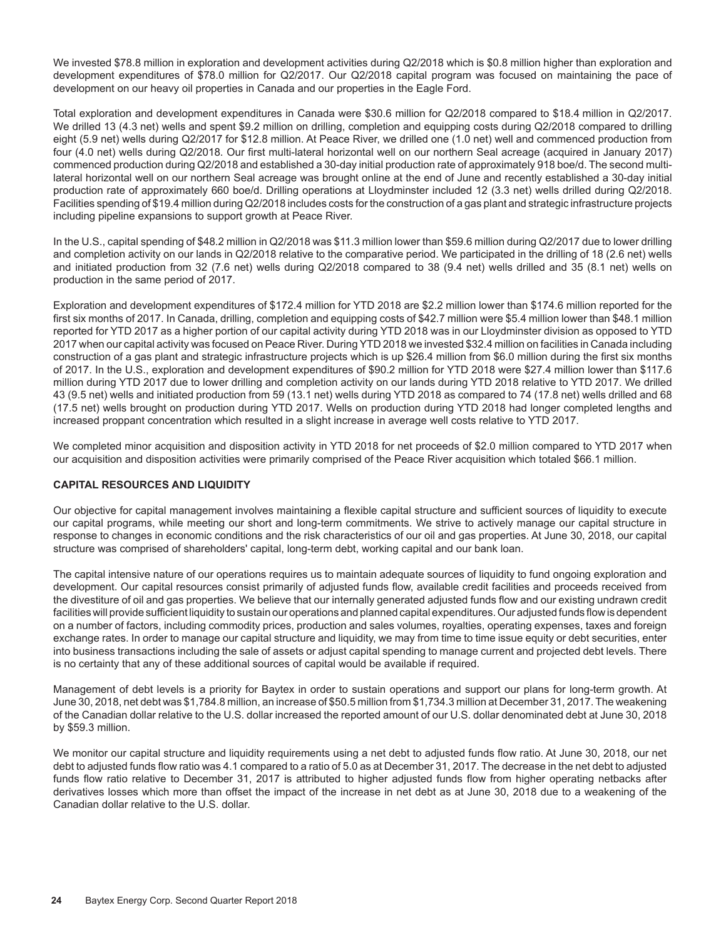We invested \$78.8 million in exploration and development activities during Q2/2018 which is \$0.8 million higher than exploration and development expenditures of \$78.0 million for Q2/2017. Our Q2/2018 capital program was focused on maintaining the pace of development on our heavy oil properties in Canada and our properties in the Eagle Ford.

Total exploration and development expenditures in Canada were \$30.6 million for Q2/2018 compared to \$18.4 million in Q2/2017. We drilled 13 (4.3 net) wells and spent \$9.2 million on drilling, completion and equipping costs during Q2/2018 compared to drilling eight (5.9 net) wells during Q2/2017 for \$12.8 million. At Peace River, we drilled one (1.0 net) well and commenced production from four (4.0 net) wells during Q2/2018. Our first multi-lateral horizontal well on our northern Seal acreage (acquired in January 2017) commenced production during Q2/2018 and established a 30-day initial production rate of approximately 918 boe/d. The second multilateral horizontal well on our northern Seal acreage was brought online at the end of June and recently established a 30-day initial production rate of approximately 660 boe/d. Drilling operations at Lloydminster included 12 (3.3 net) wells drilled during Q2/2018. Facilities spending of \$19.4 million during Q2/2018 includes costs for the construction of a gas plant and strategic infrastructure projects including pipeline expansions to support growth at Peace River.

In the U.S., capital spending of \$48.2 million in Q2/2018 was \$11.3 million lower than \$59.6 million during Q2/2017 due to lower drilling and completion activity on our lands in Q2/2018 relative to the comparative period. We participated in the drilling of 18 (2.6 net) wells and initiated production from 32 (7.6 net) wells during Q2/2018 compared to 38 (9.4 net) wells drilled and 35 (8.1 net) wells on production in the same period of 2017.

Exploration and development expenditures of \$172.4 million for YTD 2018 are \$2.2 million lower than \$174.6 million reported for the first six months of 2017. In Canada, drilling, completion and equipping costs of \$42.7 million were \$5.4 million lower than \$48.1 million reported for YTD 2017 as a higher portion of our capital activity during YTD 2018 was in our Lloydminster division as opposed to YTD 2017 when our capital activity was focused on Peace River. During YTD 2018 we invested \$32.4 million on facilities in Canada including construction of a gas plant and strategic infrastructure projects which is up \$26.4 million from \$6.0 million during the first six months of 2017. In the U.S., exploration and development expenditures of \$90.2 million for YTD 2018 were \$27.4 million lower than \$117.6 million during YTD 2017 due to lower drilling and completion activity on our lands during YTD 2018 relative to YTD 2017. We drilled 43 (9.5 net) wells and initiated production from 59 (13.1 net) wells during YTD 2018 as compared to 74 (17.8 net) wells drilled and 68 (17.5 net) wells brought on production during YTD 2017. Wells on production during YTD 2018 had longer completed lengths and increased proppant concentration which resulted in a slight increase in average well costs relative to YTD 2017.

We completed minor acquisition and disposition activity in YTD 2018 for net proceeds of \$2.0 million compared to YTD 2017 when our acquisition and disposition activities were primarily comprised of the Peace River acquisition which totaled \$66.1 million.

#### **CAPITAL RESOURCES AND LIQUIDITY**

Our objective for capital management involves maintaining a flexible capital structure and sufficient sources of liquidity to execute our capital programs, while meeting our short and long-term commitments. We strive to actively manage our capital structure in response to changes in economic conditions and the risk characteristics of our oil and gas properties. At June 30, 2018, our capital structure was comprised of shareholders' capital, long-term debt, working capital and our bank loan.

The capital intensive nature of our operations requires us to maintain adequate sources of liquidity to fund ongoing exploration and development. Our capital resources consist primarily of adjusted funds flow, available credit facilities and proceeds received from the divestiture of oil and gas properties. We believe that our internally generated adjusted funds flow and our existing undrawn credit facilities will provide sufficient liquidity to sustain our operations and planned capital expenditures. Our adjusted funds flow is dependent on a number of factors, including commodity prices, production and sales volumes, royalties, operating expenses, taxes and foreign exchange rates. In order to manage our capital structure and liquidity, we may from time to time issue equity or debt securities, enter into business transactions including the sale of assets or adjust capital spending to manage current and projected debt levels. There is no certainty that any of these additional sources of capital would be available if required.

Management of debt levels is a priority for Baytex in order to sustain operations and support our plans for long-term growth. At June 30, 2018, net debt was \$1,784.8 million, an increase of \$50.5 million from \$1,734.3 million at December 31, 2017. The weakening of the Canadian dollar relative to the U.S. dollar increased the reported amount of our U.S. dollar denominated debt at June 30, 2018 by \$59.3 million.

We monitor our capital structure and liquidity requirements using a net debt to adjusted funds flow ratio. At June 30, 2018, our net debt to adjusted funds flow ratio was 4.1 compared to a ratio of 5.0 as at December 31, 2017. The decrease in the net debt to adjusted funds flow ratio relative to December 31, 2017 is attributed to higher adjusted funds flow from higher operating netbacks after derivatives losses which more than offset the impact of the increase in net debt as at June 30, 2018 due to a weakening of the Canadian dollar relative to the U.S. dollar.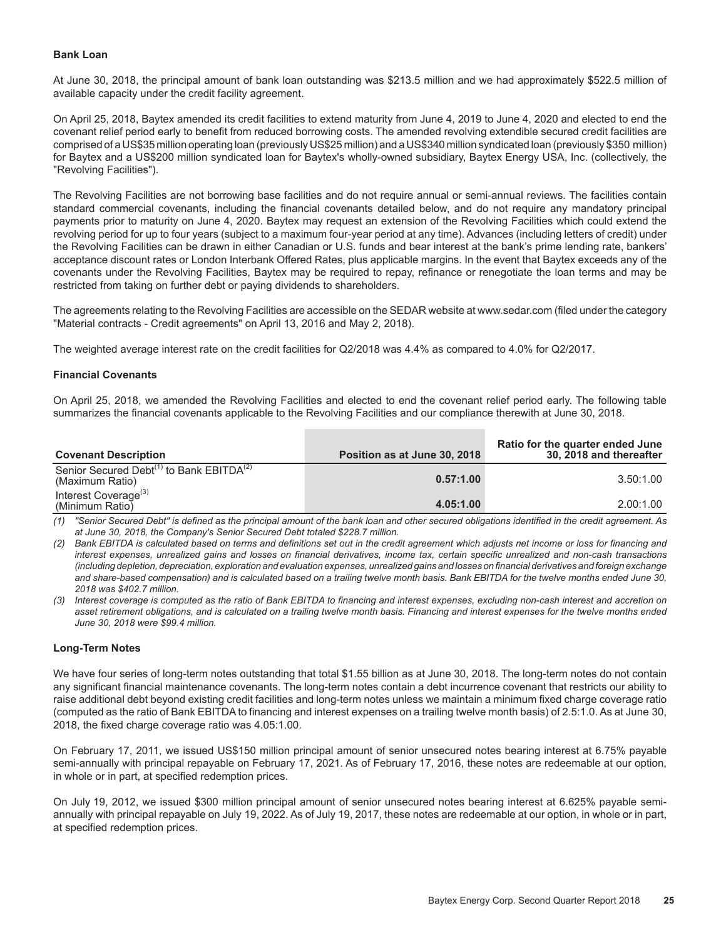#### **Bank Loan**

At June 30, 2018, the principal amount of bank loan outstanding was \$213.5 million and we had approximately \$522.5 million of available capacity under the credit facility agreement.

On April 25, 2018, Baytex amended its credit facilities to extend maturity from June 4, 2019 to June 4, 2020 and elected to end the covenant relief period early to benefit from reduced borrowing costs. The amended revolving extendible secured credit facilities are comprised of a US\$35 million operating loan (previously US\$25 million) and a US\$340 million syndicated loan (previously \$350 million) for Baytex and a US\$200 million syndicated loan for Baytex's wholly-owned subsidiary, Baytex Energy USA, Inc. (collectively, the "Revolving Facilities").

The Revolving Facilities are not borrowing base facilities and do not require annual or semi-annual reviews. The facilities contain standard commercial covenants, including the financial covenants detailed below, and do not require any mandatory principal payments prior to maturity on June 4, 2020. Baytex may request an extension of the Revolving Facilities which could extend the revolving period for up to four years (subject to a maximum four-year period at any time). Advances (including letters of credit) under the Revolving Facilities can be drawn in either Canadian or U.S. funds and bear interest at the bank's prime lending rate, bankers' acceptance discount rates or London Interbank Offered Rates, plus applicable margins. In the event that Baytex exceeds any of the covenants under the Revolving Facilities, Baytex may be required to repay, refinance or renegotiate the loan terms and may be restricted from taking on further debt or paying dividends to shareholders.

The agreements relating to the Revolving Facilities are accessible on the SEDAR website at www.sedar.com (filed under the category "Material contracts - Credit agreements" on April 13, 2016 and May 2, 2018).

The weighted average interest rate on the credit facilities for Q2/2018 was 4.4% as compared to 4.0% for Q2/2017.

#### **Financial Covenants**

On April 25, 2018, we amended the Revolving Facilities and elected to end the covenant relief period early. The following table summarizes the financial covenants applicable to the Revolving Facilities and our compliance therewith at June 30, 2018.

| <b>Covenant Description</b>                                                         | Position as at June 30, 2018 | Ratio for the quarter ended June<br>30, 2018 and thereafter |
|-------------------------------------------------------------------------------------|------------------------------|-------------------------------------------------------------|
| Senior Secured Debt <sup>(1)</sup> to Bank EBITDA <sup>(2)</sup><br>(Maximum Ratio) | 0.57:1.00                    | 3.50:1.00                                                   |
| Interest Coverage <sup>(3)</sup><br>(Minimum Ratio)                                 | 4.05:1.00                    | 2.00:1.00                                                   |

*(1) "Senior Secured Debt" is defined as the principal amount of the bank loan and other secured obligations identified in the credit agreement. As at June 30, 2018, the Company's Senior Secured Debt totaled \$228.7 million.*

*(2) Bank EBITDA is calculated based on terms and definitions set out in the credit agreement which adjusts net income or loss for financing and interest expenses, unrealized gains and losses on financial derivatives, income tax, certain specific unrealized and non-cash transactions (including depletion, depreciation, exploration and evaluation expenses, unrealized gains and losses on financial derivatives and foreign exchange and share-based compensation) and is calculated based on a trailing twelve month basis. Bank EBITDA for the twelve months ended June 30, 2018 was \$402.7 million.* 

*(3) Interest coverage is computed as the ratio of Bank EBITDA to financing and interest expenses, excluding non-cash interest and accretion on asset retirement obligations, and is calculated on a trailing twelve month basis. Financing and interest expenses for the twelve months ended June 30, 2018 were \$99.4 million.* 

#### **Long-Term Notes**

We have four series of long-term notes outstanding that total \$1.55 billion as at June 30, 2018. The long-term notes do not contain any significant financial maintenance covenants. The long-term notes contain a debt incurrence covenant that restricts our ability to raise additional debt beyond existing credit facilities and long-term notes unless we maintain a minimum fixed charge coverage ratio (computed as the ratio of Bank EBITDA to financing and interest expenses on a trailing twelve month basis) of 2.5:1.0. As at June 30, 2018, the fixed charge coverage ratio was 4.05:1.00.

On February 17, 2011, we issued US\$150 million principal amount of senior unsecured notes bearing interest at 6.75% payable semi-annually with principal repayable on February 17, 2021. As of February 17, 2016, these notes are redeemable at our option, in whole or in part, at specified redemption prices.

On July 19, 2012, we issued \$300 million principal amount of senior unsecured notes bearing interest at 6.625% payable semiannually with principal repayable on July 19, 2022. As of July 19, 2017, these notes are redeemable at our option, in whole or in part, at specified redemption prices.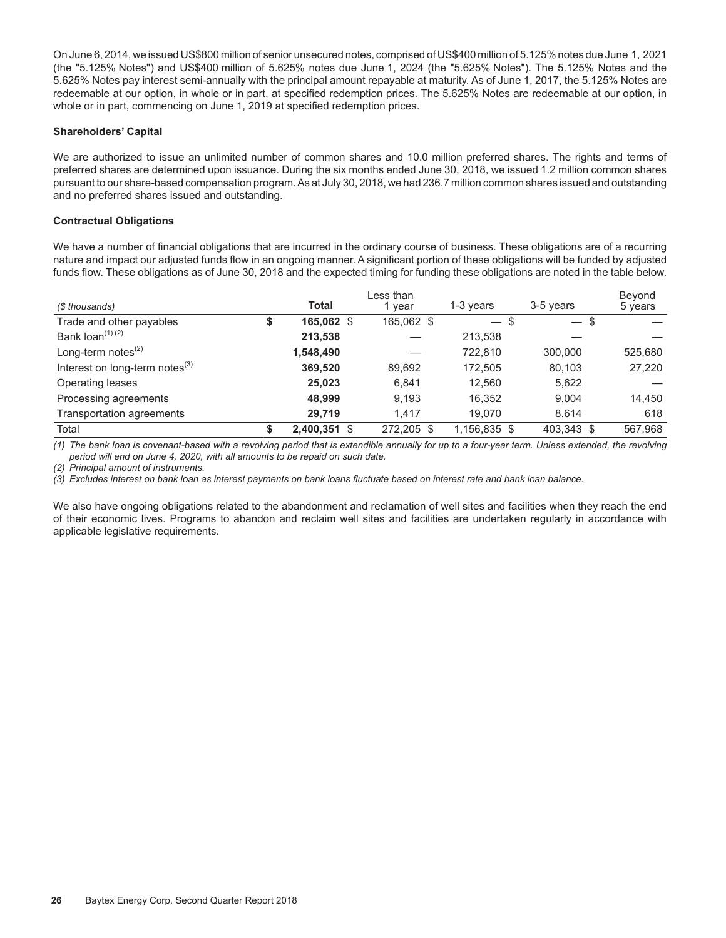On June 6, 2014, we issued US\$800 million of senior unsecured notes, comprised of US\$400 million of 5.125% notes due June 1, 2021 (the "5.125% Notes") and US\$400 million of 5.625% notes due June 1, 2024 (the "5.625% Notes"). The 5.125% Notes and the 5.625% Notes pay interest semi-annually with the principal amount repayable at maturity. As of June 1, 2017, the 5.125% Notes are redeemable at our option, in whole or in part, at specified redemption prices. The 5.625% Notes are redeemable at our option, in whole or in part, commencing on June 1, 2019 at specified redemption prices.

#### **Shareholders' Capital**

We are authorized to issue an unlimited number of common shares and 10.0 million preferred shares. The rights and terms of preferred shares are determined upon issuance. During the six months ended June 30, 2018, we issued 1.2 million common shares pursuant to our share-based compensation program. As at July 30, 2018, we had 236.7 million common shares issued and outstanding and no preferred shares issued and outstanding.

#### **Contractual Obligations**

We have a number of financial obligations that are incurred in the ordinary course of business. These obligations are of a recurring nature and impact our adjusted funds flow in an ongoing manner. A significant portion of these obligations will be funded by adjusted funds flow. These obligations as of June 30, 2018 and the expected timing for funding these obligations are noted in the table below.

| (\$ thousands)                       | <b>Total</b>       | Less than<br>vear | 1-3 vears    | 3-5 years  | Beyond<br>5 years |
|--------------------------------------|--------------------|-------------------|--------------|------------|-------------------|
| Trade and other payables             | \$<br>165,062 \$   | 165,062 \$        | $-$ \$       | $-$ \$     |                   |
| Bank loan <sup>(1) (2)</sup>         | 213,538            |                   | 213,538      |            |                   |
| Long-term notes $^{(2)}$             | 1,548,490          |                   | 722.810      | 300.000    | 525,680           |
| Interest on long-term notes $^{(3)}$ | 369,520            | 89,692            | 172,505      | 80,103     | 27,220            |
| Operating leases                     | 25,023             | 6,841             | 12.560       | 5,622      |                   |
| Processing agreements                | 48.999             | 9,193             | 16.352       | 9.004      | 14.450            |
| Transportation agreements            | 29.719             | 1.417             | 19,070       | 8,614      | 618               |
| Total                                | \$<br>2,400,351 \$ | 272.205 \$        | 1,156,835 \$ | 403,343 \$ | 567.968           |

*(1) The bank loan is covenant-based with a revolving period that is extendible annually for up to a four-year term. Unless extended, the revolving period will end on June 4, 2020, with all amounts to be repaid on such date.* 

*(2) Principal amount of instruments.* 

*(3) Excludes interest on bank loan as interest payments on bank loans fluctuate based on interest rate and bank loan balance.*

We also have ongoing obligations related to the abandonment and reclamation of well sites and facilities when they reach the end of their economic lives. Programs to abandon and reclaim well sites and facilities are undertaken regularly in accordance with applicable legislative requirements.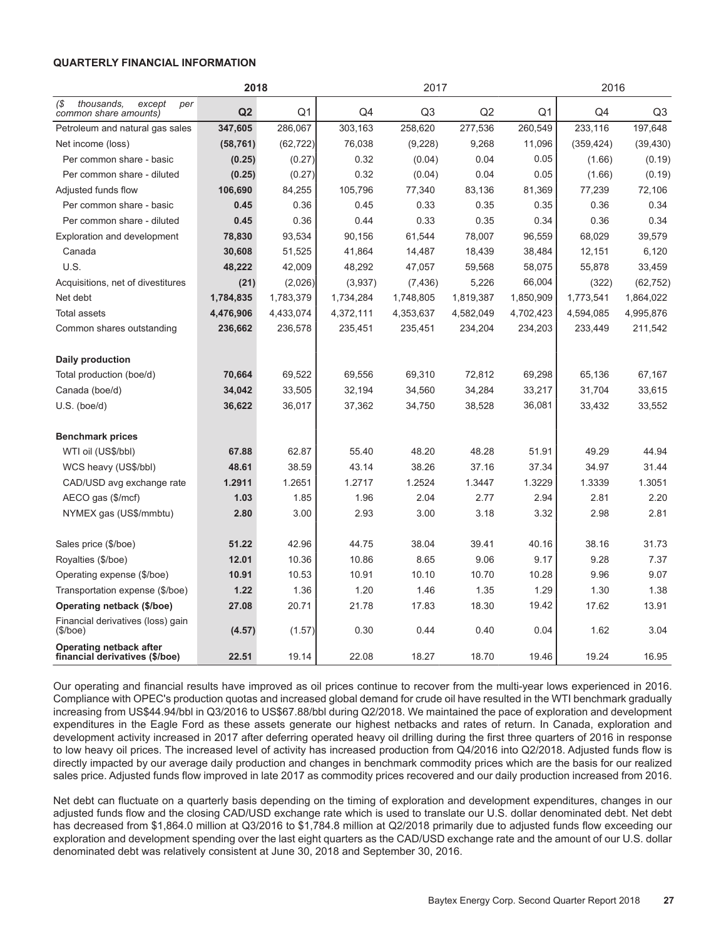#### **QUARTERLY FINANCIAL INFORMATION**

|                                                             | 2018           |                |           | 2017           |           | 2016      |            |           |  |  |
|-------------------------------------------------------------|----------------|----------------|-----------|----------------|-----------|-----------|------------|-----------|--|--|
| thousands.<br>1\$<br>except<br>per<br>common share amounts) | Q <sub>2</sub> | Q <sub>1</sub> | Q4        | Q <sub>3</sub> | Q2        | Q1        | Q4         | Q3        |  |  |
| Petroleum and natural gas sales                             | 347,605        | 286,067        | 303,163   | 258,620        | 277,536   | 260,549   | 233,116    | 197,648   |  |  |
| Net income (loss)                                           | (58, 761)      | (62, 722)      | 76,038    | (9,228)        | 9,268     | 11,096    | (359, 424) | (39, 430) |  |  |
| Per common share - basic                                    | (0.25)         | (0.27)         | 0.32      | (0.04)         | 0.04      | 0.05      | (1.66)     | (0.19)    |  |  |
| Per common share - diluted                                  | (0.25)         | (0.27)         | 0.32      | (0.04)         | 0.04      | 0.05      | (1.66)     | (0.19)    |  |  |
| Adjusted funds flow                                         | 106,690        | 84,255         | 105,796   | 77,340         | 83,136    | 81,369    | 77,239     | 72,106    |  |  |
| Per common share - basic                                    | 0.45           | 0.36           | 0.45      | 0.33           | 0.35      | 0.35      | 0.36       | 0.34      |  |  |
| Per common share - diluted                                  | 0.45           | 0.36           | 0.44      | 0.33           | 0.35      | 0.34      | 0.36       | 0.34      |  |  |
| <b>Exploration and development</b>                          | 78,830         | 93.534         | 90,156    | 61.544         | 78,007    | 96,559    | 68,029     | 39.579    |  |  |
| Canada                                                      | 30,608         | 51,525         | 41,864    | 14,487         | 18,439    | 38.484    | 12,151     | 6,120     |  |  |
| U.S.                                                        | 48,222         | 42,009         | 48,292    | 47,057         | 59,568    | 58,075    | 55,878     | 33,459    |  |  |
| Acquisitions, net of divestitures                           | (21)           | (2,026)        | (3,937)   | (7, 436)       | 5,226     | 66,004    | (322)      | (62, 752) |  |  |
| Net debt                                                    | 1,784,835      | 1,783,379      | 1,734,284 | 1,748,805      | 1,819,387 | 1,850,909 | 1,773,541  | 1,864,022 |  |  |
| Total assets                                                | 4,476,906      | 4,433,074      | 4,372,111 | 4,353,637      | 4,582,049 | 4,702,423 | 4,594,085  | 4,995,876 |  |  |
| Common shares outstanding                                   | 236,662        | 236,578        | 235,451   | 235,451        | 234,204   | 234,203   | 233,449    | 211,542   |  |  |
| <b>Daily production</b>                                     |                |                |           |                |           |           |            |           |  |  |
| Total production (boe/d)                                    | 70,664         | 69,522         | 69,556    | 69,310         | 72,812    | 69,298    | 65,136     | 67,167    |  |  |
| Canada (boe/d)                                              | 34,042         | 33,505         | 32,194    | 34,560         | 34,284    | 33,217    | 31,704     | 33,615    |  |  |
| $U.S.$ (boe/d)                                              | 36,622         | 36,017         | 37,362    | 34,750         | 38,528    | 36,081    | 33,432     | 33,552    |  |  |
| <b>Benchmark prices</b>                                     |                |                |           |                |           |           |            |           |  |  |
| WTI oil (US\$/bbl)                                          | 67.88          | 62.87          | 55.40     | 48.20          | 48.28     | 51.91     | 49.29      | 44.94     |  |  |
| WCS heavy (US\$/bbl)                                        | 48.61          | 38.59          | 43.14     | 38.26          | 37.16     | 37.34     | 34.97      | 31.44     |  |  |
| CAD/USD avg exchange rate                                   | 1.2911         | 1.2651         | 1.2717    | 1.2524         | 1.3447    | 1.3229    | 1.3339     | 1.3051    |  |  |
| AECO gas (\$/mcf)                                           | 1.03           | 1.85           | 1.96      | 2.04           | 2.77      | 2.94      | 2.81       | 2.20      |  |  |
| NYMEX gas (US\$/mmbtu)                                      | 2.80           | 3.00           | 2.93      | 3.00           | 3.18      | 3.32      | 2.98       | 2.81      |  |  |
| Sales price (\$/boe)                                        | 51.22          | 42.96          | 44.75     | 38.04          | 39.41     | 40.16     | 38.16      | 31.73     |  |  |
| Royalties (\$/boe)                                          | 12.01          | 10.36          | 10.86     | 8.65           | 9.06      | 9.17      | 9.28       | 7.37      |  |  |
| Operating expense (\$/boe)                                  | 10.91          | 10.53          | 10.91     | 10.10          | 10.70     | 10.28     | 9.96       | 9.07      |  |  |
| Transportation expense (\$/boe)                             | 1.22           | 1.36           | 1.20      | 1.46           | 1.35      | 1.29      | 1.30       | 1.38      |  |  |
| Operating netback (\$/boe)                                  | 27.08          | 20.71          | 21.78     | 17.83          | 18.30     | 19.42     | 17.62      | 13.91     |  |  |
| Financial derivatives (loss) gain<br>$(\$/boe)$             | (4.57)         | (1.57)         | 0.30      | 0.44           | 0.40      | 0.04      | 1.62       | 3.04      |  |  |
| Operating netback after<br>financial derivatives (\$/boe)   | 22.51          | 19.14          | 22.08     | 18.27          | 18.70     | 19.46     | 19.24      | 16.95     |  |  |

Our operating and financial results have improved as oil prices continue to recover from the multi-year lows experienced in 2016. Compliance with OPEC's production quotas and increased global demand for crude oil have resulted in the WTI benchmark gradually increasing from US\$44.94/bbl in Q3/2016 to US\$67.88/bbl during Q2/2018. We maintained the pace of exploration and development expenditures in the Eagle Ford as these assets generate our highest netbacks and rates of return. In Canada, exploration and development activity increased in 2017 after deferring operated heavy oil drilling during the first three quarters of 2016 in response to low heavy oil prices. The increased level of activity has increased production from Q4/2016 into Q2/2018. Adjusted funds flow is directly impacted by our average daily production and changes in benchmark commodity prices which are the basis for our realized sales price. Adjusted funds flow improved in late 2017 as commodity prices recovered and our daily production increased from 2016.

Net debt can fluctuate on a quarterly basis depending on the timing of exploration and development expenditures, changes in our adjusted funds flow and the closing CAD/USD exchange rate which is used to translate our U.S. dollar denominated debt. Net debt has decreased from \$1,864.0 million at Q3/2016 to \$1,784.8 million at Q2/2018 primarily due to adjusted funds flow exceeding our exploration and development spending over the last eight quarters as the CAD/USD exchange rate and the amount of our U.S. dollar denominated debt was relatively consistent at June 30, 2018 and September 30, 2016.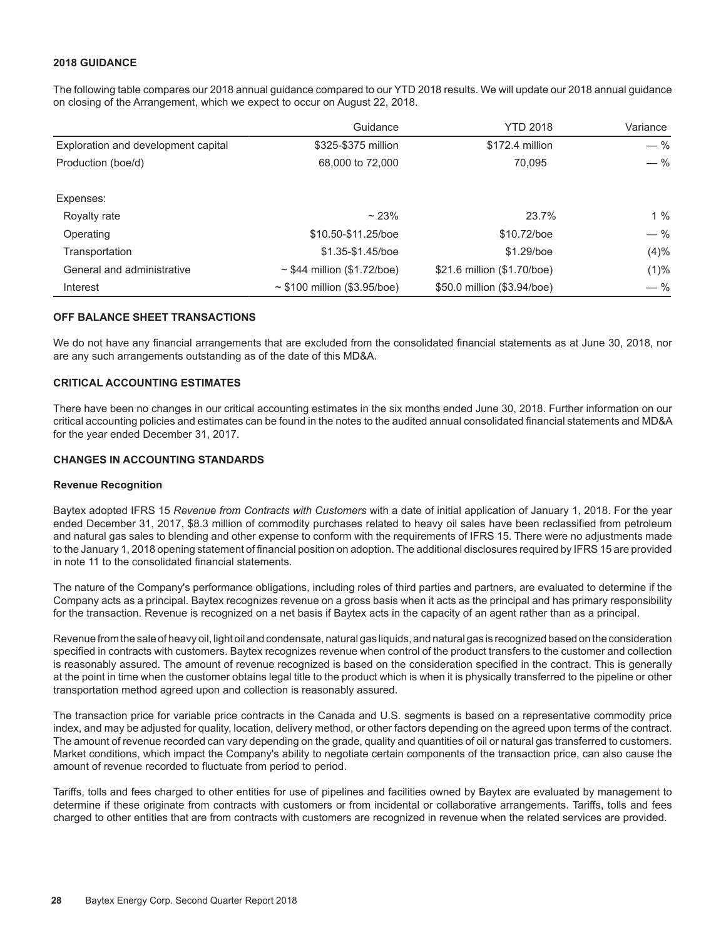#### **2018 GUIDANCE**

The following table compares our 2018 annual guidance compared to our YTD 2018 results. We will update our 2018 annual guidance on closing of the Arrangement, which we expect to occur on August 22, 2018.

|                                     | Guidance                          | <b>YTD 2018</b>             | Variance |
|-------------------------------------|-----------------------------------|-----------------------------|----------|
| Exploration and development capital | \$325-\$375 million               | \$172.4 million             | $-$ %    |
| Production (boe/d)                  | 68,000 to 72,000                  | 70.095                      | $-$ %    |
| Expenses:                           |                                   |                             |          |
| Royalty rate                        | $~23\%$                           | 23.7%                       | $1\%$    |
| Operating                           | \$10.50-\$11.25/boe               | \$10.72/boe                 | $-$ %    |
| Transportation                      | \$1.35-\$1.45/boe                 | \$1.29/boe                  | (4)%     |
| General and administrative          | $\sim$ \$44 million (\$1.72/boe)  | \$21.6 million (\$1.70/boe) | $(1)\%$  |
| Interest                            | $\sim$ \$100 million (\$3.95/boe) | \$50.0 million (\$3.94/boe) | $-$ %    |

#### **OFF BALANCE SHEET TRANSACTIONS**

We do not have any financial arrangements that are excluded from the consolidated financial statements as at June 30, 2018, nor are any such arrangements outstanding as of the date of this MD&A.

#### **CRITICAL ACCOUNTING ESTIMATES**

There have been no changes in our critical accounting estimates in the six months ended June 30, 2018. Further information on our critical accounting policies and estimates can be found in the notes to the audited annual consolidated financial statements and MD&A for the year ended December 31, 2017.

#### **CHANGES IN ACCOUNTING STANDARDS**

#### **Revenue Recognition**

Baytex adopted IFRS 15 *Revenue from Contracts with Customers* with a date of initial application of January 1, 2018. For the year ended December 31, 2017, \$8.3 million of commodity purchases related to heavy oil sales have been reclassified from petroleum and natural gas sales to blending and other expense to conform with the requirements of IFRS 15. There were no adjustments made to the January 1, 2018 opening statement of financial position on adoption. The additional disclosures required by IFRS 15 are provided in note 11 to the consolidated financial statements.

The nature of the Company's performance obligations, including roles of third parties and partners, are evaluated to determine if the Company acts as a principal. Baytex recognizes revenue on a gross basis when it acts as the principal and has primary responsibility for the transaction. Revenue is recognized on a net basis if Baytex acts in the capacity of an agent rather than as a principal.

Revenue from the sale of heavy oil, light oil and condensate, natural gas liquids, and natural gas is recognized based on the consideration specified in contracts with customers. Baytex recognizes revenue when control of the product transfers to the customer and collection is reasonably assured. The amount of revenue recognized is based on the consideration specified in the contract. This is generally at the point in time when the customer obtains legal title to the product which is when it is physically transferred to the pipeline or other transportation method agreed upon and collection is reasonably assured.

The transaction price for variable price contracts in the Canada and U.S. segments is based on a representative commodity price index, and may be adjusted for quality, location, delivery method, or other factors depending on the agreed upon terms of the contract. The amount of revenue recorded can vary depending on the grade, quality and quantities of oil or natural gas transferred to customers. Market conditions, which impact the Company's ability to negotiate certain components of the transaction price, can also cause the amount of revenue recorded to fluctuate from period to period.

Tariffs, tolls and fees charged to other entities for use of pipelines and facilities owned by Baytex are evaluated by management to determine if these originate from contracts with customers or from incidental or collaborative arrangements. Tariffs, tolls and fees charged to other entities that are from contracts with customers are recognized in revenue when the related services are provided.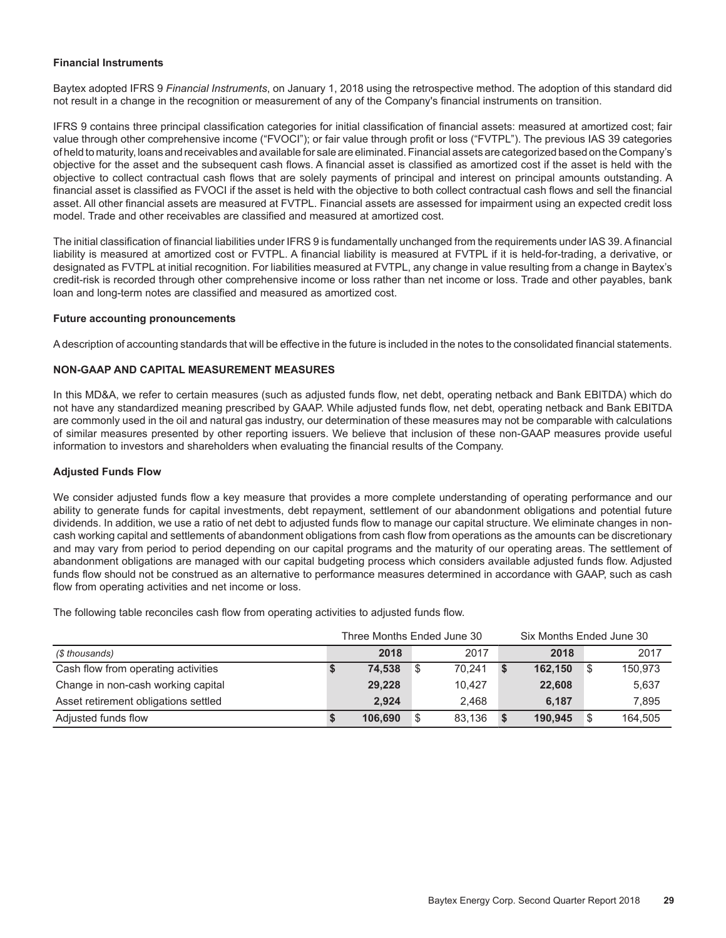#### **Financial Instruments**

Baytex adopted IFRS 9 *Financial Instruments*, on January 1, 2018 using the retrospective method. The adoption of this standard did not result in a change in the recognition or measurement of any of the Company's financial instruments on transition.

IFRS 9 contains three principal classification categories for initial classification of financial assets: measured at amortized cost; fair value through other comprehensive income ("FVOCI"); or fair value through profit or loss ("FVTPL"). The previous IAS 39 categories of held to maturity, loans and receivables and available for sale are eliminated. Financial assets are categorized based on the Company's objective for the asset and the subsequent cash flows. A financial asset is classified as amortized cost if the asset is held with the objective to collect contractual cash flows that are solely payments of principal and interest on principal amounts outstanding. A financial asset is classified as FVOCI if the asset is held with the objective to both collect contractual cash flows and sell the financial asset. All other financial assets are measured at FVTPL. Financial assets are assessed for impairment using an expected credit loss model. Trade and other receivables are classified and measured at amortized cost.

The initial classification of financial liabilities under IFRS 9 is fundamentally unchanged from the requirements under IAS 39. A financial liability is measured at amortized cost or FVTPL. A financial liability is measured at FVTPL if it is held-for-trading, a derivative, or designated as FVTPL at initial recognition. For liabilities measured at FVTPL, any change in value resulting from a change in Baytex's credit-risk is recorded through other comprehensive income or loss rather than net income or loss. Trade and other payables, bank loan and long-term notes are classified and measured as amortized cost.

#### **Future accounting pronouncements**

A description of accounting standards that will be effective in the future is included in the notes to the consolidated financial statements.

#### **NON-GAAP AND CAPITAL MEASUREMENT MEASURES**

In this MD&A, we refer to certain measures (such as adjusted funds flow, net debt, operating netback and Bank EBITDA) which do not have any standardized meaning prescribed by GAAP. While adjusted funds flow, net debt, operating netback and Bank EBITDA are commonly used in the oil and natural gas industry, our determination of these measures may not be comparable with calculations of similar measures presented by other reporting issuers. We believe that inclusion of these non-GAAP measures provide useful information to investors and shareholders when evaluating the financial results of the Company.

#### **Adjusted Funds Flow**

We consider adjusted funds flow a key measure that provides a more complete understanding of operating performance and our ability to generate funds for capital investments, debt repayment, settlement of our abandonment obligations and potential future dividends. In addition, we use a ratio of net debt to adjusted funds flow to manage our capital structure. We eliminate changes in noncash working capital and settlements of abandonment obligations from cash flow from operations as the amounts can be discretionary and may vary from period to period depending on our capital programs and the maturity of our operating areas. The settlement of abandonment obligations are managed with our capital budgeting process which considers available adjusted funds flow. Adjusted funds flow should not be construed as an alternative to performance measures determined in accordance with GAAP, such as cash flow from operating activities and net income or loss.

The following table reconciles cash flow from operating activities to adjusted funds flow.

|                                      | Three Months Ended June 30 | Six Months Ended June 30 |    |        |             |         |  |         |
|--------------------------------------|----------------------------|--------------------------|----|--------|-------------|---------|--|---------|
| (\$ thousands)                       |                            | 2018                     |    | 2017   |             | 2018    |  | 2017    |
| Cash flow from operating activities  |                            | 74,538                   | 8  | 70.241 | $\mathbf s$ | 162,150 |  | 150.973 |
| Change in non-cash working capital   |                            | 29,228                   |    | 10.427 |             | 22,608  |  | 5,637   |
| Asset retirement obligations settled |                            | 2.924                    |    | 2.468  |             | 6.187   |  | 7.895   |
| Adjusted funds flow                  |                            | 106.690                  | \$ | 83.136 | - \$        | 190.945 |  | 164,505 |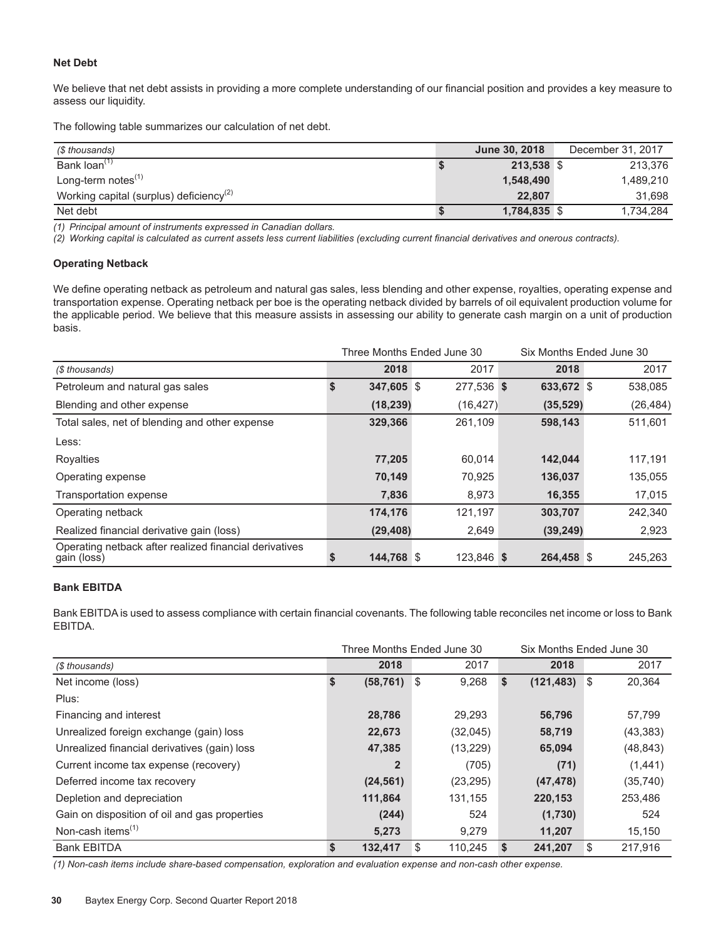#### **Net Debt**

We believe that net debt assists in providing a more complete understanding of our financial position and provides a key measure to assess our liquidity.

The following table summarizes our calculation of net debt.

| (\$ thousands)                                      | June 30, 2018 | December 31, 2017 |
|-----------------------------------------------------|---------------|-------------------|
| Bank loan <sup>(1)</sup>                            | 213,538 \$    | 213.376           |
| Long-term notes <sup>(1)</sup>                      | 1,548,490     | 1,489,210         |
| Working capital (surplus) deficiency <sup>(2)</sup> | 22.807        | 31.698            |
| Net debt                                            | 1,784,835 \$  | 1,734,284         |

*(1) Principal amount of instruments expressed in Canadian dollars.* 

*(2) Working capital is calculated as current assets less current liabilities (excluding current financial derivatives and onerous contracts).* 

#### **Operating Netback**

We define operating netback as petroleum and natural gas sales, less blending and other expense, royalties, operating expense and transportation expense. Operating netback per boe is the operating netback divided by barrels of oil equivalent production volume for the applicable period. We believe that this measure assists in assessing our ability to generate cash margin on a unit of production basis.

|                                                                       |            | Three Months Ended June 30 |            | Six Months Ended June 30 |  |  |  |  |  |  |
|-----------------------------------------------------------------------|------------|----------------------------|------------|--------------------------|--|--|--|--|--|--|
| (\$ thousands)                                                        | 2018       | 2017                       | 2018       | 2017                     |  |  |  |  |  |  |
| Petroleum and natural gas sales                                       | 347,605 \$ | 277,536 \$                 | 633,672 \$ | 538,085                  |  |  |  |  |  |  |
| Blending and other expense                                            | (18, 239)  | (16, 427)                  | (35, 529)  | (26, 484)                |  |  |  |  |  |  |
| Total sales, net of blending and other expense                        | 329,366    | 261,109                    | 598,143    | 511,601                  |  |  |  |  |  |  |
| Less:                                                                 |            |                            |            |                          |  |  |  |  |  |  |
| Royalties                                                             | 77,205     | 60.014                     | 142.044    | 117,191                  |  |  |  |  |  |  |
| Operating expense                                                     | 70,149     | 70,925                     | 136,037    | 135,055                  |  |  |  |  |  |  |
| Transportation expense                                                | 7,836      | 8,973                      | 16,355     | 17,015                   |  |  |  |  |  |  |
| Operating netback                                                     | 174,176    | 121,197                    | 303,707    | 242,340                  |  |  |  |  |  |  |
| Realized financial derivative gain (loss)                             | (29, 408)  | 2,649                      | (39, 249)  | 2,923                    |  |  |  |  |  |  |
| Operating netback after realized financial derivatives<br>gain (loss) | 144,768 \$ | 123,846 \$                 | 264,458 \$ | 245,263                  |  |  |  |  |  |  |

#### **Bank EBITDA**

Bank EBITDA is used to assess compliance with certain financial covenants. The following table reconciles net income or loss to Bank EBITDA.

|                                               |   | Three Months Ended June 30 |               |    | Six Months Ended June 30 |      |           |  |  |  |  |
|-----------------------------------------------|---|----------------------------|---------------|----|--------------------------|------|-----------|--|--|--|--|
| (\$ thousands)                                |   | 2018                       | 2017          |    | 2018                     |      | 2017      |  |  |  |  |
| Net income (loss)                             | S | (58, 761)                  | \$<br>9,268   | \$ | (121, 483)               | - \$ | 20,364    |  |  |  |  |
| Plus:                                         |   |                            |               |    |                          |      |           |  |  |  |  |
| Financing and interest                        |   | 28,786                     | 29,293        |    | 56,796                   |      | 57,799    |  |  |  |  |
| Unrealized foreign exchange (gain) loss       |   | 22,673                     | (32,045)      |    | 58,719                   |      | (43, 383) |  |  |  |  |
| Unrealized financial derivatives (gain) loss  |   | 47,385                     | (13, 229)     |    | 65,094                   |      | (48, 843) |  |  |  |  |
| Current income tax expense (recovery)         |   | $\overline{2}$             | (705)         |    | (71)                     |      | (1,441)   |  |  |  |  |
| Deferred income tax recovery                  |   | (24, 561)                  | (23, 295)     |    | (47, 478)                |      | (35, 740) |  |  |  |  |
| Depletion and depreciation                    |   | 111,864                    | 131,155       |    | 220,153                  |      | 253,486   |  |  |  |  |
| Gain on disposition of oil and gas properties |   | (244)                      | 524           |    | (1,730)                  |      | 524       |  |  |  |  |
| Non-cash items $(1)$                          |   | 5,273                      | 9.279         |    | 11,207                   |      | 15,150    |  |  |  |  |
| <b>Bank EBITDA</b>                            |   | 132,417                    | \$<br>110,245 | -S | 241,207                  | S    | 217.916   |  |  |  |  |

*(1) Non-cash items include share-based compensation, exploration and evaluation expense and non-cash other expense.*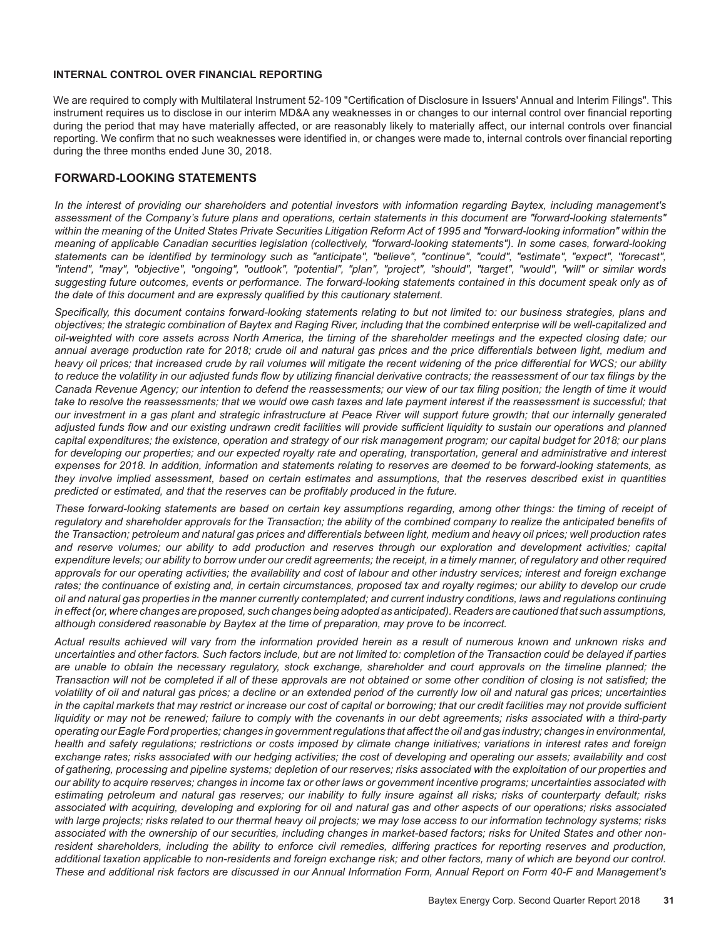#### **INTERNAL CONTROL OVER FINANCIAL REPORTING**

We are required to comply with Multilateral Instrument 52-109 "Certification of Disclosure in Issuers' Annual and Interim Filings". This instrument requires us to disclose in our interim MD&A any weaknesses in or changes to our internal control over financial reporting during the period that may have materially affected, or are reasonably likely to materially affect, our internal controls over financial reporting. We confirm that no such weaknesses were identified in, or changes were made to, internal controls over financial reporting during the three months ended June 30, 2018.

#### **FORWARD-LOOKING STATEMENTS**

*In the interest of providing our shareholders and potential investors with information regarding Baytex, including management's assessment of the Company's future plans and operations, certain statements in this document are "forward-looking statements" within the meaning of the United States Private Securities Litigation Reform Act of 1995 and "forward-looking information" within the meaning of applicable Canadian securities legislation (collectively, "forward-looking statements"). In some cases, forward-looking statements can be identified by terminology such as "anticipate", "believe", "continue", "could", "estimate", "expect", "forecast", "intend", "may", "objective", "ongoing", "outlook", "potential", "plan", "project", "should", "target", "would", "will" or similar words suggesting future outcomes, events or performance. The forward-looking statements contained in this document speak only as of the date of this document and are expressly qualified by this cautionary statement.*

*Specifically, this document contains forward-looking statements relating to but not limited to: our business strategies, plans and objectives; the strategic combination of Baytex and Raging River, including that the combined enterprise will be well-capitalized and oil-weighted with core assets across North America, the timing of the shareholder meetings and the expected closing date; our annual average production rate for 2018; crude oil and natural gas prices and the price differentials between light, medium and heavy oil prices; that increased crude by rail volumes will mitigate the recent widening of the price differential for WCS; our ability to reduce the volatility in our adjusted funds flow by utilizing financial derivative contracts; the reassessment of our tax filings by the Canada Revenue Agency; our intention to defend the reassessments; our view of our tax filing position; the length of time it would*  take to resolve the reassessments; that we would owe cash taxes and late payment interest if the reassessment is successful; that *our investment in a gas plant and strategic infrastructure at Peace River will support future growth; that our internally generated*  adjusted funds flow and our existing undrawn credit facilities will provide sufficient liquidity to sustain our operations and planned *capital expenditures; the existence, operation and strategy of our risk management program; our capital budget for 2018; our plans for developing our properties; and our expected royalty rate and operating, transportation, general and administrative and interest expenses for 2018. In addition, information and statements relating to reserves are deemed to be forward-looking statements, as they involve implied assessment, based on certain estimates and assumptions, that the reserves described exist in quantities predicted or estimated, and that the reserves can be profitably produced in the future.*

*These forward-looking statements are based on certain key assumptions regarding, among other things: the timing of receipt of*  regulatory and shareholder approvals for the Transaction; the ability of the combined company to realize the anticipated benefits of *the Transaction; petroleum and natural gas prices and differentials between light, medium and heavy oil prices; well production rates and reserve volumes; our ability to add production and reserves through our exploration and development activities; capital expenditure levels; our ability to borrow under our credit agreements; the receipt, in a timely manner, of regulatory and other required*  approvals for our operating activities; the availability and cost of labour and other industry services; interest and foreign exchange *rates; the continuance of existing and, in certain circumstances, proposed tax and royalty regimes; our ability to develop our crude oil and natural gas properties in the manner currently contemplated; and current industry conditions, laws and regulations continuing in effect (or, where changes are proposed, such changes being adopted as anticipated). Readers are cautioned that such assumptions, although considered reasonable by Baytex at the time of preparation, may prove to be incorrect.*

*Actual results achieved will vary from the information provided herein as a result of numerous known and unknown risks and uncertainties and other factors. Such factors include, but are not limited to: completion of the Transaction could be delayed if parties are unable to obtain the necessary regulatory, stock exchange, shareholder and court approvals on the timeline planned; the Transaction will not be completed if all of these approvals are not obtained or some other condition of closing is not satisfied; the volatility of oil and natural gas prices; a decline or an extended period of the currently low oil and natural gas prices; uncertainties in the capital markets that may restrict or increase our cost of capital or borrowing; that our credit facilities may not provide sufficient liquidity or may not be renewed; failure to comply with the covenants in our debt agreements; risks associated with a third-party operating our Eagle Ford properties; changes in government regulations that affect the oil and gas industry; changes in environmental, health and safety regulations; restrictions or costs imposed by climate change initiatives; variations in interest rates and foreign exchange rates; risks associated with our hedging activities; the cost of developing and operating our assets; availability and cost of gathering, processing and pipeline systems; depletion of our reserves; risks associated with the exploitation of our properties and our ability to acquire reserves; changes in income tax or other laws or government incentive programs; uncertainties associated with estimating petroleum and natural gas reserves; our inability to fully insure against all risks; risks of counterparty default; risks associated with acquiring, developing and exploring for oil and natural gas and other aspects of our operations; risks associated with large projects; risks related to our thermal heavy oil projects; we may lose access to our information technology systems; risks associated with the ownership of our securities, including changes in market-based factors; risks for United States and other nonresident shareholders, including the ability to enforce civil remedies, differing practices for reporting reserves and production, additional taxation applicable to non-residents and foreign exchange risk; and other factors, many of which are beyond our control. These and additional risk factors are discussed in our Annual Information Form, Annual Report on Form 40-F and Management's*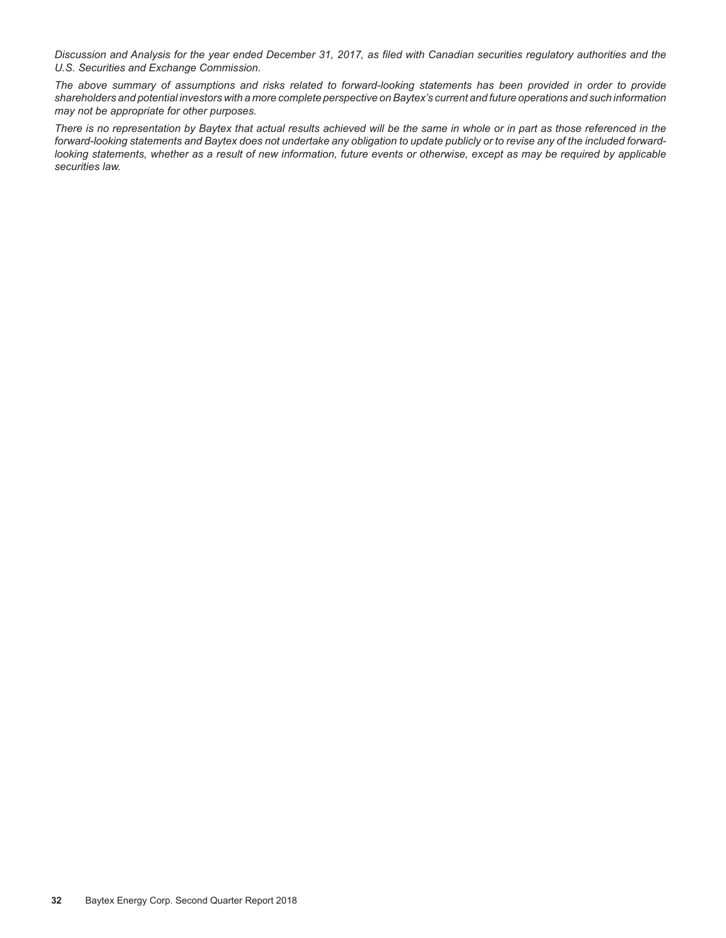*Discussion and Analysis for the year ended December 31, 2017, as filed with Canadian securities regulatory authorities and the U.S. Securities and Exchange Commission.*

*The above summary of assumptions and risks related to forward-looking statements has been provided in order to provide shareholders and potential investors with a more complete perspective on Baytex's current and future operations and such information may not be appropriate for other purposes.*

*There is no representation by Baytex that actual results achieved will be the same in whole or in part as those referenced in the forward-looking statements and Baytex does not undertake any obligation to update publicly or to revise any of the included forwardlooking statements, whether as a result of new information, future events or otherwise, except as may be required by applicable securities law.*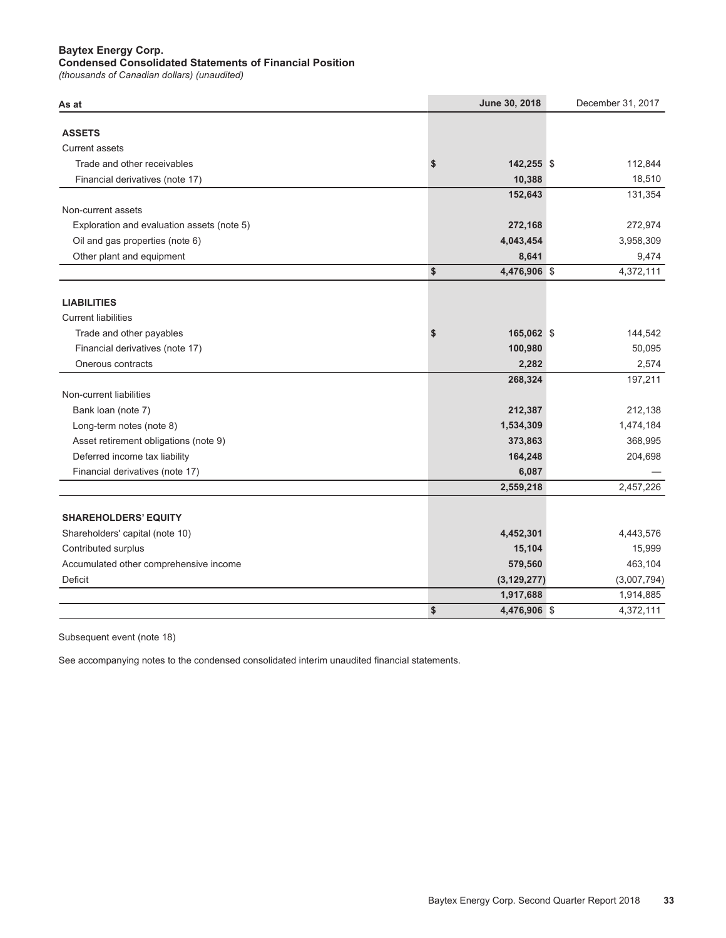### **Baytex Energy Corp.**

#### **&ondensed&onsolidated6tatements of)inancial3osition**

*(thousands of Canadian dollars) (unaudited)*

| As at                                      | June 30, 2018      | December 31, 2017 |
|--------------------------------------------|--------------------|-------------------|
|                                            |                    |                   |
| <b>ASSETS</b>                              |                    |                   |
| <b>Current assets</b>                      |                    |                   |
| Trade and other receivables                | \$<br>142,255 \$   | 112,844           |
| Financial derivatives (note 17)            | 10,388             | 18,510            |
|                                            | 152,643            | 131,354           |
| Non-current assets                         |                    |                   |
| Exploration and evaluation assets (note 5) | 272,168            | 272,974           |
| Oil and gas properties (note 6)            | 4,043,454          | 3,958,309         |
| Other plant and equipment                  | 8,641              | 9,474             |
|                                            | \$<br>4,476,906 \$ | 4,372,111         |
| <b>LIABILITIES</b>                         |                    |                   |
| <b>Current liabilities</b>                 |                    |                   |
| Trade and other payables                   | \$<br>165,062 \$   | 144,542           |
| Financial derivatives (note 17)            | 100,980            | 50,095            |
| Onerous contracts                          | 2,282              | 2,574             |
|                                            | 268,324            | 197,211           |
| Non-current liabilities                    |                    |                   |
| Bank loan (note 7)                         | 212,387            | 212,138           |
| Long-term notes (note 8)                   | 1,534,309          | 1,474,184         |
| Asset retirement obligations (note 9)      | 373,863            | 368,995           |
| Deferred income tax liability              | 164,248            | 204,698           |
|                                            |                    |                   |
| Financial derivatives (note 17)            | 6,087              |                   |
|                                            | 2,559,218          | 2,457,226         |
| <b>SHAREHOLDERS' EQUITY</b>                |                    |                   |
| Shareholders' capital (note 10)            | 4,452,301          | 4,443,576         |
| Contributed surplus                        | 15,104             | 15,999            |
| Accumulated other comprehensive income     | 579,560            | 463,104           |
| Deficit                                    | (3, 129, 277)      | (3,007,794)       |
|                                            | 1,917,688          | 1,914,885         |
|                                            | \$<br>4,476,906 \$ | 4,372,111         |

Subsequent event (note 18)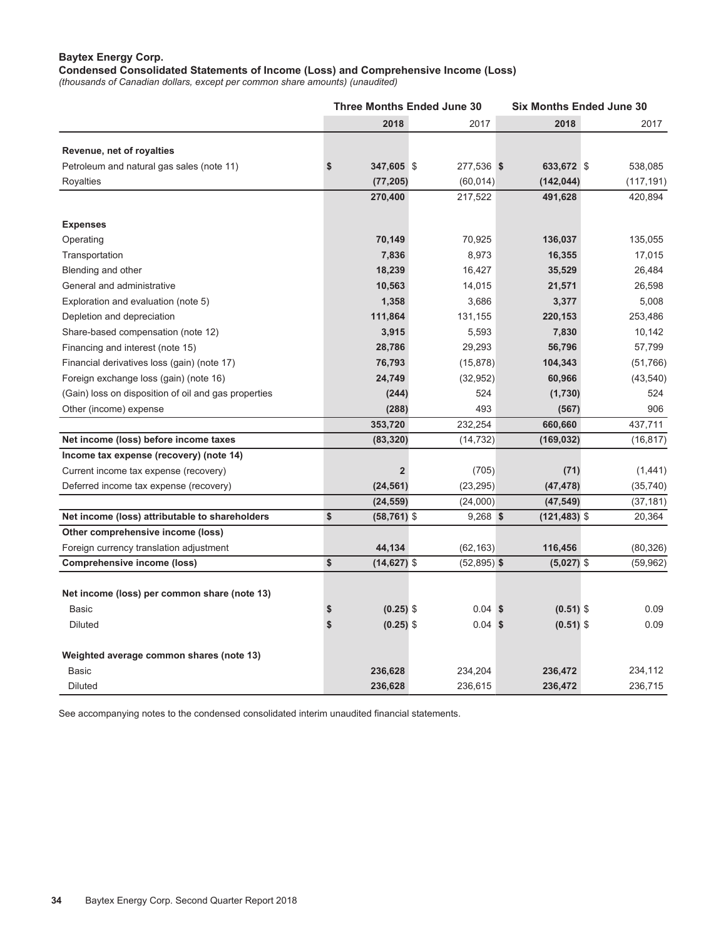### **Baytex Energy Corp.**

**Condensed Consolidated Statements of Income (Loss) and Comprehensive Income (Loss)**

*(thousands of Canadian dollars, except per common share amounts) (unaudited)* 

|                                                      |                      | <b>Three Months Ended June 30</b> |                 | <b>Six Months Ended June 30</b> |  |  |  |  |  |
|------------------------------------------------------|----------------------|-----------------------------------|-----------------|---------------------------------|--|--|--|--|--|
|                                                      | 2018                 | 2017                              | 2018            | 2017                            |  |  |  |  |  |
| Revenue, net of royalties                            |                      |                                   |                 |                                 |  |  |  |  |  |
| Petroleum and natural gas sales (note 11)            | \$<br>347,605 \$     | 277,536 \$                        | 633,672 \$      | 538,085                         |  |  |  |  |  |
| <b>Royalties</b>                                     | (77, 205)            | (60, 014)                         | (142, 044)      | (117, 191)                      |  |  |  |  |  |
|                                                      | 270,400              | 217,522                           | 491,628         | 420,894                         |  |  |  |  |  |
|                                                      |                      |                                   |                 |                                 |  |  |  |  |  |
| <b>Expenses</b>                                      |                      |                                   |                 |                                 |  |  |  |  |  |
| Operating                                            | 70,149               | 70,925                            | 136,037         | 135,055                         |  |  |  |  |  |
| Transportation                                       | 7,836                | 8,973                             | 16,355          | 17,015                          |  |  |  |  |  |
| Blending and other                                   | 18,239               | 16,427                            | 35,529          | 26,484                          |  |  |  |  |  |
| General and administrative                           | 10,563               | 14,015                            | 21,571          | 26,598                          |  |  |  |  |  |
| Exploration and evaluation (note 5)                  | 1,358                | 3,686                             | 3,377           | 5,008                           |  |  |  |  |  |
| Depletion and depreciation                           | 111,864              | 131,155                           | 220,153         | 253,486                         |  |  |  |  |  |
| Share-based compensation (note 12)                   | 3,915                | 5,593                             | 7,830           | 10,142                          |  |  |  |  |  |
| Financing and interest (note 15)                     | 28,786               | 29,293                            | 56,796          | 57,799                          |  |  |  |  |  |
| Financial derivatives loss (gain) (note 17)          | 76,793               | (15, 878)                         | 104,343         | (51, 766)                       |  |  |  |  |  |
| Foreign exchange loss (gain) (note 16)               | 24,749               | (32, 952)                         | 60,966          | (43, 540)                       |  |  |  |  |  |
| (Gain) loss on disposition of oil and gas properties | (244)                | 524                               | (1,730)         | 524                             |  |  |  |  |  |
| Other (income) expense                               | (288)                | 493                               | (567)           | 906                             |  |  |  |  |  |
|                                                      | 353,720              | 232,254                           | 660,660         | 437,711                         |  |  |  |  |  |
| Net income (loss) before income taxes                | (83, 320)            | (14, 732)                         | (169, 032)      | (16, 817)                       |  |  |  |  |  |
| Income tax expense (recovery) (note 14)              |                      |                                   |                 |                                 |  |  |  |  |  |
| Current income tax expense (recovery)                | $\overline{2}$       | (705)                             | (71)            | (1, 441)                        |  |  |  |  |  |
| Deferred income tax expense (recovery)               | (24, 561)            | (23, 295)                         | (47, 478)       | (35, 740)                       |  |  |  |  |  |
|                                                      | (24, 559)            | (24,000)                          | (47, 549)       | (37, 181)                       |  |  |  |  |  |
| Net income (loss) attributable to shareholders       | \$<br>$(58, 761)$ \$ | $9,268$ \$                        | $(121, 483)$ \$ | 20,364                          |  |  |  |  |  |
| Other comprehensive income (loss)                    |                      |                                   |                 |                                 |  |  |  |  |  |
| Foreign currency translation adjustment              | 44,134               | (62, 163)                         | 116,456         | (80, 326)                       |  |  |  |  |  |
| <b>Comprehensive income (loss)</b>                   | \$<br>$(14, 627)$ \$ | $(52,895)$ \$                     | $(5,027)$ \$    | (59, 962)                       |  |  |  |  |  |
|                                                      |                      |                                   |                 |                                 |  |  |  |  |  |
| Net income (loss) per common share (note 13)         |                      |                                   |                 |                                 |  |  |  |  |  |
| Basic                                                | $(0.25)$ \$          | $0.04$ \$                         | $(0.51)$ \$     | 0.09                            |  |  |  |  |  |
| Diluted                                              | \$<br>$(0.25)$ \$    | $0.04$ \$                         | $(0.51)$ \$     | 0.09                            |  |  |  |  |  |
| Weighted average common shares (note 13)             |                      |                                   |                 |                                 |  |  |  |  |  |
| <b>Basic</b>                                         | 236,628              | 234,204                           | 236,472         | 234,112                         |  |  |  |  |  |
|                                                      |                      |                                   |                 |                                 |  |  |  |  |  |
| Diluted                                              | 236,628              | 236,615                           | 236,472         | 236,715                         |  |  |  |  |  |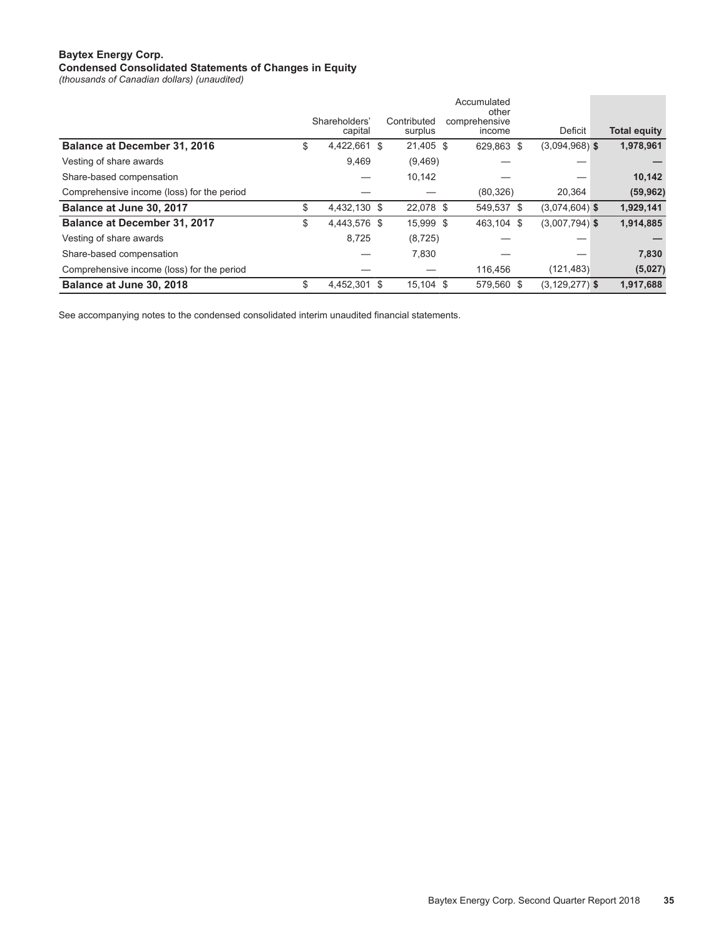#### **Baytex Energy Corp.**

#### **Condensed Consolidated Statements of Changes in Equity**

*(thousands of Canadian dollars) (unaudited)* 

|                                            |                          |      |                        | Accumulated<br>other    |                    |                     |
|--------------------------------------------|--------------------------|------|------------------------|-------------------------|--------------------|---------------------|
|                                            | Shareholders'<br>capital |      | Contributed<br>surplus | comprehensive<br>income | Deficit            | <b>Total equity</b> |
| Balance at December 31, 2016               | \$<br>4,422,661          | - \$ | 21,405 \$              | 629.863 \$              | $(3.094.968)$ \$   | 1,978,961           |
| Vesting of share awards                    | 9.469                    |      | (9,469)                |                         |                    |                     |
| Share-based compensation                   |                          |      | 10,142                 |                         |                    | 10,142              |
| Comprehensive income (loss) for the period |                          |      |                        | (80, 326)               | 20,364             | (59, 962)           |
| Balance at June 30, 2017                   | \$<br>4,432,130 \$       |      | 22,078 \$              | 549,537 \$              | $(3,074,604)$ \$   | 1,929,141           |
| <b>Balance at December 31, 2017</b>        | \$<br>4,443,576 \$       |      | 15,999 \$              | 463.104 \$              | $(3,007,794)$ \$   | 1,914,885           |
| Vesting of share awards                    | 8,725                    |      | (8, 725)               |                         |                    |                     |
| Share-based compensation                   |                          |      | 7,830                  |                         |                    | 7,830               |
| Comprehensive income (loss) for the period |                          |      |                        | 116,456                 | (121, 483)         | (5,027)             |
| Balance at June 30, 2018                   | \$<br>4,452,301          | -S   | $15,104$ \$            | 579,560 \$              | $(3, 129, 277)$ \$ | 1,917,688           |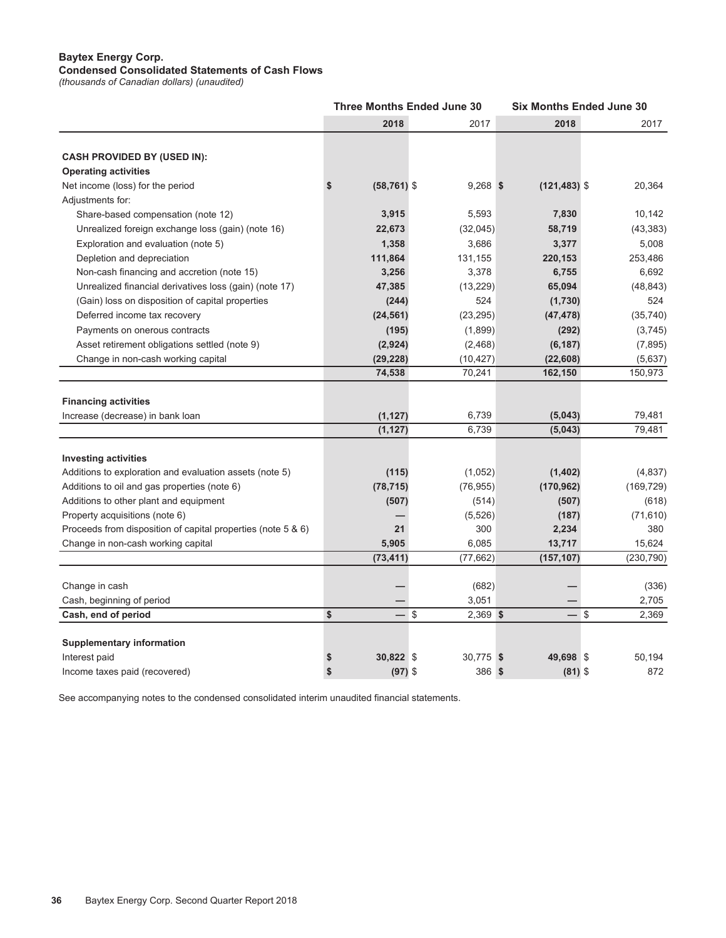#### **Baytex Energy Corp. Condensed Consolidated Statements of Cash Flows**

*(thousands of Canadian dollars) (unaudited)* 

|                                                              |                      | <b>Three Months Ended June 30</b> |                 | <b>Six Months Ended June 30</b> |  |  |  |  |  |
|--------------------------------------------------------------|----------------------|-----------------------------------|-----------------|---------------------------------|--|--|--|--|--|
|                                                              | 2018                 | 2017                              | 2018            | 2017                            |  |  |  |  |  |
|                                                              |                      |                                   |                 |                                 |  |  |  |  |  |
| <b>CASH PROVIDED BY (USED IN):</b>                           |                      |                                   |                 |                                 |  |  |  |  |  |
| <b>Operating activities</b>                                  |                      |                                   |                 |                                 |  |  |  |  |  |
| Net income (loss) for the period                             | \$<br>$(58, 761)$ \$ | $9,268$ \$                        | $(121, 483)$ \$ | 20,364                          |  |  |  |  |  |
| Adjustments for:                                             |                      |                                   |                 |                                 |  |  |  |  |  |
| Share-based compensation (note 12)                           | 3,915                | 5,593                             | 7,830           | 10,142                          |  |  |  |  |  |
| Unrealized foreign exchange loss (gain) (note 16)            | 22,673               | (32,045)                          | 58,719          | (43, 383)                       |  |  |  |  |  |
| Exploration and evaluation (note 5)                          | 1,358                | 3,686                             | 3,377           | 5,008                           |  |  |  |  |  |
| Depletion and depreciation                                   | 111,864              | 131,155                           | 220,153         | 253,486                         |  |  |  |  |  |
| Non-cash financing and accretion (note 15)                   | 3,256                | 3,378                             | 6,755           | 6,692                           |  |  |  |  |  |
| Unrealized financial derivatives loss (gain) (note 17)       | 47,385               | (13, 229)                         | 65,094          | (48, 843)                       |  |  |  |  |  |
| (Gain) loss on disposition of capital properties             | (244)                | 524                               | (1,730)         | 524                             |  |  |  |  |  |
| Deferred income tax recovery                                 | (24, 561)            | (23, 295)                         | (47, 478)       | (35, 740)                       |  |  |  |  |  |
| Payments on onerous contracts                                | (195)                | (1,899)                           | (292)           | (3,745)                         |  |  |  |  |  |
| Asset retirement obligations settled (note 9)                | (2,924)              | (2,468)                           | (6, 187)        | (7, 895)                        |  |  |  |  |  |
| Change in non-cash working capital                           | (29, 228)            | (10, 427)                         | (22, 608)       | (5,637)                         |  |  |  |  |  |
|                                                              | 74,538               | 70,241                            | 162,150         | 150,973                         |  |  |  |  |  |
| <b>Financing activities</b>                                  |                      |                                   |                 |                                 |  |  |  |  |  |
| Increase (decrease) in bank loan                             | (1, 127)             | 6,739                             | (5,043)         | 79,481                          |  |  |  |  |  |
|                                                              | (1, 127)             | 6,739                             | (5,043)         | 79,481                          |  |  |  |  |  |
| <b>Investing activities</b>                                  |                      |                                   |                 |                                 |  |  |  |  |  |
| Additions to exploration and evaluation assets (note 5)      | (115)                | (1,052)                           | (1,402)         | (4,837)                         |  |  |  |  |  |
| Additions to oil and gas properties (note 6)                 | (78, 715)            | (76, 955)                         | (170, 962)      | (169, 729)                      |  |  |  |  |  |
| Additions to other plant and equipment                       | (507)                | (514)                             | (507)           | (618)                           |  |  |  |  |  |
| Property acquisitions (note 6)                               |                      | (5,526)                           | (187)           | (71, 610)                       |  |  |  |  |  |
| Proceeds from disposition of capital properties (note 5 & 6) | 21                   | 300                               | 2,234           | 380                             |  |  |  |  |  |
| Change in non-cash working capital                           | 5,905                | 6,085                             | 13,717          | 15,624                          |  |  |  |  |  |
|                                                              | (73, 411)            | (77,662)                          | (157, 107)      | (230, 790)                      |  |  |  |  |  |
|                                                              |                      |                                   |                 |                                 |  |  |  |  |  |
| Change in cash                                               |                      | (682)                             |                 | (336)                           |  |  |  |  |  |
| Cash, beginning of period                                    |                      | 3,051                             |                 | 2,705                           |  |  |  |  |  |
| Cash, end of period                                          | \$<br>— \$           | $2,369$ \$                        | — \$            | 2,369                           |  |  |  |  |  |
| <b>Supplementary information</b>                             |                      |                                   |                 |                                 |  |  |  |  |  |
| Interest paid                                                | \$<br>30,822 \$      | 30,775 \$                         | 49,698 \$       | 50,194                          |  |  |  |  |  |
| Income taxes paid (recovered)                                | \$<br>$(97)$ \$      | 386 \$                            | $(81)$ \$       | 872                             |  |  |  |  |  |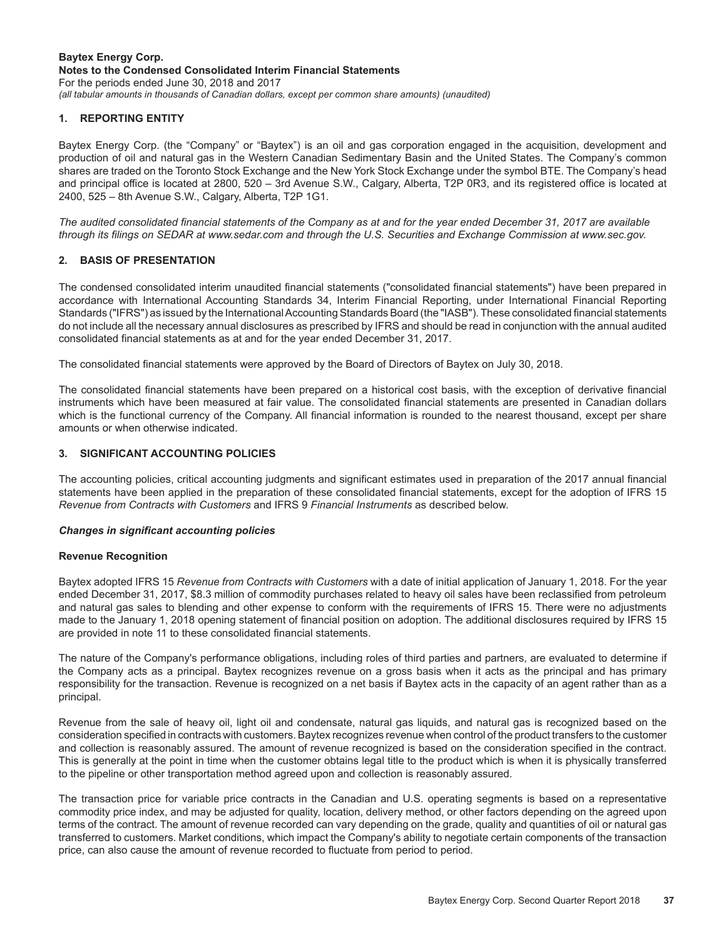#### **Baytex Energy Corp. Notes to the Condensed Consolidated Interim Financial Statements**  For the periods ended June 30, 2018 and 2017 *(all tabular amounts in thousands of Canadian dollars, except per common share amounts) (unaudited)*

#### **1. REPORTING ENTITY**

Baytex Energy Corp. (the "Company" or "Baytex") is an oil and gas corporation engaged in the acquisition, development and production of oil and natural gas in the Western Canadian Sedimentary Basin and the United States. The Company's common shares are traded on the Toronto Stock Exchange and the New York Stock Exchange under the symbol BTE. The Company's head and principal office is located at 2800, 520 – 3rd Avenue S.W., Calgary, Alberta, T2P 0R3, and its registered office is located at 2400, 525 – 8th Avenue S.W., Calgary, Alberta, T2P 1G1.

*The audited consolidated financial statements of the Company as at and for the year ended December 31, 2017 are available through its filings on SEDAR at www.sedar.com and through the U.S. Securities and Exchange Commission at www.sec.gov.*

#### **2. BASIS OF PRESENTATION**

The condensed consolidated interim unaudited financial statements ("consolidated financial statements") have been prepared in accordance with International Accounting Standards 34, Interim Financial Reporting, under International Financial Reporting Standards ("IFRS") as issued by the International Accounting Standards Board (the "IASB"). These consolidated financial statements do not include all the necessary annual disclosures as prescribed by IFRS and should be read in conjunction with the annual audited consolidated financial statements as at and for the year ended December 31, 2017.

The consolidated financial statements were approved by the Board of Directors of Baytex on July 30, 2018.

The consolidated financial statements have been prepared on a historical cost basis, with the exception of derivative financial instruments which have been measured at fair value. The consolidated financial statements are presented in Canadian dollars which is the functional currency of the Company. All financial information is rounded to the nearest thousand, except per share amounts or when otherwise indicated.

#### **3. SIGNIFICANT ACCOUNTING POLICIES**

The accounting policies, critical accounting judgments and significant estimates used in preparation of the 2017 annual financial statements have been applied in the preparation of these consolidated financial statements, except for the adoption of IFRS 15 *Revenue from Contracts with Customers* and IFRS 9 *Financial Instruments* as described below.

#### *Changes in significant accounting policies*

#### **Revenue Recognition**

Baytex adopted IFRS 15 *Revenue from Contracts with Customers* with a date of initial application of January 1, 2018. For the year ended December 31, 2017, \$8.3 million of commodity purchases related to heavy oil sales have been reclassified from petroleum and natural gas sales to blending and other expense to conform with the requirements of IFRS 15. There were no adjustments made to the January 1, 2018 opening statement of financial position on adoption. The additional disclosures required by IFRS 15 are provided in note 11 to these consolidated financial statements.

The nature of the Company's performance obligations, including roles of third parties and partners, are evaluated to determine if the Company acts as a principal. Baytex recognizes revenue on a gross basis when it acts as the principal and has primary responsibility for the transaction. Revenue is recognized on a net basis if Baytex acts in the capacity of an agent rather than as a principal.

Revenue from the sale of heavy oil, light oil and condensate, natural gas liquids, and natural gas is recognized based on the consideration specified in contracts with customers. Baytex recognizes revenue when control of the product transfers to the customer and collection is reasonably assured. The amount of revenue recognized is based on the consideration specified in the contract. This is generally at the point in time when the customer obtains legal title to the product which is when it is physically transferred to the pipeline or other transportation method agreed upon and collection is reasonably assured.

The transaction price for variable price contracts in the Canadian and U.S. operating segments is based on a representative commodity price index, and may be adjusted for quality, location, delivery method, or other factors depending on the agreed upon terms of the contract. The amount of revenue recorded can vary depending on the grade, quality and quantities of oil or natural gas transferred to customers. Market conditions, which impact the Company's ability to negotiate certain components of the transaction price, can also cause the amount of revenue recorded to fluctuate from period to period.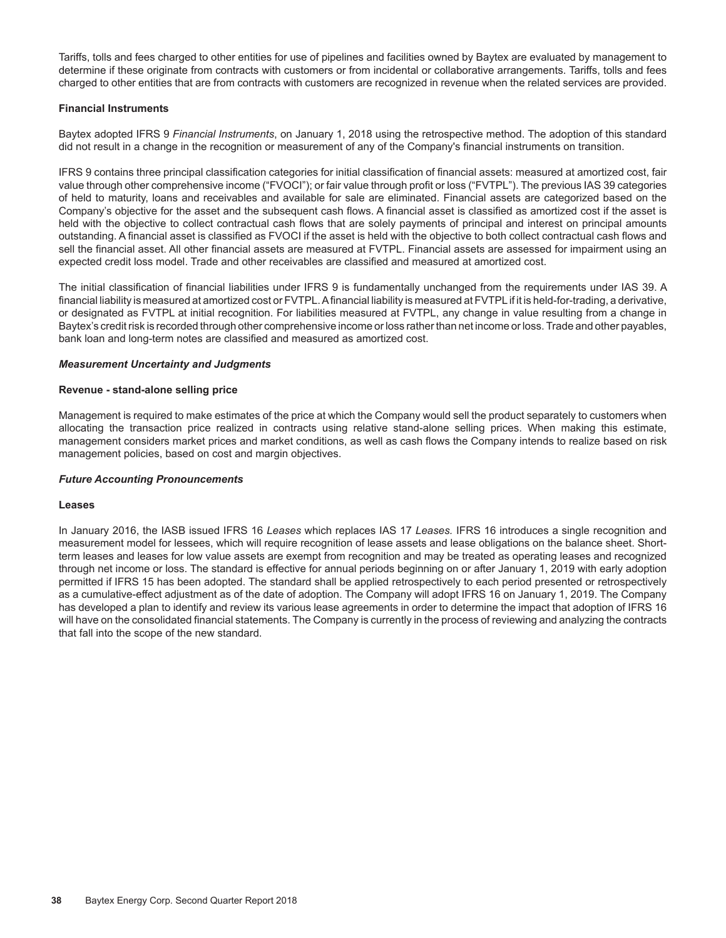Tariffs, tolls and fees charged to other entities for use of pipelines and facilities owned by Baytex are evaluated by management to determine if these originate from contracts with customers or from incidental or collaborative arrangements. Tariffs, tolls and fees charged to other entities that are from contracts with customers are recognized in revenue when the related services are provided.

#### **Financial Instruments**

Baytex adopted IFRS 9 *Financial Instruments*, on January 1, 2018 using the retrospective method. The adoption of this standard did not result in a change in the recognition or measurement of any of the Company's financial instruments on transition.

IFRS 9 contains three principal classification categories for initial classification of financial assets: measured at amortized cost, fair value through other comprehensive income ("FVOCI"); or fair value through profit or loss ("FVTPL"). The previous IAS 39 categories of held to maturity, loans and receivables and available for sale are eliminated. Financial assets are categorized based on the Company's objective for the asset and the subsequent cash flows. A financial asset is classified as amortized cost if the asset is held with the objective to collect contractual cash flows that are solely payments of principal and interest on principal amounts outstanding. A financial asset is classified as FVOCI if the asset is held with the objective to both collect contractual cash flows and sell the financial asset. All other financial assets are measured at FVTPL. Financial assets are assessed for impairment using an expected credit loss model. Trade and other receivables are classified and measured at amortized cost.

The initial classification of financial liabilities under IFRS 9 is fundamentally unchanged from the requirements under IAS 39. A financial liability is measured at amortized cost or FVTPL. A financial liability is measured at FVTPL if it is held-for-trading, a derivative, or designated as FVTPL at initial recognition. For liabilities measured at FVTPL, any change in value resulting from a change in Baytex's credit risk is recorded through other comprehensive income or loss rather than net income or loss. Trade and other payables, bank loan and long-term notes are classified and measured as amortized cost.

#### *Measurement Uncertainty and Judgments*

#### **Revenue - stand-alone selling price**

Management is required to make estimates of the price at which the Company would sell the product separately to customers when allocating the transaction price realized in contracts using relative stand-alone selling prices. When making this estimate, management considers market prices and market conditions, as well as cash flows the Company intends to realize based on risk management policies, based on cost and margin objectives.

#### *Future Accounting Pronouncements*

#### **Leases**

In January 2016, the IASB issued IFRS 16 *Leases* which replaces IAS 17 *Leases.* IFRS 16 introduces a single recognition and measurement model for lessees, which will require recognition of lease assets and lease obligations on the balance sheet. Shortterm leases and leases for low value assets are exempt from recognition and may be treated as operating leases and recognized through net income or loss. The standard is effective for annual periods beginning on or after January 1, 2019 with early adoption permitted if IFRS 15 has been adopted. The standard shall be applied retrospectively to each period presented or retrospectively as a cumulative-effect adjustment as of the date of adoption. The Company will adopt IFRS 16 on January 1, 2019. The Company has developed a plan to identify and review its various lease agreements in order to determine the impact that adoption of IFRS 16 will have on the consolidated financial statements. The Company is currently in the process of reviewing and analyzing the contracts that fall into the scope of the new standard.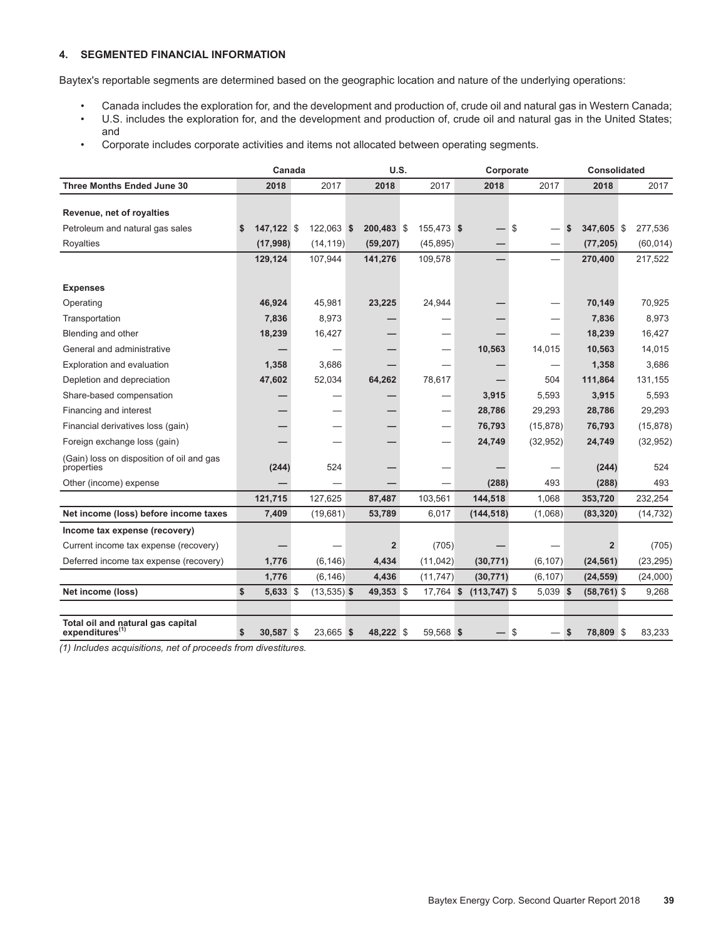#### **4. SEGMENTED FINANCIAL INFORMATION**

Baytex's reportable segments are determined based on the geographic location and nature of the underlying operations:

- Canada includes the exploration for, and the development and production of, crude oil and natural gas in Western Canada;
- U.S. includes the exploration for, and the development and production of, crude oil and natural gas in the United States; and
- Corporate includes corporate activities and items not allocated between operating segments.

|                                                                  | Canada          |               | U.S.                    |            | Corporate       |     | <b>Consolidated</b> |    |                         |  |           |
|------------------------------------------------------------------|-----------------|---------------|-------------------------|------------|-----------------|-----|---------------------|----|-------------------------|--|-----------|
| <b>Three Months Ended June 30</b>                                | 2018            | 2017          | 2018                    | 2017       | 2018            |     | 2017                |    | 2018                    |  | 2017      |
|                                                                  |                 |               |                         |            |                 |     |                     |    |                         |  |           |
| Revenue, net of royalties                                        |                 |               |                         |            |                 |     |                     |    |                         |  |           |
| Petroleum and natural gas sales                                  | $147,122$ \$    | 122,063 \$    | 200,483 \$              | 155,473 \$ |                 | -\$ |                     | \$ | 347,605 \$              |  | 277,536   |
| Royalties                                                        | (17,998)        | (14, 119)     | (59, 207)               | (45, 895)  |                 |     |                     |    | (77, 205)               |  | (60, 014) |
|                                                                  | 129,124         | 107,944       | 141,276                 | 109,578    |                 |     |                     |    | 270,400                 |  | 217,522   |
|                                                                  |                 |               |                         |            |                 |     |                     |    |                         |  |           |
| <b>Expenses</b>                                                  |                 |               |                         |            |                 |     |                     |    |                         |  |           |
| Operating                                                        | 46,924          | 45,981        | 23,225                  | 24,944     |                 |     |                     |    | 70,149                  |  | 70,925    |
| Transportation                                                   | 7,836           | 8,973         |                         |            |                 |     |                     |    | 7,836                   |  | 8,973     |
| Blending and other                                               | 18,239          | 16,427        |                         |            |                 |     |                     |    | 18,239                  |  | 16,427    |
| General and administrative                                       |                 |               |                         |            | 10,563          |     | 14,015              |    | 10,563                  |  | 14,015    |
| Exploration and evaluation                                       | 1,358           | 3,686         |                         |            |                 |     |                     |    | 1,358                   |  | 3,686     |
| Depletion and depreciation                                       | 47,602          | 52,034        | 64,262                  | 78,617     |                 |     | 504                 |    | 111,864                 |  | 131,155   |
| Share-based compensation                                         |                 |               |                         |            | 3,915           |     | 5,593               |    | 3,915                   |  | 5,593     |
| Financing and interest                                           |                 |               |                         |            | 28,786          |     | 29,293              |    | 28,786                  |  | 29,293    |
| Financial derivatives loss (gain)                                |                 |               |                         |            | 76,793          |     | (15, 878)           |    | 76,793                  |  | (15, 878) |
| Foreign exchange loss (gain)                                     |                 |               |                         |            | 24,749          |     | (32, 952)           |    | 24,749                  |  | (32, 952) |
| (Gain) loss on disposition of oil and gas<br>properties          | (244)           | 524           |                         |            |                 |     |                     |    | (244)                   |  | 524       |
| Other (income) expense                                           |                 |               |                         |            | (288)           |     | 493                 |    | (288)                   |  | 493       |
|                                                                  | 121,715         | 127,625       | 87,487                  | 103,561    | 144,518         |     | 1,068               |    | 353,720                 |  | 232,254   |
| Net income (loss) before income taxes                            | 7,409           | (19,681)      | 53,789                  | 6,017      | (144, 518)      |     | (1,068)             |    | (83, 320)               |  | (14, 732) |
| Income tax expense (recovery)                                    |                 |               |                         |            |                 |     |                     |    |                         |  |           |
| Current income tax expense (recovery)                            |                 |               | $\overline{\mathbf{2}}$ | (705)      |                 |     |                     |    | $\overline{\mathbf{2}}$ |  | (705)     |
| Deferred income tax expense (recovery)                           | 1,776           | (6, 146)      | 4,434                   | (11, 042)  | (30, 771)       |     | (6, 107)            |    | (24, 561)               |  | (23, 295) |
|                                                                  | 1,776           | (6, 146)      | 4,436                   | (11, 747)  | (30, 771)       |     | (6, 107)            |    | (24, 559)               |  | (24,000)  |
| Net income (loss)                                                | \$<br>5,633 \$  | $(13,535)$ \$ | 49,353 \$               | 17,764 \$  | $(113, 747)$ \$ |     | 5,039 \$            |    | $(58, 761)$ \$          |  | 9,268     |
|                                                                  |                 |               |                         |            |                 |     |                     |    |                         |  |           |
| Total oil and natural gas capital<br>expenditures <sup>(1)</sup> | \$<br>30,587 \$ | 23,665 \$     | 48,222 \$               | 59,568 \$  |                 | \$  |                     | \$ | 78,809 \$               |  | 83,233    |

*(1) Includes acquisitions, net of proceeds from divestitures.*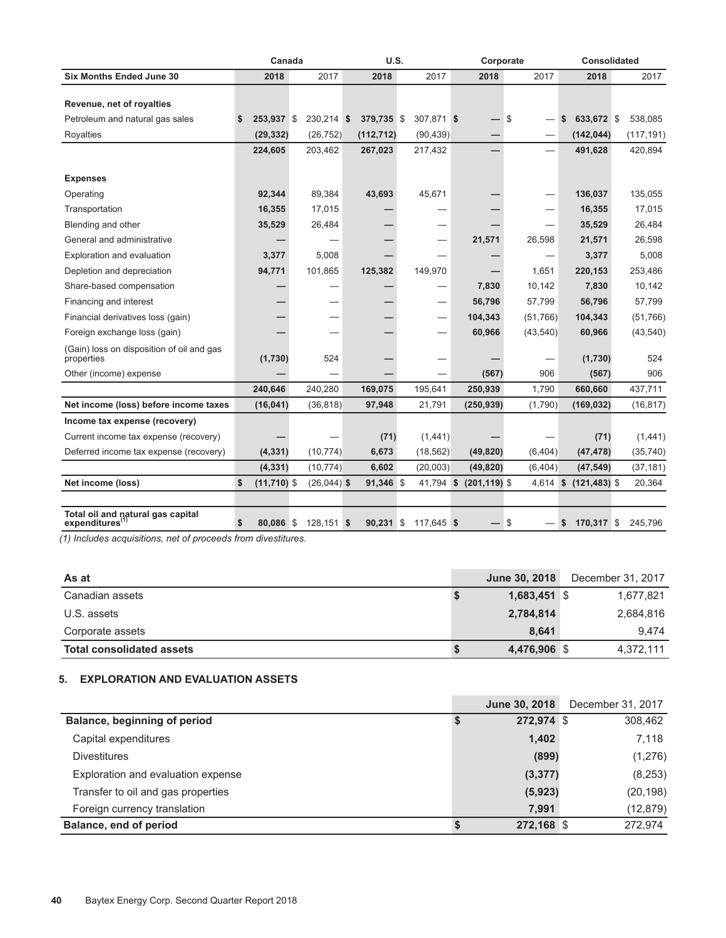|           |                                               |                                                                                          |                                                                                                                             |                                                                     |                   |                                                |                   | Corporate           |                                                          |                                                                                | Consolidated                                          |                                             |                                                                    |                                             |
|-----------|-----------------------------------------------|------------------------------------------------------------------------------------------|-----------------------------------------------------------------------------------------------------------------------------|---------------------------------------------------------------------|-------------------|------------------------------------------------|-------------------|---------------------|----------------------------------------------------------|--------------------------------------------------------------------------------|-------------------------------------------------------|---------------------------------------------|--------------------------------------------------------------------|---------------------------------------------|
| 2018      |                                               | 2017                                                                                     |                                                                                                                             | 2018                                                                |                   | 2017                                           |                   | 2018                |                                                          | 2017                                                                           |                                                       | 2018                                        |                                                                    | 2017                                        |
|           |                                               |                                                                                          |                                                                                                                             |                                                                     |                   |                                                |                   |                     |                                                          |                                                                                |                                                       |                                             |                                                                    |                                             |
| \$        |                                               |                                                                                          |                                                                                                                             |                                                                     |                   |                                                |                   |                     |                                                          |                                                                                | \$                                                    |                                             |                                                                    | 538,085                                     |
| (29, 332) |                                               | (26, 752)                                                                                |                                                                                                                             | (112, 712)                                                          |                   | (90, 439)                                      |                   |                     |                                                          |                                                                                |                                                       | (142, 044)                                  |                                                                    | (117, 191)                                  |
| 224,605   |                                               | 203,462                                                                                  |                                                                                                                             | 267,023                                                             |                   | 217,432                                        |                   |                     |                                                          | $\overline{\phantom{0}}$                                                       |                                                       | 491,628                                     |                                                                    | 420,894                                     |
|           |                                               |                                                                                          |                                                                                                                             |                                                                     |                   |                                                |                   |                     |                                                          |                                                                                |                                                       |                                             |                                                                    |                                             |
|           |                                               |                                                                                          |                                                                                                                             |                                                                     |                   |                                                |                   |                     |                                                          |                                                                                |                                                       |                                             |                                                                    | 135,055                                     |
|           |                                               |                                                                                          |                                                                                                                             |                                                                     |                   |                                                |                   |                     |                                                          |                                                                                |                                                       |                                             |                                                                    | 17,015                                      |
|           |                                               |                                                                                          |                                                                                                                             |                                                                     |                   |                                                |                   |                     |                                                          |                                                                                |                                                       |                                             |                                                                    | 26,484                                      |
|           |                                               |                                                                                          |                                                                                                                             |                                                                     |                   |                                                |                   |                     |                                                          |                                                                                |                                                       |                                             |                                                                    | 26,598                                      |
|           |                                               |                                                                                          |                                                                                                                             |                                                                     |                   |                                                |                   |                     |                                                          |                                                                                |                                                       |                                             |                                                                    | 5,008                                       |
|           |                                               |                                                                                          |                                                                                                                             |                                                                     |                   |                                                |                   |                     |                                                          |                                                                                |                                                       |                                             |                                                                    | 253,486                                     |
|           |                                               |                                                                                          |                                                                                                                             |                                                                     |                   |                                                |                   |                     |                                                          |                                                                                |                                                       |                                             |                                                                    | 10,142                                      |
|           |                                               |                                                                                          |                                                                                                                             |                                                                     |                   |                                                |                   | 56,796              |                                                          | 57,799                                                                         |                                                       | 56,796                                      |                                                                    | 57,799                                      |
|           |                                               |                                                                                          |                                                                                                                             |                                                                     |                   |                                                |                   | 104,343             |                                                          |                                                                                |                                                       | 104,343                                     |                                                                    | (51,766)                                    |
|           |                                               |                                                                                          |                                                                                                                             |                                                                     |                   |                                                |                   | 60,966              |                                                          |                                                                                |                                                       | 60,966                                      |                                                                    | (43,540)                                    |
|           |                                               | 524                                                                                      |                                                                                                                             |                                                                     |                   |                                                |                   |                     |                                                          |                                                                                |                                                       | (1,730)                                     |                                                                    | 524                                         |
|           |                                               |                                                                                          |                                                                                                                             |                                                                     |                   |                                                |                   |                     |                                                          | 906                                                                            |                                                       | (567)                                       |                                                                    | 906                                         |
| 240,646   |                                               | 240,280                                                                                  |                                                                                                                             | 169,075                                                             |                   | 195,641                                        |                   | 250,939             |                                                          | 1,790                                                                          |                                                       | 660,660                                     |                                                                    | 437,711                                     |
|           |                                               |                                                                                          |                                                                                                                             | 97,948                                                              |                   | 21,791                                         |                   |                     |                                                          | (1,790)                                                                        |                                                       | (169, 032)                                  |                                                                    | (16, 817)                                   |
|           |                                               |                                                                                          |                                                                                                                             |                                                                     |                   |                                                |                   |                     |                                                          |                                                                                |                                                       |                                             |                                                                    |                                             |
|           |                                               |                                                                                          |                                                                                                                             | (71)                                                                |                   |                                                |                   |                     |                                                          |                                                                                |                                                       | (71)                                        |                                                                    | (1,441)                                     |
|           |                                               | (10, 774)                                                                                |                                                                                                                             | 6,673                                                               |                   | (18, 562)                                      |                   |                     |                                                          |                                                                                |                                                       | (47, 478)                                   |                                                                    | (35,740)                                    |
|           |                                               |                                                                                          |                                                                                                                             | 6,602                                                               |                   |                                                |                   |                     |                                                          | (6, 404)                                                                       |                                                       | (47, 549)                                   |                                                                    | (37, 181)                                   |
| \$        |                                               |                                                                                          |                                                                                                                             |                                                                     |                   |                                                |                   |                     |                                                          |                                                                                | \$                                                    |                                             |                                                                    | 20,364                                      |
|           |                                               |                                                                                          |                                                                                                                             |                                                                     |                   |                                                |                   |                     |                                                          |                                                                                |                                                       |                                             |                                                                    |                                             |
| \$        |                                               |                                                                                          |                                                                                                                             |                                                                     |                   |                                                |                   |                     | \$                                                       |                                                                                | S                                                     |                                             |                                                                    | 245.796                                     |
|           | 92,344<br>16,355<br>35,529<br>3,377<br>94,771 | 253,937 \$<br>(1,730)<br>(16, 041)<br>(4, 331)<br>(4, 331)<br>$(11,710)$ \$<br>80,086 \$ | Canada<br>89,384<br>17,015<br>26,484<br>5,008<br>101,865<br>$(1)$ Included coquigitions, not of proceeds from diventitures. | 230,214 \$<br>(36, 818)<br>(10, 774)<br>$(26,044)$ \$<br>128.151 \$ | 43,693<br>125,382 | U.S.<br>379,735 \$<br>91,346 \$<br>$90.231$ \$ | 45,671<br>149,970 | (1,441)<br>(20,003) | 307,871 \$<br>21,571<br>7,830<br>41,794 \$<br>117,645 \$ | $\sqrt{3}$<br>(567)<br>(250, 939)<br>(49, 820)<br>(49, 820)<br>$(201, 119)$ \$ | $\overline{\phantom{0}}$<br>26,598<br>1,651<br>10,142 | (51, 766)<br>(43, 540)<br>(6, 404)<br>4,614 | 136,037<br>16,355<br>35,529<br>21,571<br>3,377<br>220,153<br>7,830 | 633,672 \$<br>$(121, 483)$ \$<br>170,317 \$ |

*(1) Includes acquisitions, net of proceeds from divestitures.* 

| As at                            |   | <b>June 30, 2018</b> | December 31, 2017 |
|----------------------------------|---|----------------------|-------------------|
| Canadian assets                  |   | $1,683,451$ \$       | 1,677,821         |
| U.S. assets                      |   | 2,784,814            | 2,684,816         |
| Corporate assets                 |   | 8.641                | 9.474             |
| <b>Total consolidated assets</b> | ъ | 4,476,906 \$         | 4,372,111         |

### **5. EXPLORATION AND EVALUATION ASSETS**

|                                    | <b>June 30, 2018</b> | December 31, 2017 |
|------------------------------------|----------------------|-------------------|
| Balance, beginning of period       | 272,974 \$           | 308,462           |
| Capital expenditures               | 1,402                | 7.118             |
| <b>Divestitures</b>                | (899)                | (1,276)           |
| Exploration and evaluation expense | (3, 377)             | (8,253)           |
| Transfer to oil and gas properties | (5,923)              | (20, 198)         |
| Foreign currency translation       | 7,991                | (12, 879)         |
| Balance, end of period             | 272,168 \$           | 272.974           |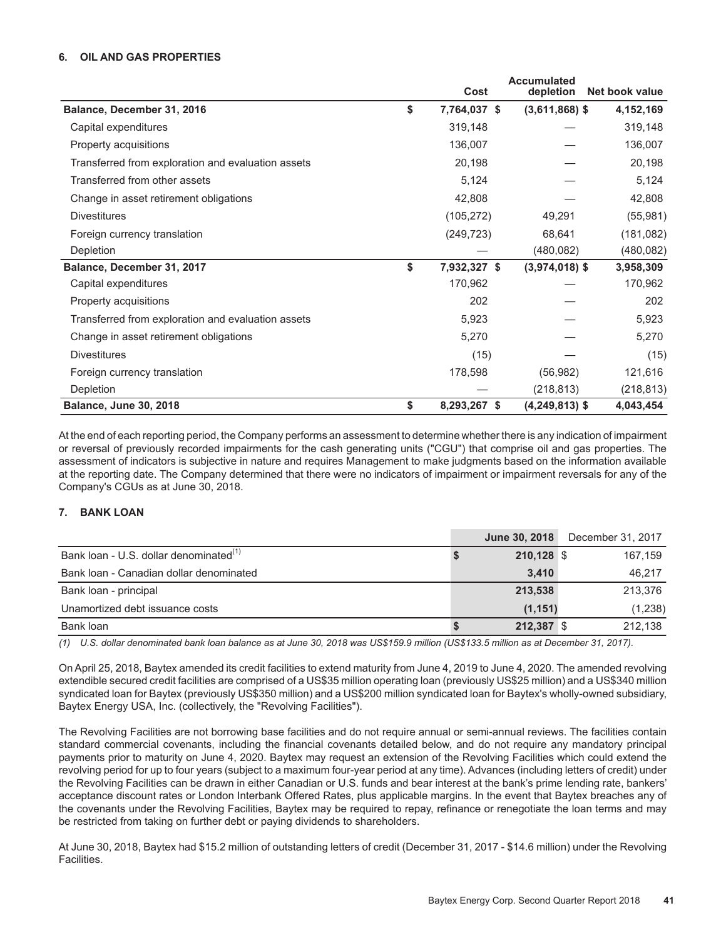#### **6. OIL AND GAS PROPERTIES**

|                                                    | Cost               | <b>Accumulated</b><br>depletion | Net book value |
|----------------------------------------------------|--------------------|---------------------------------|----------------|
| Balance, December 31, 2016                         | \$<br>7,764,037 \$ | $(3,611,868)$ \$                | 4,152,169      |
| Capital expenditures                               | 319,148            |                                 | 319,148        |
| Property acquisitions                              | 136,007            |                                 | 136,007        |
| Transferred from exploration and evaluation assets | 20,198             |                                 | 20,198         |
| Transferred from other assets                      | 5,124              |                                 | 5,124          |
| Change in asset retirement obligations             | 42,808             |                                 | 42,808         |
| <b>Divestitures</b>                                | (105, 272)         | 49,291                          | (55, 981)      |
| Foreign currency translation                       | (249, 723)         | 68,641                          | (181, 082)     |
| Depletion                                          |                    | (480, 082)                      | (480, 082)     |
| Balance, December 31, 2017                         | \$<br>7,932,327 \$ | $(3,974,018)$ \$                | 3,958,309      |
| Capital expenditures                               | 170,962            |                                 | 170,962        |
| Property acquisitions                              | 202                |                                 | 202            |
| Transferred from exploration and evaluation assets | 5,923              |                                 | 5,923          |
| Change in asset retirement obligations             | 5,270              |                                 | 5,270          |
| <b>Divestitures</b>                                | (15)               |                                 | (15)           |
| Foreign currency translation                       | 178,598            | (56, 982)                       | 121,616        |
| Depletion                                          |                    | (218, 813)                      | (218, 813)     |
| <b>Balance, June 30, 2018</b>                      | \$<br>8,293,267 \$ | $(4,249,813)$ \$                | 4,043,454      |

At the end of each reporting period, the Company performs an assessment to determine whether there is any indication of impairment or reversal of previously recorded impairments for the cash generating units ("CGU") that comprise oil and gas properties. The assessment of indicators is subjective in nature and requires Management to make judgments based on the information available at the reporting date. The Company determined that there were no indicators of impairment or impairment reversals for any of the Company's CGUs as at June 30, 2018.

#### **7. BANK LOAN**

|                                                    | <b>June 30, 2018</b> | December 31, 2017 |
|----------------------------------------------------|----------------------|-------------------|
| Bank loan - U.S. dollar denominated <sup>(1)</sup> | 210,128 \$           | 167,159           |
| Bank Joan - Canadian dollar denominated            | 3.410                | 46.217            |
| Bank loan - principal                              | 213,538              | 213.376           |
| Unamortized debt issuance costs                    | (1, 151)             | (1,238)           |
| Bank loan                                          | 212,387 \$           | 212.138           |

*(1) U.S. dollar denominated bank loan balance as at June 30, 2018 was US\$159.9 million (US\$133.5 million as at December 31, 2017).*

On April 25, 2018, Baytex amended its credit facilities to extend maturity from June 4, 2019 to June 4, 2020. The amended revolving extendible secured credit facilities are comprised of a US\$35 million operating loan (previously US\$25 million) and a US\$340 million syndicated loan for Baytex (previously US\$350 million) and a US\$200 million syndicated loan for Baytex's wholly-owned subsidiary, Baytex Energy USA, Inc. (collectively, the "Revolving Facilities").

The Revolving Facilities are not borrowing base facilities and do not require annual or semi-annual reviews. The facilities contain standard commercial covenants, including the financial covenants detailed below, and do not require any mandatory principal payments prior to maturity on June 4, 2020. Baytex may request an extension of the Revolving Facilities which could extend the revolving period for up to four years (subject to a maximum four-year period at any time). Advances (including letters of credit) under the Revolving Facilities can be drawn in either Canadian or U.S. funds and bear interest at the bank's prime lending rate, bankers' acceptance discount rates or London Interbank Offered Rates, plus applicable margins. In the event that Baytex breaches any of the covenants under the Revolving Facilities, Baytex may be required to repay, refinance or renegotiate the loan terms and may be restricted from taking on further debt or paying dividends to shareholders.

At June 30, 2018, Baytex had \$15.2 million of outstanding letters of credit (December 31, 2017 - \$14.6 million) under the Revolving Facilities.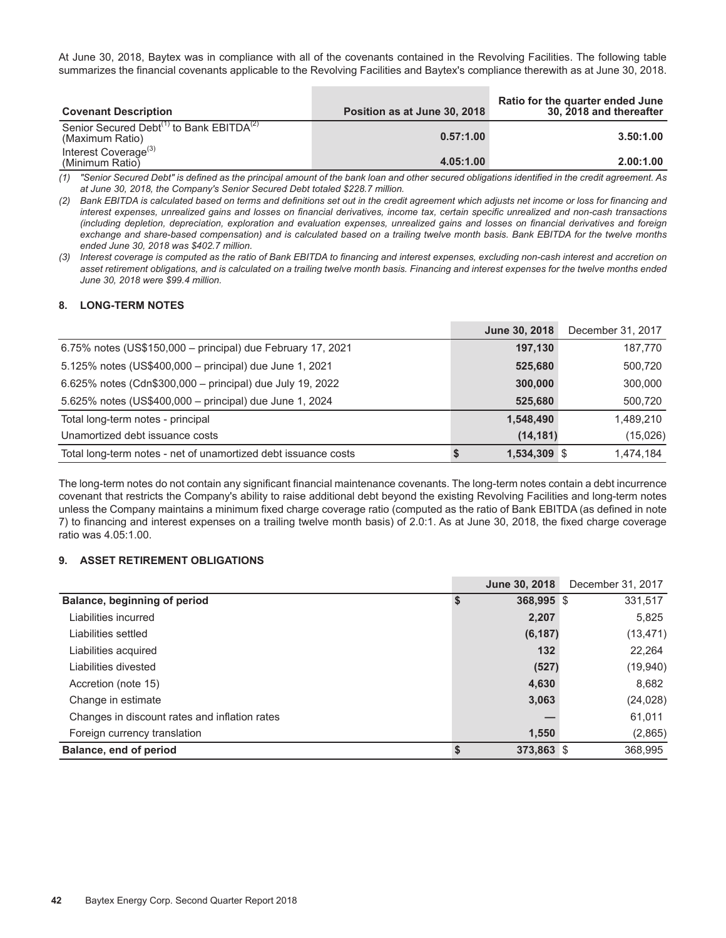At June 30, 2018, Baytex was in compliance with all of the covenants contained in the Revolving Facilities. The following table summarizes the financial covenants applicable to the Revolving Facilities and Baytex's compliance therewith as at June 30, 2018.

| <b>Covenant Description</b>                                                         | Position as at June 30, 2018 | Ratio for the quarter ended June<br>30, 2018 and thereafter |
|-------------------------------------------------------------------------------------|------------------------------|-------------------------------------------------------------|
| Senior Secured Debt <sup>(1)</sup> to Bank EBITDA <sup>(2)</sup><br>(Maximum Ratio) | 0.57:1.00                    | 3.50:1.00                                                   |
| Interest Coverage <sup>(3)</sup><br>(Minimum Ratio)                                 | 4.05:1.00                    | 2.00:1.00                                                   |

*(1) "Senior Secured Debt" is defined as the principal amount of the bank loan and other secured obligations identified in the credit agreement. As at June 30, 2018, the Company's Senior Secured Debt totaled \$228.7 million.*

*(2) Bank EBITDA is calculated based on terms and definitions set out in the credit agreement which adjusts net income or loss for financing and interest expenses, unrealized gains and losses on financial derivatives, income tax, certain specific unrealized and non-cash transactions (including depletion, depreciation, exploration and evaluation expenses, unrealized gains and losses on financial derivatives and foreign exchange and share-based compensation) and is calculated based on a trailing twelve month basis. Bank EBITDA for the twelve months ended June 30, 2018 was \$402.7 million.* 

*(3) Interest coverage is computed as the ratio of Bank EBITDA to financing and interest expenses, excluding non-cash interest and accretion on asset retirement obligations, and is calculated on a trailing twelve month basis. Financing and interest expenses for the twelve months ended June 30, 2018 were \$99.4 million.* 

#### **8. LONG-TERM NOTES**

|                                                                | June 30, 2018 | December 31, 2017 |
|----------------------------------------------------------------|---------------|-------------------|
| 6.75% notes (US\$150,000 - principal) due February 17, 2021    | 197,130       | 187,770           |
| 5.125% notes (US\$400,000 - principal) due June 1, 2021        | 525,680       | 500,720           |
| 6.625% notes (Cdn\$300,000 – principal) due July 19, 2022      | 300,000       | 300,000           |
| 5.625% notes (US\$400,000 - principal) due June 1, 2024        | 525,680       | 500,720           |
| Total long-term notes - principal                              | 1,548,490     | 1.489.210         |
| Unamortized debt issuance costs                                | (14, 181)     | (15,026)          |
| Total long-term notes - net of unamortized debt issuance costs | 1,534,309 \$  | 1.474.184         |

The long-term notes do not contain any significant financial maintenance covenants. The long-term notes contain a debt incurrence covenant that restricts the Company's ability to raise additional debt beyond the existing Revolving Facilities and long-term notes unless the Company maintains a minimum fixed charge coverage ratio (computed as the ratio of Bank EBITDA (as defined in note 7) to financing and interest expenses on a trailing twelve month basis) of 2.0:1. As at June 30, 2018, the fixed charge coverage ratio was 4.05:1.00.

#### **9. ASSET RETIREMENT OBLIGATIONS**

|                                               | June 30, 2018 | December 31, 2017 |
|-----------------------------------------------|---------------|-------------------|
| Balance, beginning of period                  | 368,995 \$    | 331,517           |
| Liabilities incurred                          | 2,207         | 5,825             |
| Liabilities settled                           | (6, 187)      | (13,471)          |
| Liabilities acquired                          | $132$         | 22,264            |
| Liabilities divested                          | (527)         | (19, 940)         |
| Accretion (note 15)                           | 4,630         | 8,682             |
| Change in estimate                            | 3,063         | (24, 028)         |
| Changes in discount rates and inflation rates |               | 61,011            |
| Foreign currency translation                  | 1,550         | (2,865)           |
| Balance, end of period                        | $373,863$ \$  | 368,995           |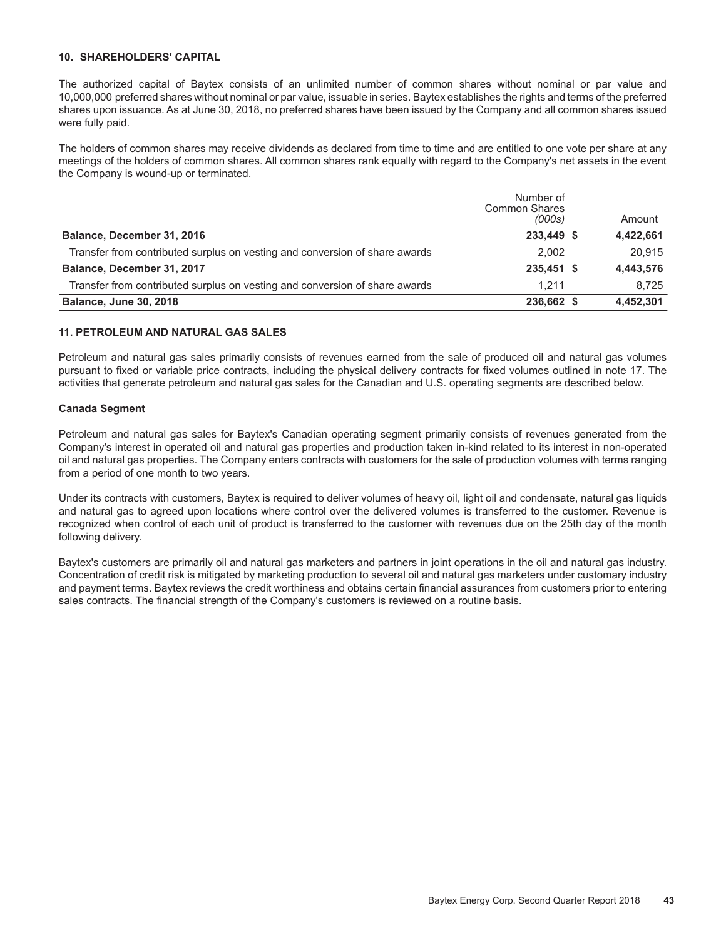#### **10. SHAREHOLDERS' CAPITAL**

The authorized capital of Baytex consists of an unlimited number of common shares without nominal or par value and 10,000,000 preferred shares without nominal or par value, issuable in series. Baytex establishes the rights and terms of the preferred shares upon issuance. As at June 30, 2018, no preferred shares have been issued by the Company and all common shares issued were fully paid.

The holders of common shares may receive dividends as declared from time to time and are entitled to one vote per share at any meetings of the holders of common shares. All common shares rank equally with regard to the Company's net assets in the event the Company is wound-up or terminated.

|                                                                             | Number of<br><b>Common Shares</b> |           |
|-----------------------------------------------------------------------------|-----------------------------------|-----------|
|                                                                             | (000s)                            | Amount    |
| Balance, December 31, 2016                                                  | 233,449 \$                        | 4,422,661 |
| Transfer from contributed surplus on vesting and conversion of share awards | 2.002                             | 20.915    |
| Balance, December 31, 2017                                                  | 235,451 \$                        | 4,443,576 |
| Transfer from contributed surplus on vesting and conversion of share awards | 1.211                             | 8.725     |
| <b>Balance, June 30, 2018</b>                                               | 236,662 \$                        | 4,452,301 |

#### **11. PETROLEUM AND NATURAL GAS SALES**

Petroleum and natural gas sales primarily consists of revenues earned from the sale of produced oil and natural gas volumes pursuant to fixed or variable price contracts, including the physical delivery contracts for fixed volumes outlined in note 17. The activities that generate petroleum and natural gas sales for the Canadian and U.S. operating segments are described below.

#### **Canada Segment**

Petroleum and natural gas sales for Baytex's Canadian operating segment primarily consists of revenues generated from the Company's interest in operated oil and natural gas properties and production taken in-kind related to its interest in non-operated oil and natural gas properties. The Company enters contracts with customers for the sale of production volumes with terms ranging from a period of one month to two years.

Under its contracts with customers, Baytex is required to deliver volumes of heavy oil, light oil and condensate, natural gas liquids and natural gas to agreed upon locations where control over the delivered volumes is transferred to the customer. Revenue is recognized when control of each unit of product is transferred to the customer with revenues due on the 25th day of the month following delivery.

Baytex's customers are primarily oil and natural gas marketers and partners in joint operations in the oil and natural gas industry. Concentration of credit risk is mitigated by marketing production to several oil and natural gas marketers under customary industry and payment terms. Baytex reviews the credit worthiness and obtains certain financial assurances from customers prior to entering sales contracts. The financial strength of the Company's customers is reviewed on a routine basis.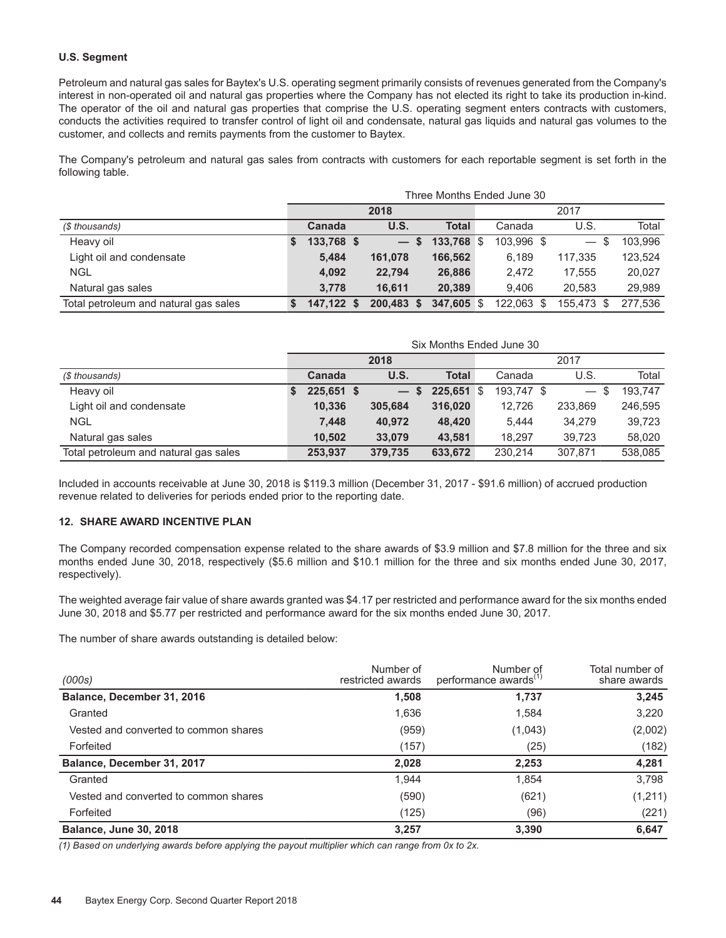#### **U.S. Segment**

Petroleum and natural gas sales for Baytex's U.S. operating segment primarily consists of revenues generated from the Company's interest in non-operated oil and natural gas properties where the Company has not elected its right to take its production in-kind. The operator of the oil and natural gas properties that comprise the U.S. operating segment enters contracts with customers, conducts the activities required to transfer control of light oil and condensate, natural gas liquids and natural gas volumes to the customer, and collects and remits payments from the customer to Baytex.

The Company's petroleum and natural gas sales from contracts with customers for each reportable segment is set forth in the following table.

| Three Months Ended June 30            |  |            |  |            |   |              |      |            |  |            |     |         |
|---------------------------------------|--|------------|--|------------|---|--------------|------|------------|--|------------|-----|---------|
|                                       |  |            |  | 2018       |   |              | 2017 |            |  |            |     |         |
| (\$ thousands)                        |  | Canada     |  | U.S.       |   | <b>Total</b> |      | Canada     |  | U.S.       |     | Total   |
| Heavy oil                             |  | 133,768 \$ |  | $-$        | S | $133,768$ \$ |      | 103.996 \$ |  |            | \$. | 103.996 |
| Light oil and condensate              |  | 5,484      |  | 161,078    |   | 166,562      |      | 6,189      |  | 117,335    |     | 123,524 |
| <b>NGL</b>                            |  | 4,092      |  | 22.794     |   | 26,886       |      | 2,472      |  | 17.555     |     | 20,027  |
| Natural gas sales                     |  | 3.778      |  | 16.611     |   | 20.389       |      | 9.406      |  | 20.583     |     | 29.989  |
| Total petroleum and natural gas sales |  | 147.122 \$ |  | 200,483 \$ |   | $347,605$ \$ |      | 122.063 \$ |  | 155.473 \$ |     | 277.536 |

|                                       | Six Months Ended June 30 |            |  |         |    |              |      |            |  |                               |         |  |  |
|---------------------------------------|--------------------------|------------|--|---------|----|--------------|------|------------|--|-------------------------------|---------|--|--|
|                                       |                          |            |  | 2018    |    |              | 2017 |            |  |                               |         |  |  |
| (\$ thousands)                        |                          | Canada     |  | U.S.    |    | <b>Total</b> |      | Canada     |  | U.S.                          | Total   |  |  |
| Heavy oil                             | S                        | 225,651 \$ |  |         | S. | $225,651$ \$ |      | 193.747 \$ |  | S<br>$\overline{\phantom{m}}$ | 193.747 |  |  |
| Light oil and condensate              |                          | 10,336     |  | 305,684 |    | 316,020      |      | 12.726     |  | 233,869                       | 246,595 |  |  |
| <b>NGL</b>                            |                          | 7,448      |  | 40.972  |    | 48.420       |      | 5.444      |  | 34.279                        | 39.723  |  |  |
| Natural gas sales                     |                          | 10.502     |  | 33.079  |    | 43.581       |      | 18.297     |  | 39.723                        | 58.020  |  |  |
| Total petroleum and natural gas sales |                          | 253,937    |  | 379,735 |    | 633,672      |      | 230.214    |  | 307.871                       | 538.085 |  |  |

Included in accounts receivable at June 30, 2018 is \$119.3 million (December 31, 2017 - \$91.6 million) of accrued production revenue related to deliveries for periods ended prior to the reporting date.

#### **12. SHARE AWARD INCENTIVE PLAN**

The Company recorded compensation expense related to the share awards of \$3.9 million and \$7.8 million for the three and six months ended June 30, 2018, respectively (\$5.6 million and \$10.1 million for the three and six months ended June 30, 2017, respectively).

The weighted average fair value of share awards granted was \$4.17 per restricted and performance award for the six months ended June 30, 2018 and \$5.77 per restricted and performance award for the six months ended June 30, 2017.

The number of share awards outstanding is detailed below:

| (000s)                                | Number of<br>restricted awards | Number of<br>performance awards <sup>(1)</sup> | Total number of<br>share awards |
|---------------------------------------|--------------------------------|------------------------------------------------|---------------------------------|
| Balance, December 31, 2016            | 1,508                          | 1,737                                          | 3,245                           |
| Granted                               | 1,636                          | 1,584                                          | 3,220                           |
| Vested and converted to common shares | (959)                          | (1,043)                                        | (2,002)                         |
| Forfeited                             | (157)                          | (25)                                           | (182)                           |
| Balance, December 31, 2017            | 2,028                          | 2,253                                          | 4,281                           |
| Granted                               | 1.944                          | 1.854                                          | 3.798                           |
| Vested and converted to common shares | (590)                          | (621)                                          | (1,211)                         |
| Forfeited                             | (125)                          | (96)                                           | (221)                           |
| <b>Balance, June 30, 2018</b>         | 3,257                          | 3,390                                          | 6,647                           |

*(1) Based on underlying awards before applying the payout multiplier which can range from 0x to 2x.*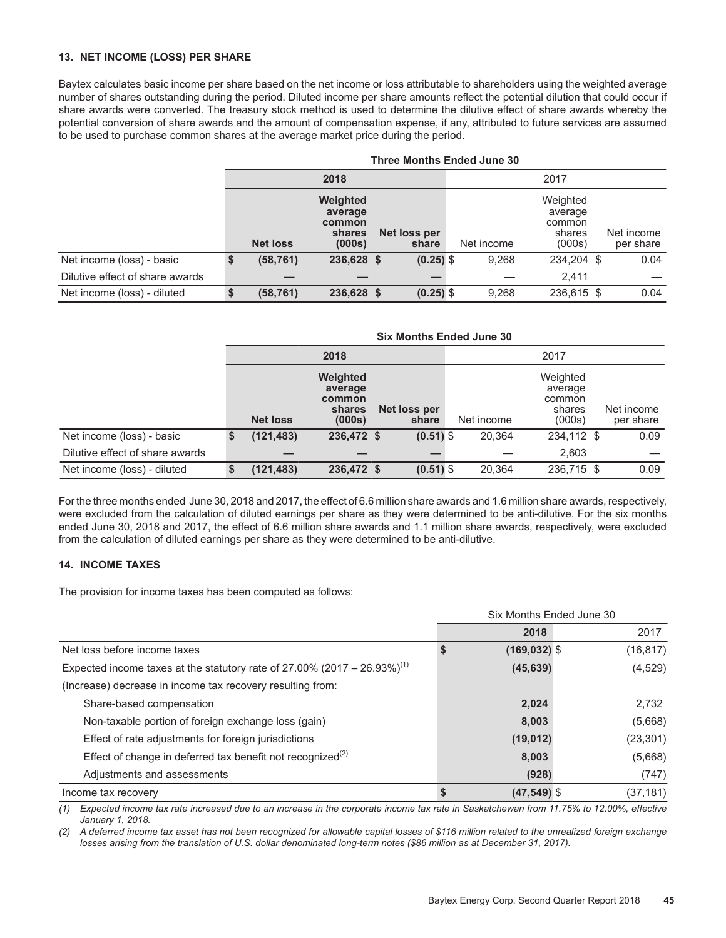#### **13. NET INCOME (LOSS) PER SHARE**

Baytex calculates basic income per share based on the net income or loss attributable to shareholders using the weighted average number of shares outstanding during the period. Diluted income per share amounts reflect the potential dilution that could occur if share awards were converted. The treasury stock method is used to determine the dilutive effect of share awards whereby the potential conversion of share awards and the amount of compensation expense, if any, attributed to future services are assumed to be used to purchase common shares at the average market price during the period.

|                                 | <b>Three Months Ended June 30</b> |                                                   |                       |  |            |                                                   |  |                         |  |  |  |  |
|---------------------------------|-----------------------------------|---------------------------------------------------|-----------------------|--|------------|---------------------------------------------------|--|-------------------------|--|--|--|--|
|                                 |                                   | 2018                                              |                       |  |            | 2017                                              |  |                         |  |  |  |  |
|                                 | <b>Net loss</b>                   | Weighted<br>average<br>common<br>shares<br>(000s) | Net loss per<br>share |  | Net income | Weighted<br>average<br>common<br>shares<br>(000s) |  | Net income<br>per share |  |  |  |  |
| Net income (loss) - basic       | (58, 761)                         | 236,628 \$                                        | $(0.25)$ \$           |  | 9,268      | 234,204 \$                                        |  | 0.04                    |  |  |  |  |
| Dilutive effect of share awards |                                   |                                                   |                       |  |            | 2.411                                             |  |                         |  |  |  |  |
| Net income (loss) - diluted     | (58, 761)                         | 236,628 \$                                        | $(0.25)$ \$           |  | 9,268      | 236,615 \$                                        |  | 0.04                    |  |  |  |  |

|                                 | <b>Six Months Ended June 30</b> |                                                   |                       |            |                                                   |  |                         |  |  |  |  |  |
|---------------------------------|---------------------------------|---------------------------------------------------|-----------------------|------------|---------------------------------------------------|--|-------------------------|--|--|--|--|--|
|                                 |                                 | 2018                                              |                       |            | 2017                                              |  |                         |  |  |  |  |  |
|                                 | <b>Net loss</b>                 | Weighted<br>average<br>common<br>shares<br>(000s) | Net loss per<br>share | Net income | Weighted<br>average<br>common<br>shares<br>(000s) |  | Net income<br>per share |  |  |  |  |  |
| Net income (loss) - basic       | (121, 483)                      | 236,472 \$                                        | $(0.51)$ \$           | 20,364     | 234,112 \$                                        |  | 0.09                    |  |  |  |  |  |
| Dilutive effect of share awards |                                 |                                                   |                       |            | 2.603                                             |  |                         |  |  |  |  |  |
| Net income (loss) - diluted     | (121, 483)                      | 236,472 \$                                        | $(0.51)$ \$           | 20,364     | 236,715 \$                                        |  | 0.09                    |  |  |  |  |  |

For the three months ended June 30, 2018 and 2017, the effect of 6.6 million share awards and 1.6 million share awards, respectively, were excluded from the calculation of diluted earnings per share as they were determined to be anti-dilutive. For the six months ended June 30, 2018 and 2017, the effect of 6.6 million share awards and 1.1 million share awards, respectively, were excluded from the calculation of diluted earnings per share as they were determined to be anti-dilutive.

#### **14. INCOME TAXES**

The provision for income taxes has been computed as follows:

|                                                                                      |   | Six Months Ended June 30 |           |
|--------------------------------------------------------------------------------------|---|--------------------------|-----------|
|                                                                                      |   | 2018                     | 2017      |
| Net loss before income taxes                                                         | S | $(169, 032)$ \$          | (16, 817) |
| Expected income taxes at the statutory rate of 27.00% (2017 – 26.93%) <sup>(1)</sup> |   | (45, 639)                | (4, 529)  |
| (Increase) decrease in income tax recovery resulting from:                           |   |                          |           |
| Share-based compensation                                                             |   | 2,024                    | 2,732     |
| Non-taxable portion of foreign exchange loss (gain)                                  |   | 8,003                    | (5,668)   |
| Effect of rate adjustments for foreign jurisdictions                                 |   | (19, 012)                | (23, 301) |
| Effect of change in deferred tax benefit not recognized <sup>(2)</sup>               |   | 8,003                    | (5,668)   |
| Adjustments and assessments                                                          |   | (928)                    | (747)     |
| Income tax recovery                                                                  |   | $(47,549)$ \$            | (37,181)  |

*(1) Expected income tax rate increased due to an increase in the corporate income tax rate in Saskatchewan from 11.75% to 12.00%, effective January 1, 2018.*

*(2) A deferred income tax asset has not been recognized for allowable capital losses of \$116 million related to the unrealized foreign exchange losses arising from the translation of U.S. dollar denominated long-term notes (\$86 million as at December 31, 2017).*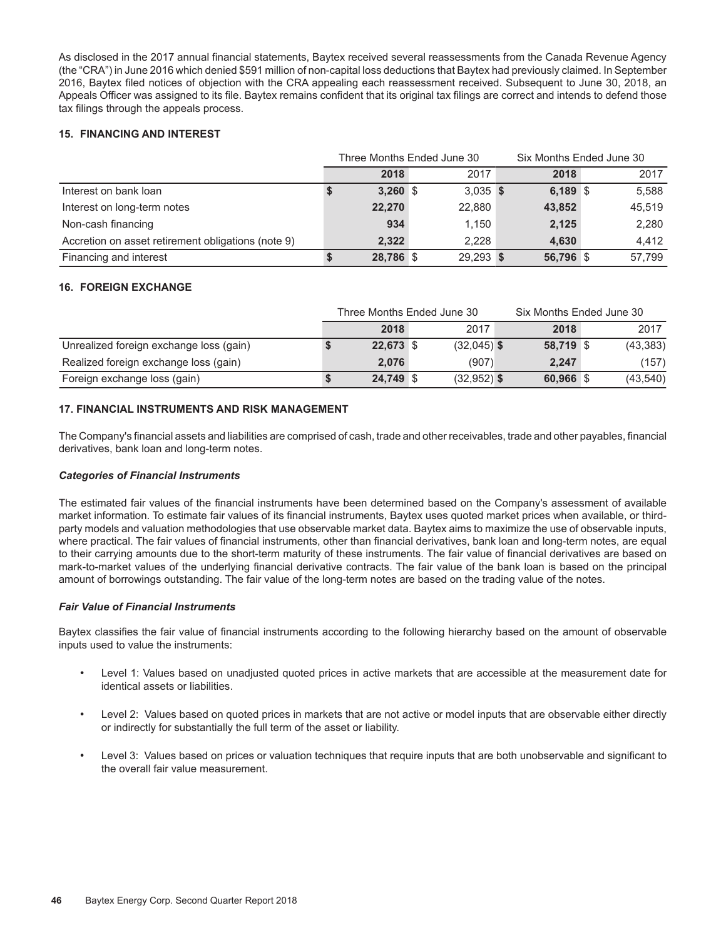As disclosed in the 2017 annual financial statements, Baytex received several reassessments from the Canada Revenue Agency (the "CRA") in June 2016 which denied \$591 million of non-capital loss deductions that Baytex had previously claimed. In September 2016, Baytex filed notices of objection with the CRA appealing each reassessment received. Subsequent to June 30, 2018, an Appeals Officer was assigned to its file. Baytex remains confident that its original tax filings are correct and intends to defend those tax filings through the appeals process.

#### **15. FINANCING AND INTEREST**

|                                                    |            | Three Months Ended June 30 |           | Six Months Ended June 30 |        |  |  |
|----------------------------------------------------|------------|----------------------------|-----------|--------------------------|--------|--|--|
|                                                    | 2018       | 2017                       | 2018      |                          | 2017   |  |  |
| Interest on bank loan                              | $3,260$ \$ | $3,035$ \$                 | 6,189 \$  |                          | 5.588  |  |  |
| Interest on long-term notes                        | 22,270     | 22,880                     | 43,852    |                          | 45.519 |  |  |
| Non-cash financing                                 | 934        | 1.150                      | 2,125     |                          | 2,280  |  |  |
| Accretion on asset retirement obligations (note 9) | 2.322      | 2.228                      | 4.630     |                          | 4.412  |  |  |
| Financing and interest                             | 28,786 \$  | 29,293 \$                  | 56,796 \$ |                          | 57.799 |  |  |

#### **16. FOREIGN EXCHANGE**

|                                         |           | Three Months Ended June 30 | Six Months Ended June 30 |  |           |  |
|-----------------------------------------|-----------|----------------------------|--------------------------|--|-----------|--|
|                                         | 2018      | 2017                       | 2018                     |  | 2017      |  |
| Unrealized foreign exchange loss (gain) | 22,673 \$ | $(32,045)$ \$              | 58,719 \$                |  | (43, 383) |  |
| Realized foreign exchange loss (gain)   | 2.076     | (907)                      | 2.247                    |  | (157)     |  |
| Foreign exchange loss (gain)            | 24,749 \$ | $(32,952)$ \$              | 60,966 \$                |  | (43,540)  |  |

#### **17. FINANCIAL INSTRUMENTS AND RISK MANAGEMENT**

The Company's financial assets and liabilities are comprised of cash, trade and other receivables, trade and other payables, financial derivatives, bank loan and long-term notes.

#### *Categories of Financial Instruments*

The estimated fair values of the financial instruments have been determined based on the Company's assessment of available market information. To estimate fair values of its financial instruments, Baytex uses quoted market prices when available, or thirdparty models and valuation methodologies that use observable market data. Baytex aims to maximize the use of observable inputs, where practical. The fair values of financial instruments, other than financial derivatives, bank loan and long-term notes, are equal to their carrying amounts due to the short-term maturity of these instruments. The fair value of financial derivatives are based on mark-to-market values of the underlying financial derivative contracts. The fair value of the bank loan is based on the principal amount of borrowings outstanding. The fair value of the long-term notes are based on the trading value of the notes.

#### *Fair Value of Financial Instruments*

Baytex classifies the fair value of financial instruments according to the following hierarchy based on the amount of observable inputs used to value the instruments:

- Level 1: Values based on unadjusted quoted prices in active markets that are accessible at the measurement date for identical assets or liabilities.
- Level 2: Values based on quoted prices in markets that are not active or model inputs that are observable either directly or indirectly for substantially the full term of the asset or liability.
- Level 3: Values based on prices or valuation techniques that require inputs that are both unobservable and significant to the overall fair value measurement.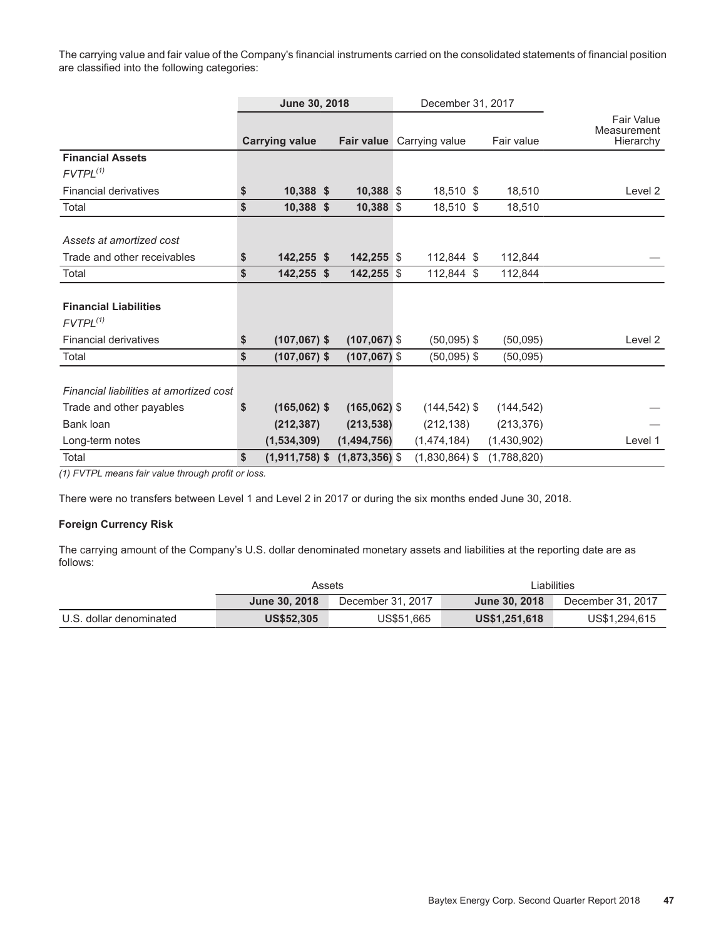The carrying value and fair value of the Company's financial instruments carried on the consolidated statements of financial position are classified into the following categories:

|                                         | June 30, 2018 |                       |                   | December 31, 2017 |                  |  |             |                                               |
|-----------------------------------------|---------------|-----------------------|-------------------|-------------------|------------------|--|-------------|-----------------------------------------------|
|                                         |               | <b>Carrying value</b> | <b>Fair value</b> |                   | Carrying value   |  | Fair value  | <b>Fair Value</b><br>Measurement<br>Hierarchy |
| <b>Financial Assets</b>                 |               |                       |                   |                   |                  |  |             |                                               |
| $FVTPL^{(1)}$                           |               |                       |                   |                   |                  |  |             |                                               |
| <b>Financial derivatives</b>            | \$            | $10,388$ \$           | 10,388 \$         |                   | 18,510 \$        |  | 18,510      | Level 2                                       |
| Total                                   | \$            | 10,388 \$             | 10,388 \$         |                   | 18,510 \$        |  | 18,510      |                                               |
|                                         |               |                       |                   |                   |                  |  |             |                                               |
| Assets at amortized cost                |               |                       |                   |                   |                  |  |             |                                               |
| Trade and other receivables             | \$            | 142,255 \$            | $142,255$ \$      |                   | 112,844 \$       |  | 112,844     |                                               |
| Total                                   | \$            | 142,255 \$            | 142,255 \$        |                   | 112,844 \$       |  | 112,844     |                                               |
|                                         |               |                       |                   |                   |                  |  |             |                                               |
| <b>Financial Liabilities</b>            |               |                       |                   |                   |                  |  |             |                                               |
| $FVTPL^{(1)}$                           |               |                       |                   |                   |                  |  |             |                                               |
| <b>Financial derivatives</b>            | \$            | $(107,067)$ \$        | $(107,067)$ \$    |                   | $(50,095)$ \$    |  | (50,095)    | Level 2                                       |
| Total                                   | \$            | $(107,067)$ \$        | $(107,067)$ \$    |                   | $(50,095)$ \$    |  | (50,095)    |                                               |
|                                         |               |                       |                   |                   |                  |  |             |                                               |
| Financial liabilities at amortized cost |               |                       |                   |                   |                  |  |             |                                               |
| Trade and other payables                | S             | $(165,062)$ \$        | $(165,062)$ \$    |                   | $(144, 542)$ \$  |  | (144, 542)  |                                               |
| Bank loan                               |               | (212, 387)            | (213, 538)        |                   | (212, 138)       |  | (213, 376)  |                                               |
| Long-term notes                         |               | (1,534,309)           | (1,494,756)       |                   | (1,474,184)      |  | (1,430,902) | Level 1                                       |
| Total                                   | \$            | $(1,911,758)$ \$      | $(1,873,356)$ \$  |                   | $(1,830,864)$ \$ |  | (1,788,820) |                                               |

*(1) FVTPL means fair value through profit or loss.*

There were no transfers between Level 1 and Level 2 in 2017 or during the six months ended June 30, 2018.

#### **Foreign Currency Risk**

The carrying amount of the Company's U.S. dollar denominated monetary assets and liabilities at the reporting date are as follows:

|                         | Assets            |                   |               | ∟iabilities       |
|-------------------------|-------------------|-------------------|---------------|-------------------|
|                         | June 30, 2018     | December 31, 2017 | June 30, 2018 | December 31, 2017 |
| U.S. dollar denominated | <b>US\$52,305</b> | US\$51,665        | US\$1,251,618 | US\$1,294,615     |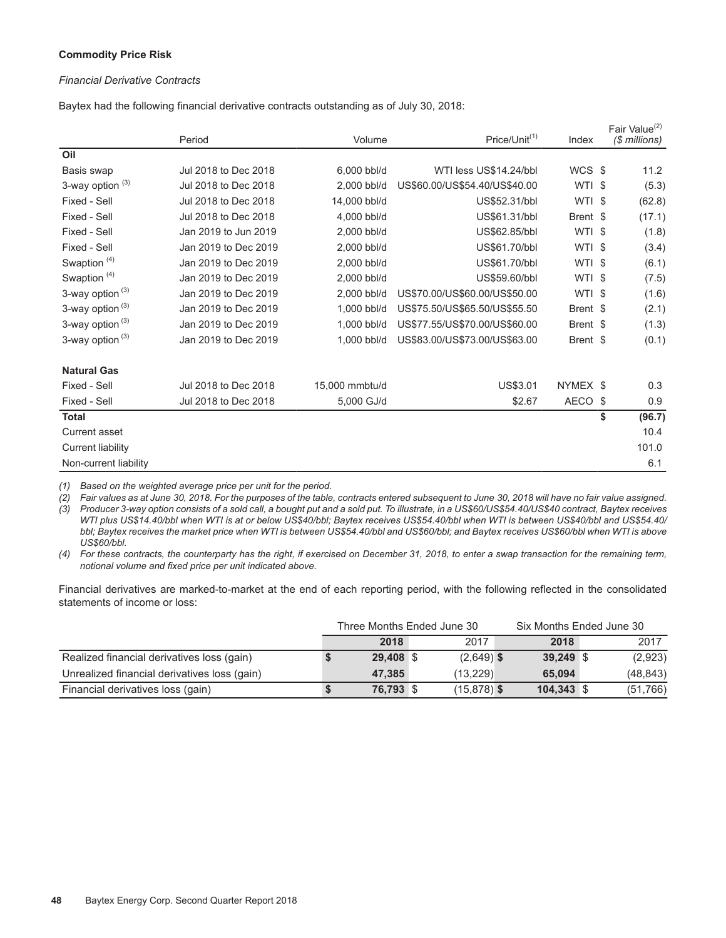#### **Commodity Price Risk**

#### *Financial Derivative Contracts*

Baytex had the following financial derivative contracts outstanding as of July 30, 2018:

|                             | Period               | Volume         | Price/Unit <sup>(1)</sup>     | Index    | Fair Value <sup>(2)</sup><br>(\$ millions) |
|-----------------------------|----------------------|----------------|-------------------------------|----------|--------------------------------------------|
| Oil                         |                      |                |                               |          |                                            |
| Basis swap                  | Jul 2018 to Dec 2018 | 6,000 bbl/d    | WTI less US\$14.24/bbl        | WCS \$   | 11.2                                       |
| 3-way option <sup>(3)</sup> | Jul 2018 to Dec 2018 | 2.000 bbl/d    | US\$60.00/US\$54.40/US\$40.00 | WTI \$   | (5.3)                                      |
| Fixed - Sell                | Jul 2018 to Dec 2018 | 14,000 bbl/d   | US\$52.31/bbl                 | WTI \$   | (62.8)                                     |
| Fixed - Sell                | Jul 2018 to Dec 2018 | 4,000 bbl/d    | US\$61.31/bbl                 | Brent \$ | (17.1)                                     |
| Fixed - Sell                | Jan 2019 to Jun 2019 | 2,000 bbl/d    | US\$62.85/bbl                 | WTI \$   | (1.8)                                      |
| Fixed - Sell                | Jan 2019 to Dec 2019 | 2,000 bbl/d    | US\$61.70/bbl                 | WTI \$   | (3.4)                                      |
| Swaption <sup>(4)</sup>     | Jan 2019 to Dec 2019 | 2,000 bbl/d    | US\$61.70/bbl                 | WTI \$   | (6.1)                                      |
| Swaption <sup>(4)</sup>     | Jan 2019 to Dec 2019 | 2,000 bbl/d    | US\$59.60/bbl                 | WTI \$   | (7.5)                                      |
| 3-way option $(3)$          | Jan 2019 to Dec 2019 | 2,000 bbl/d    | US\$70.00/US\$60.00/US\$50.00 | WTI \$   | (1.6)                                      |
| 3-way option <sup>(3)</sup> | Jan 2019 to Dec 2019 | 1,000 bbl/d    | US\$75.50/US\$65.50/US\$55.50 | Brent \$ | (2.1)                                      |
| 3-way option <sup>(3)</sup> | Jan 2019 to Dec 2019 | 1.000 bbl/d    | US\$77.55/US\$70.00/US\$60.00 | Brent \$ | (1.3)                                      |
| 3-way option (3)            | Jan 2019 to Dec 2019 | 1,000 bbl/d    | US\$83.00/US\$73.00/US\$63.00 | Brent \$ | (0.1)                                      |
| <b>Natural Gas</b>          |                      |                |                               |          |                                            |
| Fixed - Sell                | Jul 2018 to Dec 2018 | 15,000 mmbtu/d | US\$3.01                      | NYMEX \$ | 0.3                                        |
| Fixed - Sell                | Jul 2018 to Dec 2018 | 5,000 GJ/d     | \$2.67                        | AECO \$  | 0.9                                        |
| <b>Total</b>                |                      |                |                               |          | \$<br>(96.7)                               |
| Current asset               |                      |                |                               |          | 10.4                                       |
| <b>Current liability</b>    |                      |                |                               |          | 101.0                                      |
| Non-current liability       |                      |                |                               |          | 6.1                                        |

*(1) Based on the weighted average price per unit for the period.* 

*(2) Fair values as at June 30, 2018. For the purposes of the table, contracts entered subsequent to June 30, 2018 will have no fair value assigned. (3) Producer 3-way option consists of a sold call, a bought put and a sold put. To illustrate, in a US\$60/US\$54.40/US\$40 contract, Baytex receives WTI plus US\$14.40/bbl when WTI is at or below US\$40/bbl; Baytex receives US\$54.40/bbl when WTI is between US\$40/bbl and US\$54.40/ bbl; Baytex receives the market price when WTI is between US\$54.40/bbl and US\$60/bbl; and Baytex receives US\$60/bbl when WTI is above US\$60/bbl.*

*(4) For these contracts, the counterparty has the right, if exercised on December 31, 2018, to enter a swap transaction for the remaining term, notional volume and fixed price per unit indicated above.*

Financial derivatives are marked-to-market at the end of each reporting period, with the following reflected in the consolidated statements of income or loss:

|                                              | Three Months Ended June 30 |           |  |               |  | Six Months Ended June 30 |  |           |  |
|----------------------------------------------|----------------------------|-----------|--|---------------|--|--------------------------|--|-----------|--|
|                                              |                            | 2018      |  | 2017          |  | 2018                     |  | 2017      |  |
| Realized financial derivatives loss (gain)   |                            | 29,408 \$ |  | $(2,649)$ \$  |  | $39,249$ \$              |  | (2,923)   |  |
| Unrealized financial derivatives loss (gain) |                            | 47.385    |  | (13.229)      |  | 65,094                   |  | (48, 843) |  |
| Financial derivatives loss (gain)            |                            | 76,793 \$ |  | $(15,878)$ \$ |  | $104,343$ \$             |  | (51,766)  |  |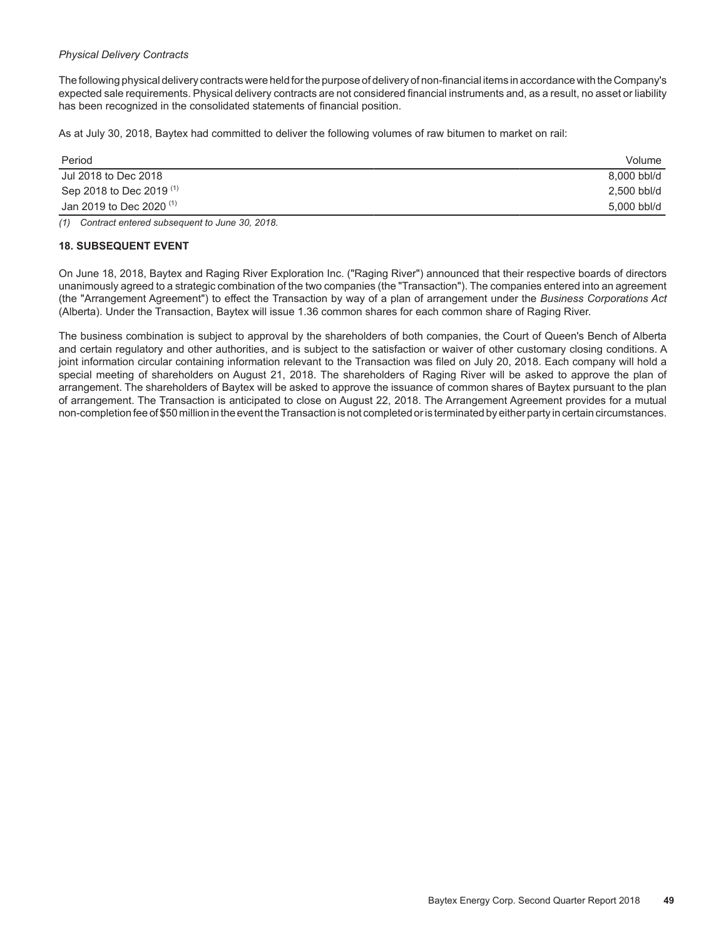#### *Physical Delivery Contracts*

The following physical delivery contracts were held for the purpose of delivery of non-financial items in accordance with the Company's expected sale requirements. Physical delivery contracts are not considered financial instruments and, as a result, no asset or liability has been recognized in the consolidated statements of financial position.

As at July 30, 2018, Baytex had committed to deliver the following volumes of raw bitumen to market on rail:

| Period                              | Volume      |
|-------------------------------------|-------------|
| Jul 2018 to Dec 2018                | 8,000 bbl/d |
| Sep 2018 to Dec 2019 <sup>(1)</sup> | 2,500 bbl/d |
| Jan 2019 to Dec 2020 $(1)$          | 5,000 bbl/d |
|                                     |             |

*(1) Contract entered subsequent to June 30, 2018.*

#### **18. SUBSEQUENT EVENT**

On June 18, 2018, Baytex and Raging River Exploration Inc. ("Raging River") announced that their respective boards of directors unanimously agreed to a strategic combination of the two companies (the "Transaction"). The companies entered into an agreement (the "Arrangement Agreement") to effect the Transaction by way of a plan of arrangement under the *Business Corporations Act*  (Alberta). Under the Transaction, Baytex will issue 1.36 common shares for each common share of Raging River.

The business combination is subject to approval by the shareholders of both companies, the Court of Queen's Bench of Alberta and certain regulatory and other authorities, and is subject to the satisfaction or waiver of other customary closing conditions. A joint information circular containing information relevant to the Transaction was filed on July 20, 2018. Each company will hold a special meeting of shareholders on August 21, 2018. The shareholders of Raging River will be asked to approve the plan of arrangement. The shareholders of Baytex will be asked to approve the issuance of common shares of Baytex pursuant to the plan of arrangement. The Transaction is anticipated to close on August 22, 2018. The Arrangement Agreement provides for a mutual non-completion fee of \$50 million in the event the Transaction is not completed or is terminated by either party in certain circumstances.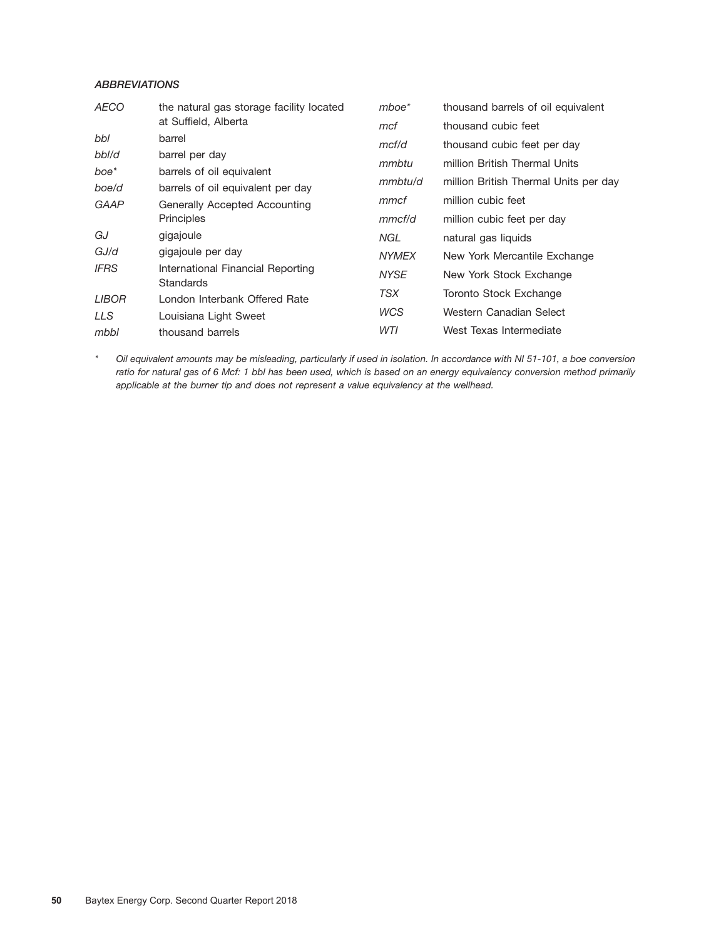### *ABBREVIATIONS*

| <b>AECO</b>                                                          | the natural gas storage facility located | $m$ boe $*$  | thousand barrels of oil equivalent    |
|----------------------------------------------------------------------|------------------------------------------|--------------|---------------------------------------|
|                                                                      | at Suffield, Alberta                     | mcf          | thousand cubic feet                   |
| bbl                                                                  | barrel                                   | mcf/d        | thousand cubic feet per day           |
| bbl/d                                                                | barrel per day                           | mmbtu        | million British Thermal Units         |
| boe*                                                                 | barrels of oil equivalent                |              |                                       |
| boe/d                                                                | barrels of oil equivalent per day        | mmbtu/d      | million British Thermal Units per day |
| GAAP<br>Generally Accepted Accounting                                |                                          | mmcf         | million cubic feet                    |
|                                                                      | Principles                               | mmcf/d       | million cubic feet per day            |
| GJ                                                                   | gigajoule                                | NGL          | natural gas liquids                   |
| GJ/d                                                                 | gigajoule per day                        | <b>NYMEX</b> | New York Mercantile Exchange          |
| <b>IFRS</b><br>International Financial Reporting<br><b>Standards</b> |                                          | <b>NYSE</b>  | New York Stock Exchange               |
| <b>LIBOR</b>                                                         | London Interbank Offered Rate            | TSX          | Toronto Stock Exchange                |
| LLS                                                                  | Louisiana Light Sweet                    | <b>WCS</b>   | Western Canadian Select               |
| mbbl                                                                 | thousand barrels                         | WTI          | West Texas Intermediate               |

*\* Oil equivalent amounts may be misleading, particularly if used in isolation. In accordance with NI 51-101, a boe conversion ratio for natural gas of 6 Mcf: 1 bbl has been used, which is based on an energy equivalency conversion method primarily applicable at the burner tip and does not represent a value equivalency at the wellhead.*